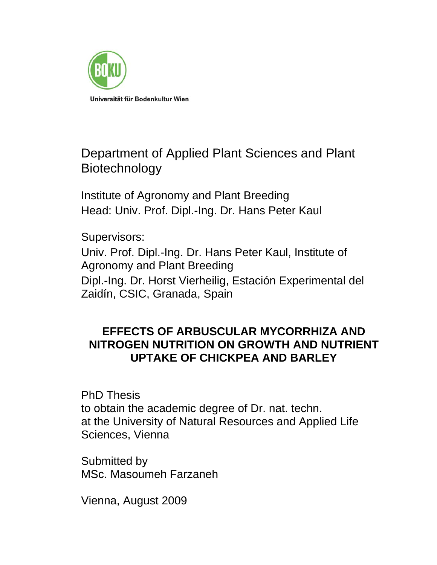

# Department of Applied Plant Sciences and Plant Biotechnology

Institute of Agronomy and Plant Breeding Head: Univ. Prof. Dipl.-Ing. Dr. Hans Peter Kaul

Supervisors:

Univ. Prof. Dipl.-Ing. Dr. Hans Peter Kaul, Institute of Agronomy and Plant Breeding Dipl.-Ing. Dr. Horst Vierheilig, Estación Experimental del Zaidín, CSIC, Granada, Spain

# **EFFECTS OF ARBUSCULAR MYCORRHIZA AND NITROGEN NUTRITION ON GROWTH AND NUTRIENT UPTAKE OF CHICKPEA AND BARLEY**

PhD Thesis to obtain the academic degree of Dr. nat. techn. at the University of Natural Resources and Applied Life Sciences, Vienna

Submitted by MSc. Masoumeh Farzaneh

Vienna, August 2009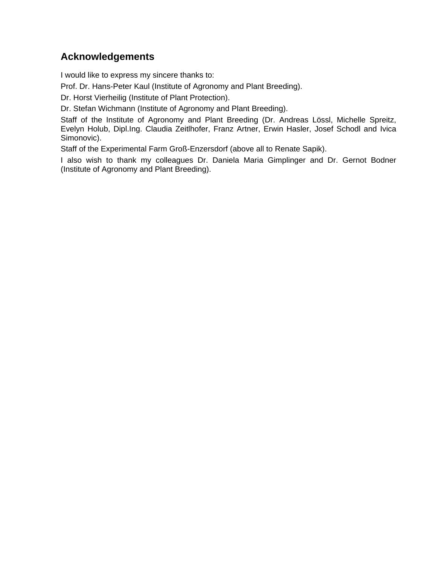# **Acknowledgements**

I would like to express my sincere thanks to:

Prof. Dr. Hans-Peter Kaul (Institute of Agronomy and Plant Breeding).

Dr. Horst Vierheilig (Institute of Plant Protection).

Dr. Stefan Wichmann (Institute of Agronomy and Plant Breeding).

Staff of the Institute of Agronomy and Plant Breeding (Dr. Andreas Lössl, Michelle Spreitz, Evelyn Holub, Dipl.Ing. Claudia Zeitlhofer, Franz Artner, Erwin Hasler, Josef Schodl and Ivica Simonovic).

Staff of the Experimental Farm Groß-Enzersdorf (above all to Renate Sapik).

I also wish to thank my colleagues Dr. Daniela Maria Gimplinger and Dr. Gernot Bodner (Institute of Agronomy and Plant Breeding).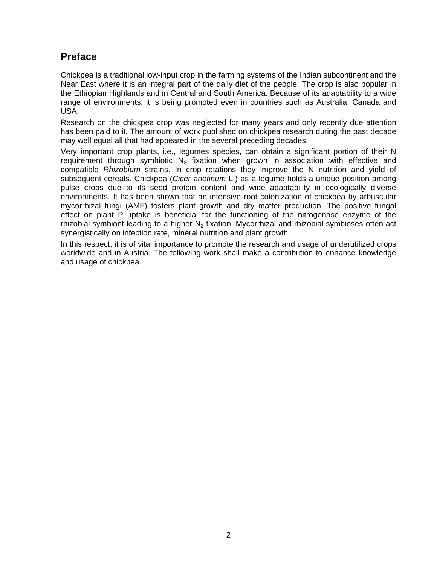# **Preface**

Chickpea is a traditional low-input crop in the farming systems of the Indian subcontinent and the Near East where it is an integral part of the daily diet of the people. The crop is also popular in the Ethiopian Highlands and in Central and South America. Because of its adaptability to a wide range of environments, it is being promoted even in countries such as Australia, Canada and USA.

Research on the chickpea crop was neglected for many years and only recently due attention has been paid to it. The amount of work published on chickpea research during the past decade may well equal all that had appeared in the several preceding decades.

Very important crop plants, i.e., legumes species, can obtain a significant portion of their N requirement through symbiotic  $N_2$  fixation when grown in association with effective and compatible *Rhizobium* strains. In crop rotations they improve the N nutrition and yield of subsequent cereals. Chickpea (*Cicer arietinum* L.) as a legume holds a unique position among pulse crops due to its seed protein content and wide adaptability in ecologically diverse environments. It has been shown that an intensive root colonization of chickpea by arbuscular mycorrhizal fungi (AMF) fosters plant growth and dry matter production. The positive fungal effect on plant P uptake is beneficial for the functioning of the nitrogenase enzyme of the rhizobial symbiont leading to a higher  $N_2$  fixation. Mycorrhizal and rhizobial symbioses often act synergistically on infection rate, mineral nutrition and plant growth.

In this respect, it is of vital importance to promote the research and usage of underutilized crops worldwide and in Austria. The following work shall make a contribution to enhance knowledge and usage of chickpea.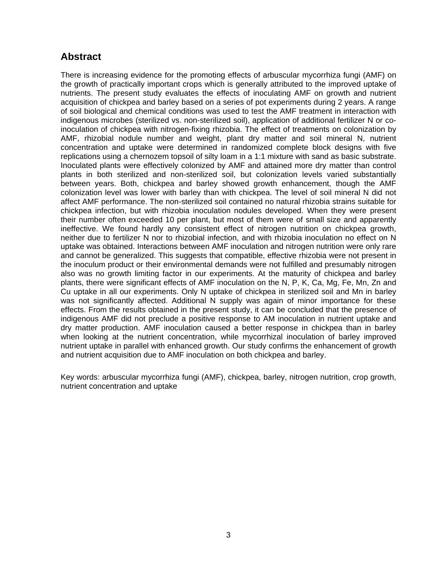# **Abstract**

There is increasing evidence for the promoting effects of arbuscular mycorrhiza fungi (AMF) on the growth of practically important crops which is generally attributed to the improved uptake of nutrients. The present study evaluates the effects of inoculating AMF on growth and nutrient acquisition of chickpea and barley based on a series of pot experiments during 2 years. A range of soil biological and chemical conditions was used to test the AMF treatment in interaction with indigenous microbes (sterilized vs. non-sterilized soil), application of additional fertilizer N or coinoculation of chickpea with nitrogen-fixing rhizobia. The effect of treatments on colonization by AMF, rhizobial nodule number and weight, plant dry matter and soil mineral N, nutrient concentration and uptake were determined in randomized complete block designs with five replications using a chernozem topsoil of silty loam in a 1:1 mixture with sand as basic substrate. Inoculated plants were effectively colonized by AMF and attained more dry matter than control plants in both sterilized and non-sterilized soil, but colonization levels varied substantially between years. Both, chickpea and barley showed growth enhancement, though the AMF colonization level was lower with barley than with chickpea. The level of soil mineral N did not affect AMF performance. The non-sterilized soil contained no natural rhizobia strains suitable for chickpea infection, but with rhizobia inoculation nodules developed. When they were present their number often exceeded 10 per plant, but most of them were of small size and apparently ineffective. We found hardly any consistent effect of nitrogen nutrition on chickpea growth, neither due to fertilizer N nor to rhizobial infection, and with rhizobia inoculation no effect on N uptake was obtained. Interactions between AMF inoculation and nitrogen nutrition were only rare and cannot be generalized. This suggests that compatible, effective rhizobia were not present in the inoculum product or their environmental demands were not fulfilled and presumably nitrogen also was no growth limiting factor in our experiments. At the maturity of chickpea and barley plants, there were significant effects of AMF inoculation on the N, P, K, Ca, Mg, Fe, Mn, Zn and Cu uptake in all our experiments. Only N uptake of chickpea in sterilized soil and Mn in barley was not significantly affected. Additional N supply was again of minor importance for these effects. From the results obtained in the present study, it can be concluded that the presence of indigenous AMF did not preclude a positive response to AM inoculation in nutrient uptake and dry matter production. AMF inoculation caused a better response in chickpea than in barley when looking at the nutrient concentration, while mycorrhizal inoculation of barley improved nutrient uptake in parallel with enhanced growth. Our study confirms the enhancement of growth and nutrient acquisition due to AMF inoculation on both chickpea and barley.

Key words: arbuscular mycorrhiza fungi (AMF), chickpea, barley, nitrogen nutrition, crop growth, nutrient concentration and uptake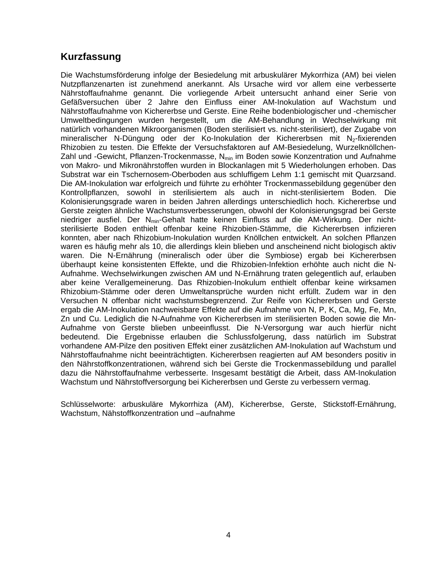# **Kurzfassung**

Die Wachstumsförderung infolge der Besiedelung mit arbuskulärer Mykorrhiza (AM) bei vielen Nutzpflanzenarten ist zunehmend anerkannt. Als Ursache wird vor allem eine verbesserte Nährstoffaufnahme genannt. Die vorliegende Arbeit untersucht anhand einer Serie von Gefäßversuchen über 2 Jahre den Einfluss einer AM-Inokulation auf Wachstum und Nährstoffaufnahme von Kichererbse und Gerste. Eine Reihe bodenbiologischer und -chemischer Umweltbedingungen wurden hergestellt, um die AM-Behandlung in Wechselwirkung mit natürlich vorhandenen Mikroorganismen (Boden sterilisiert vs. nicht-sterilisiert), der Zugabe von mineralischer N-Düngung oder der Ko-Inokulation der Kichererbsen mit N<sub>2</sub>-fixierenden Rhizobien zu testen. Die Effekte der Versuchsfaktoren auf AM-Besiedelung, Wurzelknöllchen-Zahl und -Gewicht, Pflanzen-Trockenmasse, N<sub>min</sub> im Boden sowie Konzentration und Aufnahme von Makro- und Mikronährstoffen wurden in Blockanlagen mit 5 Wiederholungen erhoben. Das Substrat war ein Tschernosem-Oberboden aus schluffigem Lehm 1:1 gemischt mit Quarzsand. Die AM-Inokulation war erfolgreich und führte zu erhöhter Trockenmassebildung gegenüber den Kontrollpflanzen, sowohl in sterilisiertem als auch in nicht-sterilisiertem Boden. Die Kolonisierungsgrade waren in beiden Jahren allerdings unterschiedlich hoch. Kichererbse und Gerste zeigten ähnliche Wachstumsverbesserungen, obwohl der Kolonisierungsgrad bei Gerste niedriger ausfiel. Der N<sub>min</sub>-Gehalt hatte keinen Einfluss auf die AM-Wirkung. Der nichtsterilisierte Boden enthielt offenbar keine Rhizobien-Stämme, die Kichererbsen infizieren konnten, aber nach Rhizobium-Inokulation wurden Knöllchen entwickelt. An solchen Pflanzen waren es häufig mehr als 10, die allerdings klein blieben und anscheinend nicht biologisch aktiv waren. Die N-Ernährung (mineralisch oder über die Symbiose) ergab bei Kichererbsen überhaupt keine konsistenten Effekte, und die Rhizobien-Infektion erhöhte auch nicht die N-Aufnahme. Wechselwirkungen zwischen AM und N-Ernährung traten gelegentlich auf, erlauben aber keine Verallgemeinerung. Das Rhizobien-Inokulum enthielt offenbar keine wirksamen Rhizobium-Stämme oder deren Umweltansprüche wurden nicht erfüllt. Zudem war in den Versuchen N offenbar nicht wachstumsbegrenzend. Zur Reife von Kichererbsen und Gerste ergab die AM-Inokulation nachweisbare Effekte auf die Aufnahme von N, P, K, Ca, Mg, Fe, Mn, Zn und Cu. Lediglich die N-Aufnahme von Kichererbsen im sterilisierten Boden sowie die Mn-Aufnahme von Gerste blieben unbeeinflusst. Die N-Versorgung war auch hierfür nicht bedeutend. Die Ergebnisse erlauben die Schlussfolgerung, dass natürlich im Substrat vorhandene AM-Pilze den positiven Effekt einer zusätzlichen AM-Inokulation auf Wachstum und Nährstoffaufnahme nicht beeinträchtigten. Kichererbsen reagierten auf AM besonders positiv in den Nährstoffkonzentrationen, während sich bei Gerste die Trockenmassebildung und parallel dazu die Nährstoffaufnahme verbesserte. Insgesamt bestätigt die Arbeit, dass AM-Inokulation Wachstum und Nährstoffversorgung bei Kichererbsen und Gerste zu verbessern vermag.

Schlüsselworte: arbuskuläre Mykorrhiza (AM), Kichererbse, Gerste, Stickstoff-Ernährung, Wachstum, Nähstoffkonzentration und –aufnahme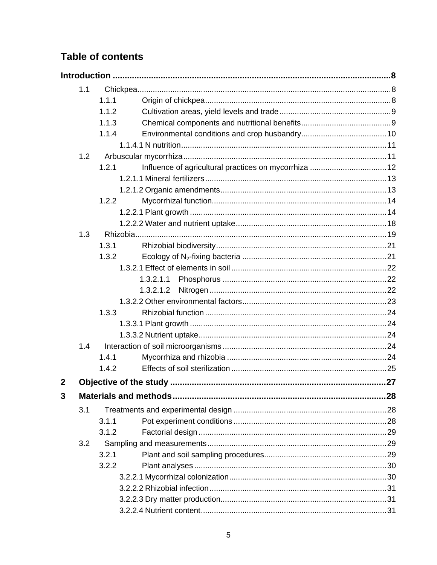# **Table of contents**

|                | 1.1 |       |           |     |
|----------------|-----|-------|-----------|-----|
|                |     | 1.1.1 |           |     |
|                |     | 1.1.2 |           |     |
|                |     | 1.1.3 |           |     |
|                |     | 1.1.4 |           |     |
|                |     |       |           |     |
|                | 1.2 |       |           |     |
|                |     | 1.2.1 |           |     |
|                |     |       |           |     |
|                |     |       |           |     |
|                |     | 1.2.2 |           |     |
|                |     |       |           |     |
|                |     |       |           |     |
|                | 1.3 |       |           |     |
|                |     | 1.3.1 |           |     |
|                |     | 1.3.2 |           |     |
|                |     |       |           |     |
|                |     |       | 1.3.2.1.1 |     |
|                |     |       | 1.3.2.1.2 |     |
|                |     |       |           |     |
|                |     | 1.3.3 |           |     |
|                |     |       |           |     |
|                |     |       |           |     |
|                | 1.4 |       |           |     |
|                |     | 1.4.1 |           |     |
|                |     | 1.4.2 |           |     |
| $\overline{2}$ |     |       |           |     |
| 3              |     |       |           | .28 |
|                | 3.1 |       |           |     |
|                |     | 3.1.1 |           |     |
|                |     | 3.1.2 |           |     |
|                | 3.2 |       |           |     |
|                |     | 3.2.1 |           |     |
|                |     | 3.2.2 |           |     |
|                |     |       |           |     |
|                |     |       |           |     |
|                |     |       |           |     |
|                |     |       |           |     |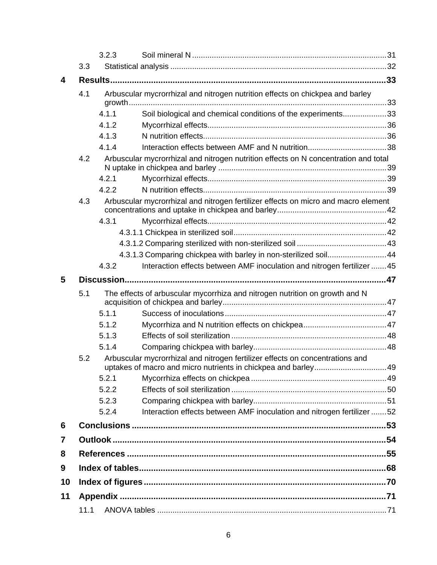|    |      | 3.2.3 |                                                                                     |  |
|----|------|-------|-------------------------------------------------------------------------------------|--|
|    | 3.3  |       |                                                                                     |  |
| 4  |      |       |                                                                                     |  |
|    | 4.1  |       | Arbuscular mycrorrhizal and nitrogen nutrition effects on chickpea and barley       |  |
|    |      |       |                                                                                     |  |
|    |      | 4.1.1 | Soil biological and chemical conditions of the experiments33                        |  |
|    |      | 4.1.2 |                                                                                     |  |
|    |      | 4.1.3 |                                                                                     |  |
|    |      | 4.1.4 |                                                                                     |  |
|    | 4.2  |       | Arbuscular mycrorrhizal and nitrogen nutrition effects on N concentration and total |  |
|    |      | 4.2.1 |                                                                                     |  |
|    |      | 4.2.2 |                                                                                     |  |
|    | 4.3  |       | Arbuscular mycrorrhizal and nitrogen fertilizer effects on micro and macro element  |  |
|    |      | 4.3.1 |                                                                                     |  |
|    |      |       |                                                                                     |  |
|    |      |       |                                                                                     |  |
|    |      |       | 4.3.1.3 Comparing chickpea with barley in non-sterilized soil 44                    |  |
|    |      | 4.3.2 | Interaction effects between AMF inoculation and nitrogen fertilizer 45              |  |
| 5  |      |       |                                                                                     |  |
|    | 5.1  |       | The effects of arbuscular mycorrhiza and nitrogen nutrition on growth and N         |  |
|    |      | 5.1.1 |                                                                                     |  |
|    |      | 5.1.2 |                                                                                     |  |
|    |      | 5.1.3 |                                                                                     |  |
|    |      | 5.1.4 |                                                                                     |  |
|    | 5.2  |       | Arbuscular mycrorrhizal and nitrogen fertilizer effects on concentrations and       |  |
|    |      | 5.2.1 |                                                                                     |  |
|    |      | 5.2.2 |                                                                                     |  |
|    |      | 5.2.3 |                                                                                     |  |
|    |      | 5.2.4 | Interaction effects between AMF inoculation and nitrogen fertilizer 52              |  |
| 6  |      |       |                                                                                     |  |
| 7  |      |       |                                                                                     |  |
| 8  |      |       |                                                                                     |  |
| 9  |      |       |                                                                                     |  |
| 10 |      |       |                                                                                     |  |
| 11 |      |       |                                                                                     |  |
|    | 11.1 |       |                                                                                     |  |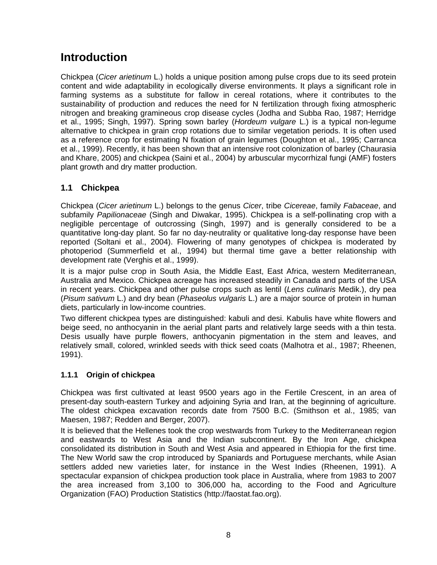# **Introduction**

Chickpea (*Cicer arietinum* L.) holds a unique position among pulse crops due to its seed protein content and wide adaptability in ecologically diverse environments. It plays a significant role in farming systems as a substitute for fallow in cereal rotations, where it contributes to the sustainability of production and reduces the need for N fertilization through fixing atmospheric nitrogen and breaking gramineous crop disease cycles (Jodha and Subba Rao, 1987; Herridge et al., 1995; Singh, 1997). Spring sown barley (*Hordeum vulgare* L.) is a typical non-legume alternative to chickpea in grain crop rotations due to similar vegetation periods. It is often used as a reference crop for estimating N fixation of grain legumes (Doughton et al., 1995; Carranca et al., 1999). Recently, it has been shown that an intensive root colonization of barley (Chaurasia and Khare, 2005) and chickpea (Saini et al., 2004) by arbuscular mycorrhizal fungi (AMF) fosters plant growth and dry matter production.

# **1.1 Chickpea**

Chickpea (*Cicer arietinum* L.) belongs to the genus *Cicer*, tribe *Cicereae*, family *Fabaceae*, and subfamily *Papilionaceae* (Singh and Diwakar, 1995). Chickpea is a self-pollinating crop with a negligible percentage of outcrossing (Singh, 1997) and is generally considered to be a quantitative long-day plant. So far no day-neutrality or qualitative long-day response have been reported (Soltani et al., 2004). Flowering of many genotypes of chickpea is moderated by photoperiod (Summerfield et al., 1994) but thermal time gave a better relationship with development rate (Verghis et al., 1999).

It is a major pulse crop in South Asia, the Middle East, East Africa, western Mediterranean, Australia and Mexico. Chickpea acreage has increased steadily in Canada and parts of the USA in recent years. Chickpea and other pulse crops such as lentil (*Lens culinaris* Medik.), dry pea (*Pisum sativum* L.) and dry bean (*Phaseolus vulgaris* L.) are a major source of protein in human diets, particularly in low-income countries.

Two different chickpea types are distinguished: kabuli and desi. Kabulis have white flowers and beige seed, no anthocyanin in the aerial plant parts and relatively large seeds with a thin testa. Desis usually have purple flowers, anthocyanin pigmentation in the stem and leaves, and relatively small, colored, wrinkled seeds with thick seed coats (Malhotra et al., 1987; Rheenen, 1991).

# **1.1.1 Origin of chickpea**

Chickpea was first cultivated at least 9500 years ago in the Fertile Crescent, in an area of present-day south-eastern Turkey and adjoining Syria and Iran, at the beginning of agriculture. The oldest chickpea excavation records date from 7500 B.C. (Smithson et al., 1985; van Maesen, 1987; Redden and Berger, 2007).

It is believed that the Hellenes took the crop westwards from Turkey to the Mediterranean region and eastwards to West Asia and the Indian subcontinent. By the Iron Age, chickpea consolidated its distribution in South and West Asia and appeared in Ethiopia for the first time. The New World saw the crop introduced by Spaniards and Portuguese merchants, while Asian settlers added new varieties later, for instance in the West Indies (Rheenen, 1991). A spectacular expansion of chickpea production took place in Australia, where from 1983 to 2007 the area increased from 3,100 to 306,000 ha, according to the Food and Agriculture Organization (FAO) Production Statistics (http://faostat.fao.org).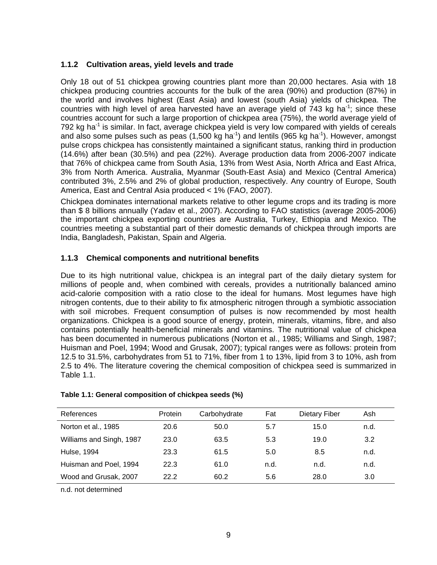#### **1.1.2 Cultivation areas, yield levels and trade**

Only 18 out of 51 chickpea growing countries plant more than 20,000 hectares. Asia with 18 chickpea producing countries accounts for the bulk of the area (90%) and production (87%) in the world and involves highest (East Asia) and lowest (south Asia) yields of chickpea. The countries with high level of area harvested have an average yield of  $743$  kg ha<sup>-1</sup>; since these countries account for such a large proportion of chickpea area (75%), the world average yield of 792 kg ha<sup>-1</sup> is similar. In fact, average chickpea yield is very low compared with yields of cereals and also some pulses such as peas  $(1,500 \text{ kg ha}^{-1})$  and lentils  $(965 \text{ kg ha}^{-1})$ . However, amongst pulse crops chickpea has consistently maintained a significant status, ranking third in production (14.6%) after bean (30.5%) and pea (22%). Average production data from 2006-2007 indicate that 76% of chickpea came from South Asia, 13% from West Asia, North Africa and East Africa, 3% from North America. Australia, Myanmar (South-East Asia) and Mexico (Central America) contributed 3%, 2.5% and 2% of global production, respectively. Any country of Europe, South America, East and Central Asia produced < 1% (FAO, 2007).

Chickpea dominates international markets relative to other legume crops and its trading is more than \$ 8 billions annually (Yadav et al., 2007). According to FAO statistics (average 2005-2006) the important chickpea exporting countries are Australia, Turkey, Ethiopia and Mexico. The countries meeting a substantial part of their domestic demands of chickpea through imports are India, Bangladesh, Pakistan, Spain and Algeria.

# **1.1.3 Chemical components and nutritional benefits**

Due to its high nutritional value, chickpea is an integral part of the daily dietary system for millions of people and, when combined with cereals, provides a nutritionally balanced amino acid-calorie composition with a ratio close to the ideal for humans. Most legumes have high nitrogen contents, due to their ability to fix atmospheric nitrogen through a symbiotic association with soil microbes. Frequent consumption of pulses is now recommended by most health organizations. Chickpea is a good source of energy, protein, minerals, vitamins, fibre, and also contains potentially health-beneficial minerals and vitamins. The nutritional value of chickpea has been documented in numerous publications (Norton et al., 1985; Williams and Singh, 1987; Huisman and Poel, 1994; Wood and Grusak, 2007); typical ranges were as follows: protein from 12.5 to 31.5%, carbohydrates from 51 to 71%, fiber from 1 to 13%, lipid from 3 to 10%, ash from 2.5 to 4%. The literature covering the chemical composition of chickpea seed is summarized in Table 1.1.

| References               | Protein | Carbohydrate | Fat  | <b>Dietary Fiber</b> | Ash  |
|--------------------------|---------|--------------|------|----------------------|------|
| Norton et al., 1985      | 20.6    | 50.0         | 5.7  | 15.0                 | n.d. |
| Williams and Singh, 1987 | 23.0    | 63.5         | 5.3  | 19.0                 | 3.2  |
| Hulse, 1994              | 23.3    | 61.5         | 5.0  | 8.5                  | n.d. |
| Huisman and Poel, 1994   | 22.3    | 61.0         | n.d. | n.d.                 | n.d. |
| Wood and Grusak, 2007    | 22.2    | 60.2         | 5.6  | 28.0                 | 3.0  |
|                          |         |              |      |                      |      |

#### **Table 1.1: General composition of chickpea seeds (%)**

n.d. not determined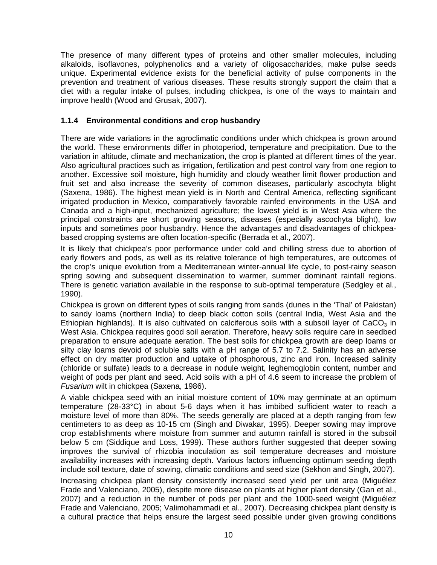The presence of many different types of proteins and other smaller molecules, including alkaloids, isoflavones, polyphenolics and a variety of oligosaccharides, make pulse seeds unique. Experimental evidence exists for the beneficial activity of pulse components in the prevention and treatment of various diseases. These results strongly support the claim that a diet with a regular intake of pulses, including chickpea, is one of the ways to maintain and improve health (Wood and Grusak, 2007).

#### **1.1.4 Environmental conditions and crop husbandry**

There are wide variations in the agroclimatic conditions under which chickpea is grown around the world. These environments differ in photoperiod, temperature and precipitation. Due to the variation in altitude, climate and mechanization, the crop is planted at different times of the year. Also agricultural practices such as irrigation, fertilization and pest control vary from one region to another. Excessive soil moisture, high humidity and cloudy weather limit flower production and fruit set and also increase the severity of common diseases, particularly ascochyta blight (Saxena, 1986). The highest mean yield is in North and Central America, reflecting significant irrigated production in Mexico, comparatively favorable rainfed environments in the USA and Canada and a high-input, mechanized agriculture; the lowest yield is in West Asia where the principal constraints are short growing seasons, diseases (especially ascochyta blight), low inputs and sometimes poor husbandry. Hence the advantages and disadvantages of chickpeabased cropping systems are often location-specific (Berrada et al., 2007).

It is likely that chickpea's poor performance under cold and chilling stress due to abortion of early flowers and pods, as well as its relative tolerance of high temperatures, are outcomes of the crop's unique evolution from a Mediterranean winter-annual life cycle, to post-rainy season spring sowing and subsequent dissemination to warmer, summer dominant rainfall regions. There is genetic variation available in the response to sub-optimal temperature (Sedgley et al., 1990).

Chickpea is grown on different types of soils ranging from sands (dunes in the 'Thal' of Pakistan) to sandy loams (northern India) to deep black cotton soils (central India, West Asia and the Ethiopian highlands). It is also cultivated on calciferous soils with a subsoil layer of CaCO<sub>3</sub> in West Asia. Chickpea requires good soil aeration. Therefore, heavy soils require care in seedbed preparation to ensure adequate aeration. The best soils for chickpea growth are deep loams or silty clay loams devoid of soluble salts with a pH range of 5.7 to 7.2. Salinity has an adverse effect on dry matter production and uptake of phosphorous, zinc and iron. Increased salinity (chloride or sulfate) leads to a decrease in nodule weight, leghemoglobin content, number and weight of pods per plant and seed. Acid soils with a pH of 4.6 seem to increase the problem of *Fusarium* wilt in chickpea (Saxena, 1986).

A viable chickpea seed with an initial moisture content of 10% may germinate at an optimum temperature (28-33°C) in about 5-6 days when it has imbibed sufficient water to reach a moisture level of more than 80%. The seeds generally are placed at a depth ranging from few centimeters to as deep as 10-15 cm (Singh and Diwakar, 1995). Deeper sowing may improve crop establishments where moisture from summer and autumn rainfall is stored in the subsoil below 5 cm (Siddique and Loss, 1999). These authors further suggested that deeper sowing improves the survival of rhizobia inoculation as soil temperature decreases and moisture availability increases with increasing depth. Various factors influencing optimum seeding depth include soil texture, date of sowing, climatic conditions and seed size (Sekhon and Singh, 2007). Increasing chickpea plant density consistently increased seed yield per unit area (Miguélez Frade and Valenciano, 2005), despite more disease on plants at higher plant density (Gan et al., 2007) and a reduction in the number of pods per plant and the 1000-seed weight (Miguélez Frade and Valenciano, 2005; Valimohammadi et al., 2007). Decreasing chickpea plant density is a cultural practice that helps ensure the largest seed possible under given growing conditions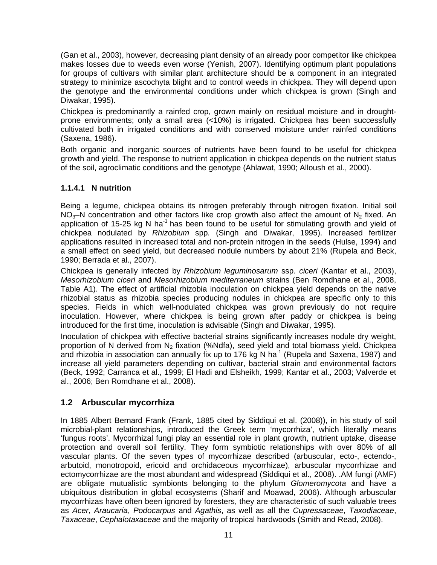(Gan et al., 2003), however, decreasing plant density of an already poor competitor like chickpea makes losses due to weeds even worse (Yenish, 2007). Identifying optimum plant populations for groups of cultivars with similar plant architecture should be a component in an integrated strategy to minimize ascochyta blight and to control weeds in chickpea. They will depend upon the genotype and the environmental conditions under which chickpea is grown (Singh and Diwakar, 1995).

Chickpea is predominantly a rainfed crop, grown mainly on residual moisture and in droughtprone environments; only a small area (<10%) is irrigated. Chickpea has been successfully cultivated both in irrigated conditions and with conserved moisture under rainfed conditions (Saxena, 1986).

Both organic and inorganic sources of nutrients have been found to be useful for chickpea growth and yield. The response to nutrient application in chickpea depends on the nutrient status of the soil, agroclimatic conditions and the genotype (Ahlawat, 1990; Alloush et al., 2000).

#### **1.1.4.1 N nutrition**

Being a legume, chickpea obtains its nitrogen preferably through nitrogen fixation. Initial soil  $NO<sub>3</sub>–N$  concentration and other factors like crop growth also affect the amount of  $N<sub>2</sub>$  fixed. An application of 15-25 kg N ha<sup>-1</sup> has been found to be useful for stimulating growth and yield of chickpea nodulated by *Rhizobium* spp*.* (Singh and Diwakar, 1995). Increased fertilizer applications resulted in increased total and non-protein nitrogen in the seeds (Hulse, 1994) and a small effect on seed yield, but decreased nodule numbers by about 21% (Rupela and Beck, 1990; Berrada et al., 2007).

Chickpea is generally infected by *Rhizobium leguminosarum* ssp. *ciceri* (Kantar et al., 2003), *Mesorhizobium ciceri* and *Mesorhizobium mediterraneum* strains (Ben Romdhane et al., 2008, Table A1). The effect of artificial rhizobia inoculation on chickpea yield depends on the native rhizobial status as rhizobia species producing nodules in chickpea are specific only to this species. Fields in which well-nodulated chickpea was grown previously do not require inoculation. However, where chickpea is being grown after paddy or chickpea is being introduced for the first time, inoculation is advisable (Singh and Diwakar, 1995).

Inoculation of chickpea with effective bacterial strains significantly increases nodule dry weight, proportion of N derived from  $N_2$  fixation (%Ndfa), seed yield and total biomass yield. Chickpea and rhizobia in association can annually fix up to 176 kg N ha<sup>-1</sup> (Rupela and Saxena, 1987) and increase all yield parameters depending on cultivar, bacterial strain and environmental factors (Beck, 1992; Carranca et al., 1999; El Hadi and Elsheikh, 1999; Kantar et al., 2003; Valverde et al., 2006; Ben Romdhane et al., 2008).

# **1.2 Arbuscular mycorrhiza**

In 1885 Albert Bernard Frank (Frank, 1885 cited by Siddiqui et al. (2008)), in his study of soil microbial-plant relationships, introduced the Greek term 'mycorrhiza', which literally means 'fungus roots'. Mycorrhizal fungi play an essential role in plant growth, nutrient uptake, disease protection and overall soil fertility. They form symbiotic relationships with over 80% of all vascular plants. Of the seven types of mycorrhizae described (arbuscular, ecto-, ectendo-, arbutoid, monotropoid, ericoid and orchidaceous mycorrhizae), arbuscular mycorrhizae and ectomycorrhizae are the most abundant and widespread (Siddiqui et al., 2008). .AM fungi (AMF) are obligate mutualistic symbionts belonging to the phylum *Glomeromycota* and have a ubiquitous distribution in global ecosystems (Sharif and Moawad, 2006). Although arbuscular mycorrhizas have often been ignored by foresters, they are characteristic of such valuable trees as *Acer*, *Araucaria*, *Podocarpus* and *Agathis*, as well as all the *Cupressaceae*, *Taxodiaceae*, *Taxaceae*, *Cephalotaxaceae* and the majority of tropical hardwoods (Smith and Read, 2008).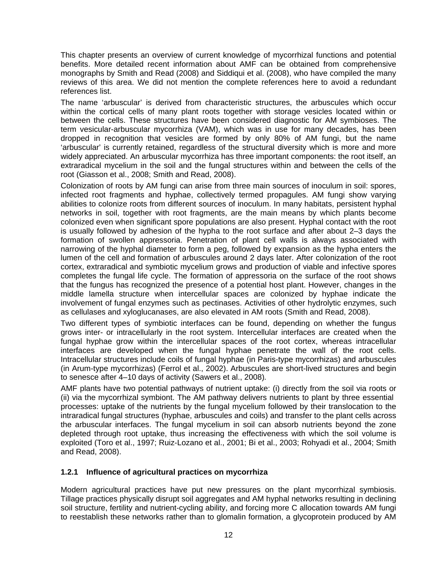This chapter presents an overview of current knowledge of mycorrhizal functions and potential benefits. More detailed recent information about AMF can be obtained from comprehensive monographs by Smith and Read (2008) and Siddiqui et al. (2008), who have compiled the many reviews of this area. We did not mention the complete references here to avoid a redundant references list.

The name 'arbuscular' is derived from characteristic structures, the arbuscules which occur within the cortical cells of many plant roots together with storage vesicles located within or between the cells. These structures have been considered diagnostic for AM symbioses. The term vesicular-arbuscular mycorrhiza (VAM), which was in use for many decades, has been dropped in recognition that vesicles are formed by only 80% of AM fungi, but the name 'arbuscular' is currently retained, regardless of the structural diversity which is more and more widely appreciated. An arbuscular mycorrhiza has three important components: the root itself, an extraradical mycelium in the soil and the fungal structures within and between the cells of the root (Giasson et al., 2008; Smith and Read, 2008).

Colonization of roots by AM fungi can arise from three main sources of inoculum in soil: spores, infected root fragments and hyphae, collectively termed propagules. AM fungi show varying abilities to colonize roots from different sources of inoculum. In many habitats, persistent hyphal networks in soil, together with root fragments, are the main means by which plants become colonized even when significant spore populations are also present. Hyphal contact with the root is usually followed by adhesion of the hypha to the root surface and after about 2–3 days the formation of swollen appressoria. Penetration of plant cell walls is always associated with narrowing of the hyphal diameter to form a peg, followed by expansion as the hypha enters the lumen of the cell and formation of arbuscules around 2 days later. After colonization of the root cortex, extraradical and symbiotic mycelium grows and production of viable and infective spores completes the fungal life cycle. The formation of appressoria on the surface of the root shows that the fungus has recognized the presence of a potential host plant. However, changes in the middle lamella structure when intercellular spaces are colonized by hyphae indicate the involvement of fungal enzymes such as pectinases. Activities of other hydrolytic enzymes, such as cellulases and xyloglucanases, are also elevated in AM roots (Smith and Read, 2008).

Two different types of symbiotic interfaces can be found, depending on whether the fungus grows inter- or intracellularly in the root system. Intercellular interfaces are created when the fungal hyphae grow within the intercellular spaces of the root cortex, whereas intracellular interfaces are developed when the fungal hyphae penetrate the wall of the root cells. Intracellular structures include coils of fungal hyphae (in Paris-type mycorrhizas) and arbuscules (in Arum-type mycorrhizas) (Ferrol et al., 2002). Arbuscules are short-lived structures and begin to senesce after 4–10 days of activity (Sawers et al., 2008)*.*

AMF plants have two potential pathways of nutrient uptake: (i) directly from the soil via roots or (ii) via the mycorrhizal symbiont. The AM pathway delivers nutrients to plant by three essential processes: uptake of the nutrients by the fungal mycelium followed by their translocation to the intraradical fungal structures (hyphae, arbuscules and coils) and transfer to the plant cells across the arbuscular interfaces. The fungal mycelium in soil can absorb nutrients beyond the zone depleted through root uptake, thus increasing the effectiveness with which the soil volume is exploited (Toro et al., 1997; Ruiz-Lozano et al., 2001; Bi et al., 2003; Rohyadi et al., 2004; Smith and Read, 2008).

#### **1.2.1 Influence of agricultural practices on mycorrhiza**

Modern agricultural practices have put new pressures on the plant mycorrhizal symbiosis. Tillage practices physically disrupt soil aggregates and AM hyphal networks resulting in declining soil structure, fertility and nutrient-cycling ability, and forcing more C allocation towards AM fungi to reestablish these networks rather than to glomalin formation, a glycoprotein produced by AM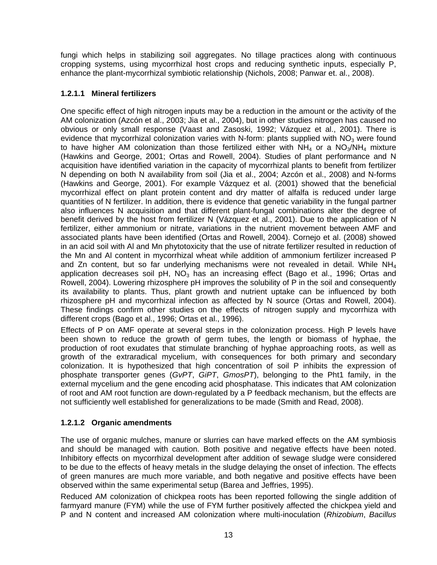fungi which helps in stabilizing soil aggregates. No tillage practices along with continuous cropping systems, using mycorrhizal host crops and reducing synthetic inputs, especially P, enhance the plant-mycorrhizal symbiotic relationship (Nichols, 2008; Panwar et. al., 2008).

#### **1.2.1.1 Mineral fertilizers**

One specific effect of high nitrogen inputs may be a reduction in the amount or the activity of the AM colonization (Azcón et al., 2003; Jia et al., 2004), but in other studies nitrogen has caused no obvious or only small response (Vaast and Zasoski, 1992; Vázquez et al., 2001). There is evidence that mycorrhizal colonization varies with N-form: plants supplied with  $NO<sub>3</sub>$  were found to have higher AM colonization than those fertilized either with  $NH_4$  or a  $NO_3/NH_4$  mixture (Hawkins and George, 2001; Ortas and Rowell, 2004). Studies of plant performance and N acquisition have identified variation in the capacity of mycorrhizal plants to benefit from fertilizer N depending on both N availability from soil (Jia et al., 2004; Azcón et al., 2008) and N-forms (Hawkins and George, 2001). For example Vázquez et al. (2001) showed that the beneficial mycorrhizal effect on plant protein content and dry matter of alfalfa is reduced under large quantities of N fertilizer. In addition, there is evidence that genetic variability in the fungal partner also influences N acquisition and that different plant-fungal combinations alter the degree of benefit derived by the host from fertilizer N (Vázquez et al., 2001). Due to the application of N fertilizer, either ammonium or nitrate, variations in the nutrient movement between AMF and associated plants have been identified (Ortas and Rowell, 2004). Cornejo et al. (2008) showed in an acid soil with Al and Mn phytotoxicity that the use of nitrate fertilizer resulted in reduction of the Mn and Al content in mycorrhizal wheat while addition of ammonium fertilizer increased P and Zn content, but so far underlying mechanisms were not revealed in detail. While  $NH<sub>4</sub>$ application decreases soil pH,  $NO<sub>3</sub>$  has an increasing effect (Bago et al., 1996; Ortas and Rowell, 2004). Lowering rhizosphere pH improves the solubility of P in the soil and consequently its availability to plants. Thus, plant growth and nutrient uptake can be influenced by both rhizosphere pH and mycorrhizal infection as affected by N source (Ortas and Rowell, 2004). These findings confirm other studies on the effects of nitrogen supply and mycorrhiza with different crops (Bago et al., 1996; Ortas et al., 1996).

Effects of P on AMF operate at several steps in the colonization process. High P levels have been shown to reduce the growth of germ tubes, the length or biomass of hyphae, the production of root exudates that stimulate branching of hyphae approaching roots, as well as growth of the extraradical mycelium, with consequences for both primary and secondary colonization. It is hypothesized that high concentration of soil P inhibits the expression of phosphate transporter genes (*GvPT*, *GiPT*, *GmosPT*), belonging to the Pht1 family, in the external mycelium and the gene encoding acid phosphatase. This indicates that AM colonization of root and AM root function are down-regulated by a P feedback mechanism, but the effects are not sufficiently well established for generalizations to be made (Smith and Read, 2008).

#### **1.2.1.2 Organic amendments**

The use of organic mulches, manure or slurries can have marked effects on the AM symbiosis and should be managed with caution. Both positive and negative effects have been noted. Inhibitory effects on mycorrhizal development after addition of sewage sludge were considered to be due to the effects of heavy metals in the sludge delaying the onset of infection. The effects of green manures are much more variable, and both negative and positive effects have been observed within the same experimental setup (Barea and Jeffries, 1995).

Reduced AM colonization of chickpea roots has been reported following the single addition of farmyard manure (FYM) while the use of FYM further positively affected the chickpea yield and P and N content and increased AM colonization where multi-inoculation (*Rhizobium*, *Bacillus*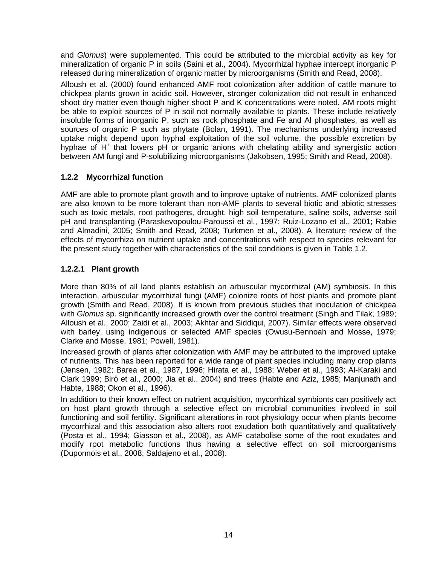and *Glomus*) were supplemented. This could be attributed to the microbial activity as key for mineralization of organic P in soils (Saini et al., 2004). Mycorrhizal hyphae intercept inorganic P released during mineralization of organic matter by microorganisms (Smith and Read, 2008).

Alloush et al. (2000) found enhanced AMF root colonization after addition of cattle manure to chickpea plants grown in acidic soil. However, stronger colonization did not result in enhanced shoot dry matter even though higher shoot P and K concentrations were noted. AM roots might be able to exploit sources of P in soil not normally available to plants. These include relatively insoluble forms of inorganic P, such as rock phosphate and Fe and Al phosphates, as well as sources of organic P such as phytate (Bolan, 1991). The mechanisms underlying increased uptake might depend upon hyphal exploitation of the soil volume, the possible excretion by hyphae of H<sup>+</sup> that lowers pH or organic anions with chelating ability and synergistic action between AM fungi and P-solubilizing microorganisms (Jakobsen, 1995; Smith and Read, 2008).

#### **1.2.2 Mycorrhizal function**

AMF are able to promote plant growth and to improve uptake of nutrients. AMF colonized plants are also known to be more tolerant than non-AMF plants to several biotic and abiotic stresses such as toxic metals, root pathogens, drought, high soil temperature, saline soils, adverse soil pH and transplanting (Paraskevopoulou-Paroussi et al., 1997; Ruiz-Lozano et al., 2001; Rabie and Almadini, 2005; Smith and Read, 2008; Turkmen et al., 2008). A literature review of the effects of mycorrhiza on nutrient uptake and concentrations with respect to species relevant for the present study together with characteristics of the soil conditions is given in Table 1.2.

#### **1.2.2.1 Plant growth**

More than 80% of all land plants establish an arbuscular mycorrhizal (AM) symbiosis. In this interaction, arbuscular mycorrhizal fungi (AMF) colonize roots of host plants and promote plant growth (Smith and Read, 2008). It is known from previous studies that inoculation of chickpea with *Glomus* sp. significantly increased growth over the control treatment (Singh and Tilak, 1989; Alloush et al., 2000; Zaidi et al., 2003; Akhtar and Siddiqui, 2007). Similar effects were observed with barley, using indigenous or selected AMF species (Owusu-Bennoah and Mosse, 1979; Clarke and Mosse, 1981; Powell, 1981).

Increased growth of plants after colonization with AMF may be attributed to the improved uptake of nutrients. This has been reported for a wide range of plant species including many crop plants (Jensen, 1982; Barea et al., 1987, 1996; Hirata et al., 1988; Weber et al., 1993; Al-Karaki and Clark 1999; Biró et al., 2000; Jia et al., 2004) and trees (Habte and Aziz, 1985; Manjunath and Habte, 1988; Okon et al., 1996).

In addition to their known effect on nutrient acquisition, mycorrhizal symbionts can positively act on host plant growth through a selective effect on microbial communities involved in soil functioning and soil fertility. Significant alterations in root physiology occur when plants become mycorrhizal and this association also alters root exudation both quantitatively and qualitatively (Posta et al., 1994; Giasson et al., 2008), as AMF catabolise some of the root exudates and modify root metabolic functions thus having a selective effect on soil microorganisms (Duponnois et al., 2008; Saldajeno et al., 2008).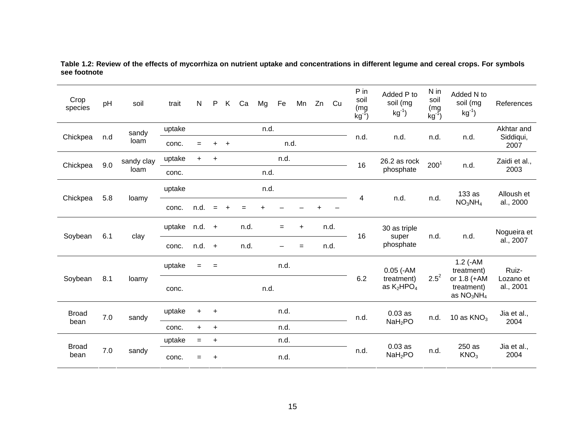| Crop<br>species      | pH      | soil       | trait  | N         | $\mathsf{P}$ | K         | Ca   | Mg   | Fe   | Mn        | Zn Cu | P in<br>soil<br>$\begin{pmatrix} mg \\ kg^{-1} \end{pmatrix}$ | Added P to<br>soil (mg<br>$kg^{-1}$ ) | N in<br>soil<br>$(mq \nmid q^1)$         | Added N to<br>soil (mg<br>$kg^{-1}$ )     | References              |  |
|----------------------|---------|------------|--------|-----------|--------------|-----------|------|------|------|-----------|-------|---------------------------------------------------------------|---------------------------------------|------------------------------------------|-------------------------------------------|-------------------------|--|
| Chickpea             | n.d     | sandy      | uptake |           |              |           |      | n.d. |      |           |       | n.d.                                                          | n.d.                                  | n.d.                                     | n.d.                                      | Akhtar and<br>Siddiqui, |  |
|                      |         | loam       | conc.  | $=$       |              | $\ddot{}$ |      |      | n.d. |           |       |                                                               |                                       |                                          |                                           | 2007                    |  |
| Chickpea             | 9.0     | sandy clay | uptake | $+$       | $\ddot{}$    |           |      |      | n.d. |           |       | 16                                                            | 26.2 as rock                          | 200 <sup>1</sup>                         | n.d.                                      | Zaidi et al.,           |  |
|                      |         | loam       | conc.  |           |              |           |      | n.d. |      |           |       |                                                               | phosphate                             |                                          |                                           | 2003                    |  |
|                      | 5.8     | loamy      | uptake |           |              |           |      | n.d. |      |           |       | 4                                                             |                                       | n.d.                                     | 133 as<br>NO <sub>3</sub> NH <sub>4</sub> | Alloush et<br>al., 2000 |  |
| Chickpea             |         |            | conc.  | n.d.      | $=$          |           |      |      |      |           |       |                                                               | n.d.                                  |                                          |                                           |                         |  |
| Soybean              | 6.1     | clay       | uptake | $n.d. +$  |              |           | n.d. |      | $=$  | $\ddot{}$ | n.d.  | 16                                                            | 30 as triple                          | n.d.                                     | n.d.                                      | Nogueira et             |  |
|                      |         |            | conc.  | n.d.      | $+$          |           | n.d. |      |      | $=$       | n.d.  |                                                               | super<br>phosphate                    |                                          |                                           | al., 2007               |  |
|                      |         |            | uptake | $=$       | $=$          |           |      |      | n.d. |           |       |                                                               | $0.05$ (-AM                           |                                          | $1.2$ (-AM<br>treatment)                  | Ruiz-                   |  |
| Soybean              | 8.1     | loamy      | conc.  |           |              |           |      | n.d. |      |           |       | 6.2<br>treatment)<br>as $K_2HPO_4$                            | $2.5^2$                               | or 1.8 (+AM<br>treatment)<br>as $NO3NH4$ | Lozano et<br>al., 2001                    |                         |  |
| <b>Broad</b>         | $7.0\,$ | sandy      | uptake | $\ddot{}$ | $\ddot{}$    |           |      |      | n.d. |           |       | n.d.                                                          | $0.03$ as                             | n.d.                                     | 10 as $KNO3$                              | Jia et al.,             |  |
| bean                 |         |            | conc.  | $\ddot{}$ | $\ddot{}$    |           |      |      | n.d. |           |       |                                                               | NaH <sub>2</sub> PO                   |                                          |                                           | 2004                    |  |
|                      |         |            | uptake | $=$       | $\ddot{}$    |           |      |      | n.d. |           |       |                                                               | $0.03$ as                             |                                          | 250 as                                    | Jia et al.,             |  |
| <b>Broad</b><br>bean | 7.0     | sandy      | conc.  | $=$       | $\ddot{}$    |           |      |      | n.d. |           |       | n.d.                                                          | NaH <sub>2</sub> PO                   | n.d.                                     | KNO <sub>3</sub>                          | 2004                    |  |

**Table 1.2: Review of the effects of mycorrhiza on nutrient uptake and concentrations in different legume and cereal crops. For symbols see footnote**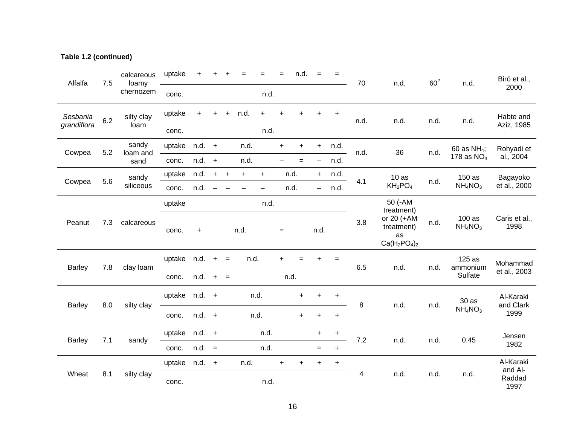#### **Table 1.2 (continued)**

| Alfalfa       | 7.5 | calcareous<br>loamy<br>chernozem | uptake        | $\ddot{}$ |           |           |           | =                        | $=$                      | n.d.      | $=$                      |           | 70         | n.d.                                              | $60^2$ | n.d.                            | Biró et al.,              |  |
|---------------|-----|----------------------------------|---------------|-----------|-----------|-----------|-----------|--------------------------|--------------------------|-----------|--------------------------|-----------|------------|---------------------------------------------------|--------|---------------------------------|---------------------------|--|
|               |     |                                  | conc.         |           |           |           |           | n.d.                     |                          |           |                          |           |            |                                                   |        |                                 | 2000                      |  |
| Sesbania      | 6.2 | silty clay                       | uptake        | $\ddot{}$ |           | $\ddot{}$ | n.d.      | $+$                      | $\ddot{}$                | $\ddot{}$ | $+$                      | $+$       | n.d.       | n.d.                                              | n.d.   | n.d.                            | Habte and                 |  |
| grandiflora   |     | loam                             | conc.         |           |           |           |           | n.d.                     |                          |           |                          |           |            |                                                   |        |                                 | Aziz, 1985                |  |
| Cowpea        | 5.2 | sandy<br>loam and<br>sand        | uptake        | $n.d. +$  |           |           | n.d.      |                          | $\ddot{}$                | $\ddot{}$ | $+$                      | n.d.      | 36<br>n.d. |                                                   | n.d.   | 60 as NH <sub>4</sub> ;         | Rohyadi et                |  |
|               |     |                                  | conc.         | n.d.      | $\ddot{}$ |           | n.d.      |                          | $\overline{\phantom{0}}$ | $=$       | $\overline{\phantom{0}}$ | n.d.      |            |                                                   |        | 178 as $NO3$                    | al., 2004                 |  |
| Cowpea        | 5.6 | sandy                            | uptake        | n.d.      | $+$       | $\ddot{}$ | $\ddot{}$ | $+$                      | n.d.                     |           | $+$                      | n.d.      | 4.1        | 10as                                              | n.d.   | 150 as                          | Bagayoko                  |  |
|               |     | siliceous                        | conc.         | n.d.      |           |           |           | $\overline{\phantom{0}}$ | n.d.                     |           | $\overline{\phantom{0}}$ | n.d.      |            | $KH_2PO_4$                                        |        | NH <sub>4</sub> NO <sub>3</sub> | et al., 2000              |  |
|               |     | calcareous                       | uptake        |           |           |           |           | n.d.                     |                          |           |                          |           |            | 50 (-AM<br>treatment)                             |        | 100as<br>$NH_4NO_3$             |                           |  |
| Peanut        | 7.3 |                                  | conc.         | $\ddot{}$ |           |           | n.d.      |                          | $=$                      |           | n.d.                     |           | 3.8        | or 20 (+AM<br>treatment)<br>as<br>$Ca(H_2PO_4)_2$ | n.d.   |                                 | Caris et al.,<br>1998     |  |
| <b>Barley</b> | 7.8 | clay loam                        | uptake        | n.d.      | $\ddot{}$ | $=$       | n.d.      |                          | $\ddot{}$                | $=$       |                          | $=$       | 6.5        | n.d.                                              | n.d.   | 125 as<br>ammonium              | Mohammad                  |  |
|               |     |                                  | conc.         | n.d.      | $\ddot{}$ | $=$       |           |                          | n.d.                     |           |                          |           |            |                                                   |        | Sulfate                         | et al., 2003              |  |
| <b>Barley</b> | 8.0 | silty clay                       | uptake        | n.d. +    |           |           | n.d.      |                          |                          | $\ddot{}$ | +                        | +         | 8          | n.d.                                              | n.d.   | 30as                            | Al-Karaki<br>and Clark    |  |
|               |     |                                  | conc.         | n.d.      | $+$       |           | n.d.      |                          |                          | $+$       | $+$                      | $\ddot{}$ |            |                                                   |        | NH <sub>4</sub> NO <sub>3</sub> | 1999                      |  |
| <b>Barley</b> | 7.1 | sandy                            | uptake        | $n.d. +$  |           |           |           | n.d.                     |                          |           | $+$                      | $\ddot{}$ | 7.2        | n.d.                                              | n.d.   | 0.45                            | Jensen                    |  |
|               |     |                                  | conc.         | $n.d. =$  |           |           |           | n.d.                     |                          |           | $=$                      | $\ddot{}$ |            |                                                   |        |                                 | 1982                      |  |
|               |     |                                  | uptake n.d. + |           |           |           | n.d.      |                          | $\ddot{}$                | +         | $\ddot{}$                | $\ddot{}$ |            |                                                   |        |                                 | Al-Karaki                 |  |
| Wheat         | 8.1 | silty clay                       | conc.         |           |           |           |           | n.d.                     |                          |           |                          |           | 4          | n.d.                                              | n.d.   | n.d.                            | and Al-<br>Raddad<br>1997 |  |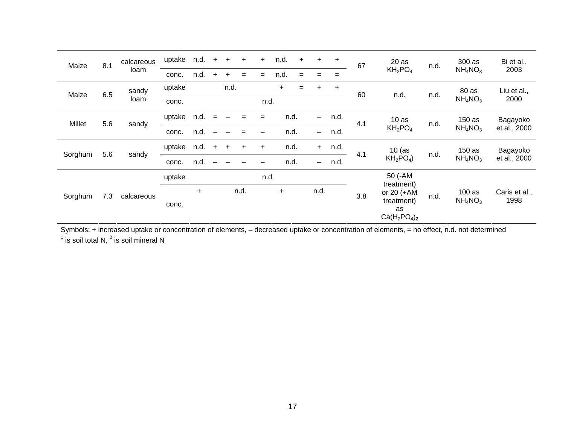| Maize   | 8.1 | calcareous | uptake | n.d.      | $\ddot{}$ | $\ddot{}$ | $\ddot{}$ | $+$       | n.d.      | $+$ | $+$                      | $\ddot{}$ | 67  | 20as<br>$KH_2PO_4$                                              | n.d. | 300 as<br>$NH_4NO_3$ | Bi et al.,<br>2003    |  |
|---------|-----|------------|--------|-----------|-----------|-----------|-----------|-----------|-----------|-----|--------------------------|-----------|-----|-----------------------------------------------------------------|------|----------------------|-----------------------|--|
|         |     | loam       | conc.  | n.d.      | $\ddot{}$ | $\ddot{}$ | $=$       | $=$       | n.d.      | $=$ | $=$                      | $=$       |     |                                                                 |      |                      |                       |  |
|         |     | sandy      | uptake |           |           | n.d.      |           |           | $\ddot{}$ | $=$ | $\ddot{}$                | $\ddot{}$ |     |                                                                 | n.d. | 80 as                | Liu et al.,<br>2000   |  |
| Maize   | 6.5 | loam       | conc.  |           |           |           |           | n.d.      |           |     |                          |           | 60  | n.d.                                                            |      | $NH_4NO_3$           |                       |  |
| Millet  | 5.6 | sandy      | uptake | n.d.      | $=$       |           | $=$       | $=$       | n.d.      |     | $-$                      | n.d.      | 4.1 | 10as                                                            |      | 150as                | Bagayoko              |  |
|         |     |            | conc.  | n.d.      |           |           |           |           | n.d.      |     | $\overline{\phantom{0}}$ | n.d.      |     | KH <sub>2</sub> PO <sub>4</sub>                                 | n.d. | $NH_4NO_3$           | et al., 2000          |  |
| Sorghum | 5.6 | sandy      | uptake | n.d.      | $+$       | $\ddot{}$ | $\ddot{}$ | $\ddot{}$ | n.d.      |     | $+$                      | n.d.      | 4.1 | $10$ (as                                                        | n.d. | 150as                | Bagayoko              |  |
|         |     |            | conc.  | n.d.      |           |           |           |           | n.d.      |     | -                        | n.d.      |     | $KH_2PO_4$                                                      |      | $NH_4NO_3$           | et al., 2000          |  |
|         |     |            | uptake |           |           |           |           |           | n.d.      |     |                          |           |     | 50 (-AM                                                         |      |                      |                       |  |
| Sorghum | 7.3 | calcareous | conc.  | $\ddot{}$ |           |           | n.d.      |           | $\ddot{}$ |     | n.d.                     |           | 3.8 | treatment)<br>or 20 (+AM<br>treatment)<br>as<br>$Ca(H_2PO_4)_2$ | n.d. | 100as<br>$NH_4NO_3$  | Caris et al.,<br>1998 |  |

Symbols: + increased uptake or concentration of elements, – decreased uptake or concentration of elements, = no effect, n.d. not determined  $^1$  is soil total N,  $^2$  is soil mineral N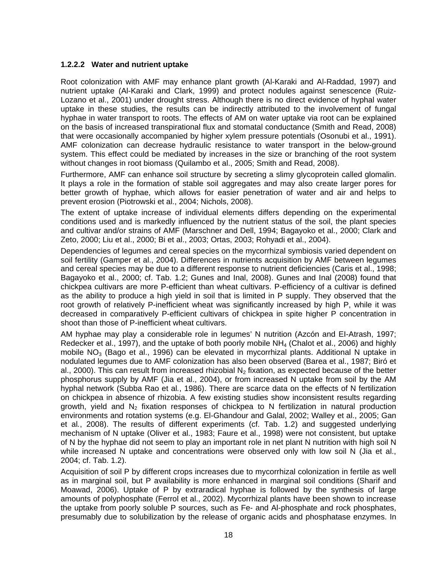#### **1.2.2.2 Water and nutrient uptake**

Root colonization with AMF may enhance plant growth (Al-Karaki and Al-Raddad, 1997) and nutrient uptake (Al-Karaki and Clark, 1999) and protect nodules against senescence (Ruiz-Lozano et al., 2001) under drought stress. Although there is no direct evidence of hyphal water uptake in these studies, the results can be indirectly attributed to the involvement of fungal hyphae in water transport to roots. The effects of AM on water uptake via root can be explained on the basis of increased transpirational flux and stomatal conductance (Smith and Read, 2008) that were occasionally accompanied by higher xylem pressure potentials (Osonubi et al., 1991). AMF colonization can decrease hydraulic resistance to water transport in the below-ground system. This effect could be mediated by increases in the size or branching of the root system without changes in root biomass (Quilambo et al., 2005; Smith and Read, 2008).

Furthermore, AMF can enhance soil structure by secreting a slimy glycoprotein called glomalin. It plays a role in the formation of stable soil aggregates and may also create larger pores for better growth of hyphae, which allows for easier penetration of water and air and helps to prevent erosion (Piotrowski et al., 2004; Nichols, 2008).

The extent of uptake increase of individual elements differs depending on the experimental conditions used and is markedly influenced by the nutrient status of the soil, the plant species and cultivar and/or strains of AMF (Marschner and Dell, 1994; Bagayoko et al., 2000; Clark and Zeto, 2000; Liu et al., 2000; Bi et al., 2003; Ortas, 2003; Rohyadi et al., 2004).

Dependencies of legumes and cereal species on the mycorrhizal symbiosis varied dependent on soil fertility (Gamper et al., 2004). Differences in nutrients acquisition by AMF between legumes and cereal species may be due to a different response to nutrient deficiencies (Caris et al., 1998; Bagayoko et al., 2000; cf. Tab. 1.2; Gunes and Inal, 2008). Gunes and Inal (2008) found that chickpea cultivars are more P-efficient than wheat cultivars. P-efficiency of a cultivar is defined as the ability to produce a high yield in soil that is limited in P supply. They observed that the root growth of relatively P-inefficient wheat was significantly increased by high P, while it was decreased in comparatively P-efficient cultivars of chickpea in spite higher P concentration in shoot than those of P-inefficient wheat cultivars.

AM hyphae may play a considerable role in legumes' N nutrition (Azcón and EI-Atrash, 1997; Redecker et al., 1997), and the uptake of both poorly mobile  $NH<sub>4</sub>$  (Chalot et al., 2006) and highly mobile  $NO<sub>3</sub>$  (Bago et al., 1996) can be elevated in mycorrhizal plants. Additional N uptake in nodulated legumes due to AMF colonization has also been observed (Barea et al., 1987; Biró et al., 2000). This can result from increased rhizobial  $N<sub>2</sub>$  fixation, as expected because of the better phosphorus supply by AMF (Jia et al., 2004), or from increased N uptake from soil by the AM hyphal network (Subba Rao et al*.*, 1986). There are scarce data on the effects of N fertilization on chickpea in absence of rhizobia. A few existing studies show inconsistent results regarding growth, yield and  $N_2$  fixation responses of chickpea to N fertilization in natural production environments and rotation systems (e.g. El-Ghandour and Galal, 2002; Walley et al., 2005; Gan et al*.*, 2008). The results of different experiments (cf. Tab. 1.2) and suggested underlying mechanism of N uptake (Oliver et al., 1983; Faure et al., 1998) were not consistent, but uptake of N by the hyphae did not seem to play an important role in net plant N nutrition with high soil N while increased N uptake and concentrations were observed only with low soil N (Jia et al., 2004; cf. Tab. 1.2).

Acquisition of soil P by different crops increases due to mycorrhizal colonization in fertile as well as in marginal soil, but P availability is more enhanced in marginal soil conditions (Sharif and Moawad, 2006). Uptake of P by extraradical hyphae is followed by the synthesis of large amounts of polyphosphate (Ferrol et al., 2002). Mycorrhizal plants have been shown to increase the uptake from poorly soluble P sources, such as Fe- and Al-phosphate and rock phosphates, presumably due to solubilization by the release of organic acids and phosphatase enzymes. In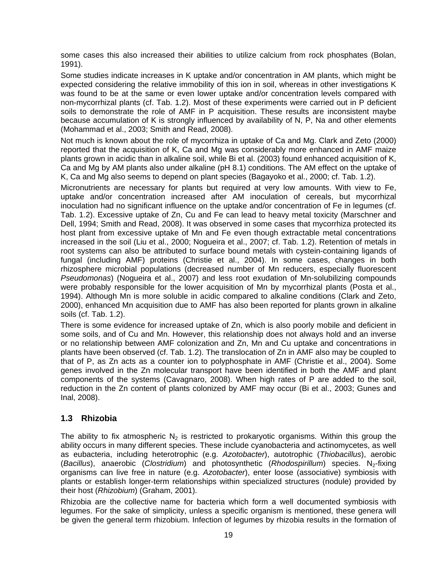some cases this also increased their abilities to utilize calcium from rock phosphates (Bolan, 1991).

Some studies indicate increases in K uptake and/or concentration in AM plants, which might be expected considering the relative immobility of this ion in soil, whereas in other investigations K was found to be at the same or even lower uptake and/or concentration levels compared with non-mycorrhizal plants (cf. Tab. 1.2). Most of these experiments were carried out in P deficient soils to demonstrate the role of AMF in P acquisition. These results are inconsistent maybe because accumulation of K is strongly influenced by availability of N, P, Na and other elements (Mohammad et al., 2003; Smith and Read, 2008).

Not much is known about the role of mycorrhiza in uptake of Ca and Mg. Clark and Zeto (2000) reported that the acquisition of K, Ca and Mg was considerably more enhanced in AMF maize plants grown in acidic than in alkaline soil, while Bi et al. (2003) found enhanced acquisition of K, Ca and Mg by AM plants also under alkaline (pH 8.1) conditions. The AM effect on the uptake of K, Ca and Mg also seems to depend on plant species (Bagayoko et al., 2000; cf. Tab. 1.2).

Micronutrients are necessary for plants but required at very low amounts. With view to Fe, uptake and/or concentration increased after AM inoculation of cereals, but mycorrhizal inoculation had no significant influence on the uptake and/or concentration of Fe in legumes (cf. Tab. 1.2). Excessive uptake of Zn, Cu and Fe can lead to heavy metal toxicity (Marschner and Dell, 1994; Smith and Read, 2008). It was observed in some cases that mycorrhiza protected its host plant from excessive uptake of Mn and Fe even though extractable metal concentrations increased in the soil (Liu et al., 2000; Nogueira et al., 2007; cf. Tab. 1.2). Retention of metals in root systems can also be attributed to surface bound metals with cystein-containing ligands of fungal (including AMF) proteins (Christie et al., 2004). In some cases, changes in both rhizosphere microbial populations (decreased number of Mn reducers, especially fluorescent *Pseudomonas*) (Nogueira et al., 2007) and less root exudation of Mn-solubilizing compounds were probably responsible for the lower acquisition of Mn by mycorrhizal plants (Posta et al., 1994). Although Mn is more soluble in acidic compared to alkaline conditions (Clark and Zeto, 2000), enhanced Mn acquisition due to AMF has also been reported for plants grown in alkaline soils (cf. Tab. 1.2).

There is some evidence for increased uptake of Zn, which is also poorly mobile and deficient in some soils, and of Cu and Mn. However, this relationship does not always hold and an inverse or no relationship between AMF colonization and Zn, Mn and Cu uptake and concentrations in plants have been observed (cf. Tab. 1.2). The translocation of Zn in AMF also may be coupled to that of P, as Zn acts as a counter ion to polyphosphate in AMF (Christie et al., 2004). Some genes involved in the Zn molecular transport have been identified in both the AMF and plant components of the systems (Cavagnaro, 2008). When high rates of P are added to the soil, reduction in the Zn content of plants colonized by AMF may occur (Bi et al., 2003; Gunes and Inal, 2008).

# **1.3 Rhizobia**

The ability to fix atmospheric  $N_2$  is restricted to prokaryotic organisms. Within this group the ability occurs in many different species. These include cyanobacteria and actinomycetes, as well as eubacteria, including heterotrophic (e.g. *Azotobacter*), autotrophic (*Thiobacillus*), aerobic (*Bacillus*), anaerobic (*Clostridium*) and photosynthetic (*Rhodospirillum*) species. N2-fixing organisms can live free in nature (e.g. *Azotobacter*), enter loose (associative) symbiosis with plants or establish longer-term relationships within specialized structures (nodule) provided by their host (*Rhizobium*) (Graham, 2001).

Rhizobia are the collective name for bacteria which form a well documented symbiosis with legumes. For the sake of simplicity, unless a specific organism is mentioned, these genera will be given the general term rhizobium. Infection of legumes by rhizobia results in the formation of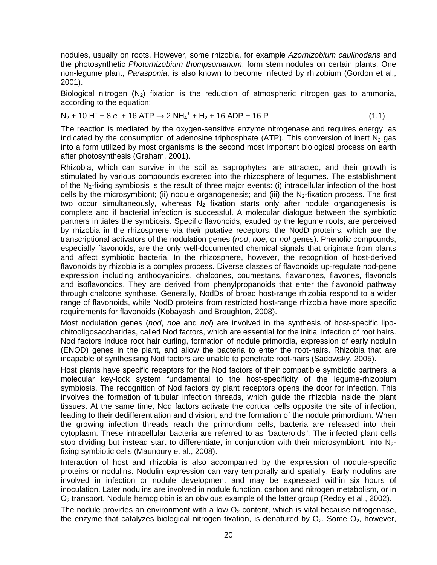nodules, usually on roots. However, some rhizobia, for example *Azorhizobium caulinodans* and the photosynthetic *Photorhizobium thompsonianum*, form stem nodules on certain plants. One non-legume plant, *Parasponia*, is also known to become infected by rhizobium (Gordon et al., 2001).

Biological nitrogen  $(N_2)$  fixation is the reduction of atmospheric nitrogen gas to ammonia, according to the equation:

 $N_2$  + 10 H<sup>+</sup> + 8  $e^{\frac{1}{2}}$  + 16 ATP  $\rightarrow$  2 NH<sub>4</sub><sup>+</sup> + H<sub>2</sub> + 16 ADP + 16 P<sub>i</sub> (1.1)

The reaction is mediated by the oxygen-sensitive enzyme nitrogenase and requires energy, as indicated by the consumption of adenosine triphosphate (ATP). This conversion of inert  $N_2$  gas into a form utilized by most organisms is the second most important biological process on earth after photosynthesis (Graham, 2001).

Rhizobia, which can survive in the soil as saprophytes, are attracted, and their growth is stimulated by various compounds excreted into the rhizosphere of legumes. The establishment of the N2-fixing symbiosis is the result of three major events: (i) intracellular infection of the host cells by the microsymbiont; (ii) nodule organogenesis; and (iii) the  $N<sub>2</sub>$ -fixation process. The first two occur simultaneously, whereas  $N_2$  fixation starts only after nodule organogenesis is complete and if bacterial infection is successful. A molecular dialogue between the symbiotic partners initiates the symbiosis. Specific flavonoids, exuded by the legume roots, are perceived by rhizobia in the rhizosphere via their putative receptors, the NodD proteins, which are the transcriptional activators of the nodulation genes (*nod*, *noe*, or *nol* genes). Phenolic compounds, especially flavonoids, are the only well-documented chemical signals that originate from plants and affect symbiotic bacteria. In the rhizosphere, however, the recognition of host-derived flavonoids by rhizobia is a complex process. Diverse classes of flavonoids up-regulate nod-gene expression including anthocyanidins, chalcones, coumestans, flavanones, flavones, flavonols and isoflavonoids. They are derived from phenylpropanoids that enter the flavonoid pathway through chalcone synthase. Generally, NodDs of broad host-range rhizobia respond to a wider range of flavonoids, while NodD proteins from restricted host-range rhizobia have more specific requirements for flavonoids (Kobayashi and Broughton, 2008).

Most nodulation genes (*nod*, *noe* and *nol*) are involved in the synthesis of host-specific lipochitooligosaccharides, called Nod factors, which are essential for the initial infection of root hairs. Nod factors induce root hair curling, formation of nodule primordia, expression of early nodulin (ENOD) genes in the plant, and allow the bacteria to enter the root-hairs. Rhizobia that are incapable of synthesising Nod factors are unable to penetrate root-hairs (Sadowsky, 2005).

Host plants have specific receptors for the Nod factors of their compatible symbiotic partners, a molecular key-lock system fundamental to the host-specificity of the legume-rhizobium symbiosis. The recognition of Nod factors by plant receptors opens the door for infection. This involves the formation of tubular infection threads, which guide the rhizobia inside the plant tissues. At the same time, Nod factors activate the cortical cells opposite the site of infection, leading to their dedifferentiation and division, and the formation of the nodule primordium. When the growing infection threads reach the primordium cells, bacteria are released into their cytoplasm. These intracellular bacteria are referred to as "bacteroids". The infected plant cells stop dividing but instead start to differentiate, in conjunction with their microsymbiont, into  $N_{2}$ fixing symbiotic cells (Maunoury et al., 2008).

Interaction of host and rhizobia is also accompanied by the expression of nodule-specific proteins or nodulins. Nodulin expression can vary temporally and spatially. Early nodulins are involved in infection or nodule development and may be expressed within six hours of inoculation. Later nodulins are involved in nodule function, carbon and nitrogen metabolism, or in  $O<sub>2</sub>$  transport. Nodule hemoglobin is an obvious example of the latter group (Reddy et al., 2002).

The nodule provides an environment with a low  $O<sub>2</sub>$  content, which is vital because nitrogenase, the enzyme that catalyzes biological nitrogen fixation, is denatured by  $O_2$ . Some  $O_2$ , however,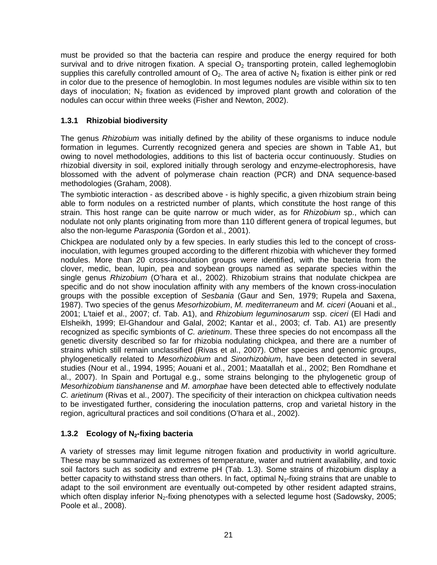must be provided so that the bacteria can respire and produce the energy required for both survival and to drive nitrogen fixation. A special  $O<sub>2</sub>$  transporting protein, called leghemoglobin supplies this carefully controlled amount of  $O_2$ . The area of active N<sub>2</sub> fixation is either pink or red in color due to the presence of hemoglobin. In most legumes nodules are visible within six to ten days of inoculation;  $N_2$  fixation as evidenced by improved plant growth and coloration of the nodules can occur within three weeks (Fisher and Newton, 2002).

#### **1.3.1 Rhizobial biodiversity**

The genus *Rhizobium* was initially defined by the ability of these organisms to induce nodule formation in legumes. Currently recognized genera and species are shown in Table A1, but owing to novel methodologies, additions to this list of bacteria occur continuously. Studies on rhizobial diversity in soil, explored initially through serology and enzyme-electrophoresis, have blossomed with the advent of polymerase chain reaction (PCR) and DNA sequence-based methodologies (Graham, 2008).

The symbiotic interaction - as described above - is highly specific, a given rhizobium strain being able to form nodules on a restricted number of plants, which constitute the host range of this strain. This host range can be quite narrow or much wider, as for *Rhizobium* sp., which can nodulate not only plants originating from more than 110 different genera of tropical legumes, but also the non-legume *Parasponia* (Gordon et al., 2001).

Chickpea are nodulated only by a few species. In early studies this led to the concept of crossinoculation, with legumes grouped according to the different rhizobia with whichever they formed nodules. More than 20 cross-inoculation groups were identified, with the bacteria from the clover, medic, bean, lupin, pea and soybean groups named as separate species within the single genus *Rhizobium* (O'hara et al., 2002). Rhizobium strains that nodulate chickpea are specific and do not show inoculation affinity with any members of the known cross-inoculation groups with the possible exception of *Sesbania* (Gaur and Sen, 1979; Rupela and Saxena, 1987). Two species of the genus *Mesorhizobium*, *M. mediterraneum* and *M. ciceri* (Aouani et al., 2001; L'taief et al., 2007; cf. Tab. A1), and *Rhizobium leguminosarum* ssp. *ciceri* (El Hadi and Elsheikh, 1999; El-Ghandour and Galal, 2002; Kantar et al., 2003; cf. Tab. A1) are presently recognized as specific symbionts of *C. arietinum*. These three species do not encompass all the genetic diversity described so far for rhizobia nodulating chickpea, and there are a number of strains which still remain unclassified (Rivas et al., 2007). Other species and genomic groups, phylogenetically related to *Mesorhizobium* and *Sinorhizobium*, have been detected in several studies (Nour et al., 1994, 1995; Aouani et al., 2001; Maatallah et al., 2002; Ben Romdhane et al., 2007). In Spain and Portugal e.g., some strains belonging to the phylogenetic group of *Mesorhizobium tianshanense* and *M*. *amorphae* have been detected able to effectively nodulate *C. arietinum* (Rivas et al., 2007). The specificity of their interaction on chickpea cultivation needs to be investigated further, considering the inoculation patterns, crop and varietal history in the region, agricultural practices and soil conditions (O'hara et al., 2002).

# **1.3.2 Ecology of N2-fixing bacteria**

A variety of stresses may limit legume nitrogen fixation and productivity in world agriculture. These may be summarized as extremes of temperature, water and nutrient availability, and toxic soil factors such as sodicity and extreme pH (Tab. 1.3). Some strains of rhizobium display a better capacity to withstand stress than others. In fact, optimal  $N<sub>2</sub>$ -fixing strains that are unable to adapt to the soil environment are eventually out-competed by other resident adapted strains, which often display inferior N<sub>2</sub>-fixing phenotypes with a selected legume host (Sadowsky, 2005; Poole et al., 2008).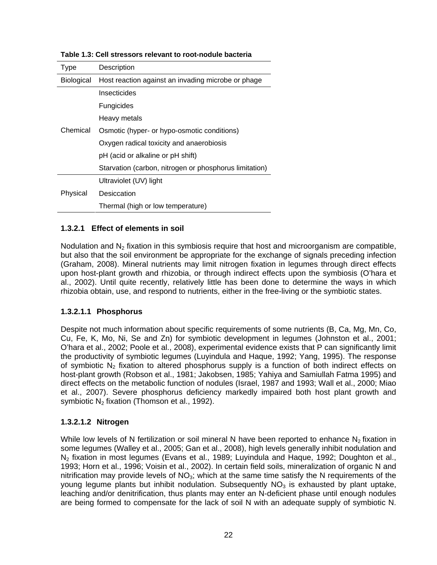| <b>Type</b>       | Description                                            |
|-------------------|--------------------------------------------------------|
| <b>Biological</b> | Host reaction against an invading microbe or phage     |
|                   | Insecticides                                           |
|                   | Fungicides                                             |
|                   | Heavy metals                                           |
| Chemical          | Osmotic (hyper- or hypo-osmotic conditions)            |
|                   | Oxygen radical toxicity and anaerobiosis               |
|                   | pH (acid or alkaline or pH shift)                      |
|                   | Starvation (carbon, nitrogen or phosphorus limitation) |
|                   | Ultraviolet (UV) light                                 |
| Physical          | Desiccation                                            |
|                   | Thermal (high or low temperature)                      |

**Table 1.3: Cell stressors relevant to root-nodule bacteria** 

#### **1.3.2.1 Effect of elements in soil**

Nodulation and  $N<sub>2</sub>$  fixation in this symbiosis require that host and microorganism are compatible, but also that the soil environment be appropriate for the exchange of signals preceding infection (Graham, 2008). Mineral nutrients may limit nitrogen fixation in legumes through direct effects upon host-plant growth and rhizobia, or through indirect effects upon the symbiosis (O'hara et al., 2002). Until quite recently, relatively little has been done to determine the ways in which rhizobia obtain, use, and respond to nutrients, either in the free-living or the symbiotic states.

#### **1.3.2.1.1 Phosphorus**

Despite not much information about specific requirements of some nutrients (B, Ca, Mg, Mn, Co, Cu, Fe, K, Mo, Ni, Se and Zn) for symbiotic development in legumes (Johnston et al., 2001; O'hara et al., 2002; Poole et al., 2008), experimental evidence exists that P can significantly limit the productivity of symbiotic legumes (Luyindula and Haque, 1992; Yang, 1995). The response of symbiotic  $N_2$  fixation to altered phosphorus supply is a function of both indirect effects on host-plant growth (Robson et al., 1981; Jakobsen, 1985; Yahiya and Samiullah Fatma 1995) and direct effects on the metabolic function of nodules (Israel, 1987 and 1993; Wall et al., 2000; Miao et al., 2007). Severe phosphorus deficiency markedly impaired both host plant growth and symbiotic  $N_2$  fixation (Thomson et al., 1992).

#### **1.3.2.1.2 Nitrogen**

While low levels of N fertilization or soil mineral N have been reported to enhance  $N_2$  fixation in some legumes (Walley et al., 2005; Gan et al., 2008), high levels generally inhibit nodulation and N2 fixation in most legumes (Evans et al., 1989; Luyindula and Haque, 1992; Doughton et al., 1993; Horn et al., 1996; Voisin et al., 2002). In certain field soils, mineralization of organic N and nitrification may provide levels of  $NO<sub>3</sub>$ ; which at the same time satisfy the N requirements of the young legume plants but inhibit nodulation. Subsequently  $NO<sub>3</sub>$  is exhausted by plant uptake, leaching and/or denitrification, thus plants may enter an N-deficient phase until enough nodules are being formed to compensate for the lack of soil N with an adequate supply of symbiotic N.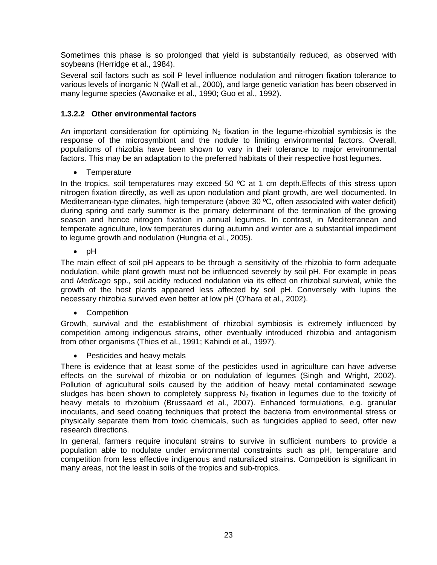Sometimes this phase is so prolonged that yield is substantially reduced, as observed with soybeans (Herridge et al., 1984).

Several soil factors such as soil P level influence nodulation and nitrogen fixation tolerance to various levels of inorganic N (Wall et al., 2000), and large genetic variation has been observed in many legume species (Awonaike et al., 1990; Guo et al., 1992).

#### **1.3.2.2 Other environmental factors**

An important consideration for optimizing  $N_2$  fixation in the legume-rhizobial symbiosis is the response of the microsymbiont and the nodule to limiting environmental factors. Overall, populations of rhizobia have been shown to vary in their tolerance to major environmental factors. This may be an adaptation to the preferred habitats of their respective host legumes.

• Temperature

In the tropics, soil temperatures may exceed 50 °C at 1 cm depth. Effects of this stress upon nitrogen fixation directly, as well as upon nodulation and plant growth, are well documented. In Mediterranean-type climates, high temperature (above 30 ºC, often associated with water deficit) during spring and early summer is the primary determinant of the termination of the growing season and hence nitrogen fixation in annual legumes. In contrast, in Mediterranean and temperate agriculture, low temperatures during autumn and winter are a substantial impediment to legume growth and nodulation (Hungria et al., 2005).

• pH

The main effect of soil pH appears to be through a sensitivity of the rhizobia to form adequate nodulation, while plant growth must not be influenced severely by soil pH. For example in peas and *Medicago* spp., soil acidity reduced nodulation via its effect on rhizobial survival, while the growth of the host plants appeared less affected by soil pH. Conversely with lupins the necessary rhizobia survived even better at low pH (O'hara et al., 2002).

• Competition

Growth, survival and the establishment of rhizobial symbiosis is extremely influenced by competition among indigenous strains, other eventually introduced rhizobia and antagonism from other organisms (Thies et al., 1991; Kahindi et al., 1997).

• Pesticides and heavy metals

There is evidence that at least some of the pesticides used in agriculture can have adverse effects on the survival of rhizobia or on nodulation of legumes (Singh and Wright, 2002). Pollution of agricultural soils caused by the addition of heavy metal contaminated sewage sludges has been shown to completely suppress  $N_2$  fixation in legumes due to the toxicity of heavy metals to rhizobium (Brussaard et al., 2007). Enhanced formulations, e.g. granular inoculants, and seed coating techniques that protect the bacteria from environmental stress or physically separate them from toxic chemicals, such as fungicides applied to seed, offer new research directions.

In general, farmers require inoculant strains to survive in sufficient numbers to provide a population able to nodulate under environmental constraints such as pH, temperature and competition from less effective indigenous and naturalized strains. Competition is significant in many areas, not the least in soils of the tropics and sub-tropics.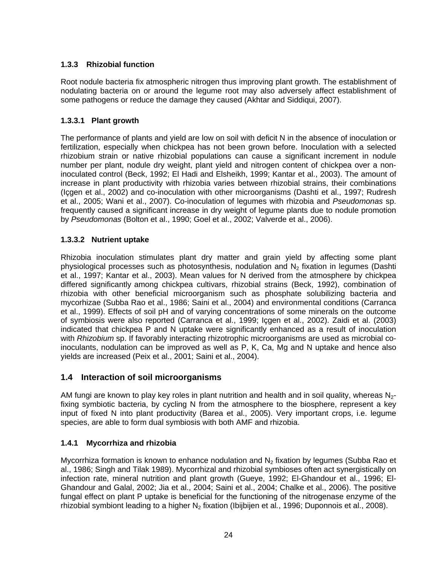# **1.3.3 Rhizobial function**

Root nodule bacteria fix atmospheric nitrogen thus improving plant growth. The establishment of nodulating bacteria on or around the legume root may also adversely affect establishment of some pathogens or reduce the damage they caused (Akhtar and Siddiqui, 2007).

# **1.3.3.1 Plant growth**

The performance of plants and yield are low on soil with deficit N in the absence of inoculation or fertilization, especially when chickpea has not been grown before. Inoculation with a selected rhizobium strain or native rhizobial populations can cause a significant increment in nodule number per plant, nodule dry weight, plant yield and nitrogen content of chickpea over a noninoculated control (Beck, 1992; El Hadi and Elsheikh, 1999; Kantar et al., 2003). The amount of increase in plant productivity with rhizobia varies between rhizobial strains, their combinations (Içgen et al., 2002) and co-inoculation with other microorganisms (Dashti et al., 1997; Rudresh et al., 2005; Wani et al., 2007). Co-inoculation of legumes with rhizobia and *Pseudomonas* sp. frequently caused a significant increase in dry weight of legume plants due to nodule promotion by *Pseudomonas* (Bolton et al., 1990; Goel et al., 2002; Valverde et al., 2006).

# **1.3.3.2 Nutrient uptake**

Rhizobia inoculation stimulates plant dry matter and grain yield by affecting some plant physiological processes such as photosynthesis, nodulation and  $N<sub>2</sub>$  fixation in legumes (Dashti et al., 1997; Kantar et al., 2003). Mean values for N derived from the atmosphere by chickpea differed significantly among chickpea cultivars, rhizobial strains (Beck, 1992), combination of rhizobia with other beneficial microorganism such as phosphate solubilizing bacteria and mycorhizae (Subba Rao et al., 1986; Saini et al., 2004) and environmental conditions (Carranca et al., 1999). Effects of soil pH and of varying concentrations of some minerals on the outcome of symbiosis were also reported (Carranca et al., 1999; Içgen et al., 2002). Zaidi et al. (2003) indicated that chickpea P and N uptake were significantly enhanced as a result of inoculation with *Rhizobium* sp. If favorably interacting rhizotrophic microorganisms are used as microbial coinoculants, nodulation can be improved as well as P, K, Ca, Mg and N uptake and hence also yields are increased (Peix et al., 2001; Saini et al., 2004).

# **1.4 Interaction of soil microorganisms**

AM fungi are known to play key roles in plant nutrition and health and in soil quality, whereas  $N_{2}$ fixing symbiotic bacteria, by cycling N from the atmosphere to the biosphere, represent a key input of fixed N into plant productivity (Barea et al., 2005). Very important crops, i.e. legume species, are able to form dual symbiosis with both AMF and rhizobia.

# **1.4.1 Mycorrhiza and rhizobia**

Mycorrhiza formation is known to enhance nodulation and  $N<sub>2</sub>$  fixation by legumes (Subba Rao et al., 1986; Singh and Tilak 1989). Mycorrhizal and rhizobial symbioses often act synergistically on infection rate, mineral nutrition and plant growth (Gueye, 1992; El-Ghandour et al., 1996; El-Ghandour and Galal, 2002; Jia et al., 2004; Saini et al., 2004; Chalke et al., 2006). The positive fungal effect on plant P uptake is beneficial for the functioning of the nitrogenase enzyme of the rhizobial symbiont leading to a higher N<sub>2</sub> fixation (Ibijbijen et al., 1996; Duponnois et al., 2008).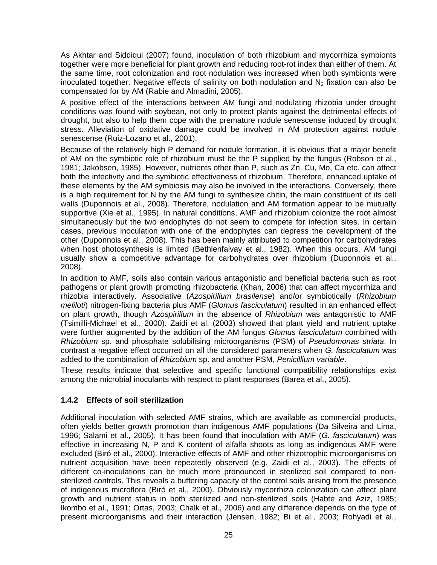As Akhtar and Siddiqui (2007) found, inoculation of both rhizobium and mycorrhiza symbionts together were more beneficial for plant growth and reducing root-rot index than either of them. At the same time, root colonization and root nodulation was increased when both symbionts were inoculated together. Negative effects of salinity on both nodulation and  $N_2$  fixation can also be compensated for by AM (Rabie and Almadini, 2005).

A positive effect of the interactions between AM fungi and nodulating rhizobia under drought conditions was found with soybean, not only to protect plants against the detrimental effects of drought, but also to help them cope with the premature nodule senescense induced by drought stress. Alleviation of oxidative damage could be involved in AM protection against nodule senescense (Ruiz-Lozano et al., 2001).

Because of the relatively high P demand for nodule formation, it is obvious that a major benefit of AM on the symbiotic role of rhizobium must be the P supplied by the fungus (Robson et al., 1981; Jakobsen, 1985). However, nutrients other than P, such as Zn, Cu, Mo, Ca etc. can affect both the infectivity and the symbiotic effectiveness of rhizobium. Therefore, enhanced uptake of these elements by the AM symbiosis may also be involved in the interactions. Conversely, there is a high requirement for N by the AM fungi to synthesize chitin, the main constituent of its cell walls (Duponnois et al., 2008). Therefore, nodulation and AM formation appear to be mutually supportive (Xie et al., 1995). In natural conditions, AMF and rhizobium colonize the root almost simultaneously but the two endophytes do not seem to compete for infection sites. In certain cases, previous inoculation with one of the endophytes can depress the development of the other (Duponnois et al., 2008). This has been mainly attributed to competition for carbohydrates when host photosynthesis is limited (Bethlenfalvay et al., 1982). When this occurs, AM fungi usually show a competitive advantage for carbohydrates over rhizobium (Duponnois et al., 2008).

In addition to AMF, soils also contain various antagonistic and beneficial bacteria such as root pathogens or plant growth promoting rhizobacteria (Khan, 2006) that can affect mycorrhiza and rhizobia interactively. Associative (*Azospirillum brasilense*) and/or symbiotically (*Rhizobium meliloti*) nitrogen-fixing bacteria plus AMF (*Glomus fasciculatum*) resulted in an enhanced effect on plant growth, though *Azospirillum* in the absence of *Rhizobium* was antagonistic to AMF (Tsimilli-Michael et al., 2000). Zaidi et al. (2003) showed that plant yield and nutrient uptake were further augmented by the addition of the AM fungus *Glomus fasciculatum* combined with *Rhizobium* sp. and phosphate solubilising microorganisms (PSM) of *Pseudomonas striata*. In contrast a negative effect occurred on all the considered parameters when *G. fasciculatum* was added to the combination of *Rhizobium* sp. and another PSM, *Penicillium variable*.

These results indicate that selective and specific functional compatibility relationships exist among the microbial inoculants with respect to plant responses (Barea et al., 2005).

#### **1.4.2 Effects of soil sterilization**

Additional inoculation with selected AMF strains, which are available as commercial products, often yields better growth promotion than indigenous AMF populations (Da Silveira and Lima, 1996; Salami et al., 2005). It has been found that inoculation with AMF (*G. fasciculatum*) was effective in increasing N, P and K content of alfalfa shoots as long as indigenous AMF were excluded (Biró et al., 2000). Interactive effects of AMF and other rhizotrophic microorganisms on nutrient acquisition have been repeatedly observed (e.g. Zaidi et al., 2003). The effects of different co-inoculations can be much more pronounced in sterilized soil compared to nonsterilized controls. This reveals a buffering capacity of the control soils arising from the presence of indigenous microflora (Biró et al., 2000). Obviously mycorrhiza colonization can affect plant growth and nutrient status in both sterilized and non-sterilized soils (Habte and Aziz, 1985; Ikombo et al., 1991; Ortas, 2003; Chalk et al., 2006) and any difference depends on the type of present microorganisms and their interaction (Jensen, 1982; Bi et al., 2003; Rohyadi et al.,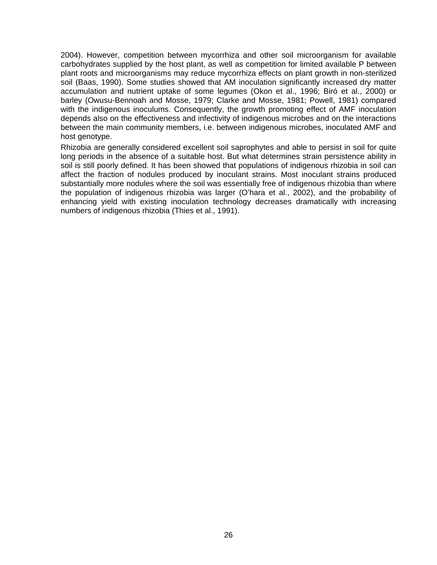2004). However, competition between mycorrhiza and other soil microorganism for available carbohydrates supplied by the host plant, as well as competition for limited available P between plant roots and microorganisms may reduce mycorrhiza effects on plant growth in non-sterilized soil (Baas, 1990). Some studies showed that AM inoculation significantly increased dry matter accumulation and nutrient uptake of some legumes (Okon et al., 1996; Biró et al., 2000) or barley (Owusu-Bennoah and Mosse, 1979; Clarke and Mosse, 1981; Powell, 1981) compared with the indigenous inoculums. Consequently, the growth promoting effect of AMF inoculation depends also on the effectiveness and infectivity of indigenous microbes and on the interactions between the main community members, i.e. between indigenous microbes, inoculated AMF and host genotype.

Rhizobia are generally considered excellent soil saprophytes and able to persist in soil for quite long periods in the absence of a suitable host. But what determines strain persistence ability in soil is still poorly defined. It has been showed that populations of indigenous rhizobia in soil can affect the fraction of nodules produced by inoculant strains. Most inoculant strains produced substantially more nodules where the soil was essentially free of indigenous rhizobia than where the population of indigenous rhizobia was larger (O'hara et al., 2002), and the probability of enhancing yield with existing inoculation technology decreases dramatically with increasing numbers of indigenous rhizobia (Thies et al., 1991).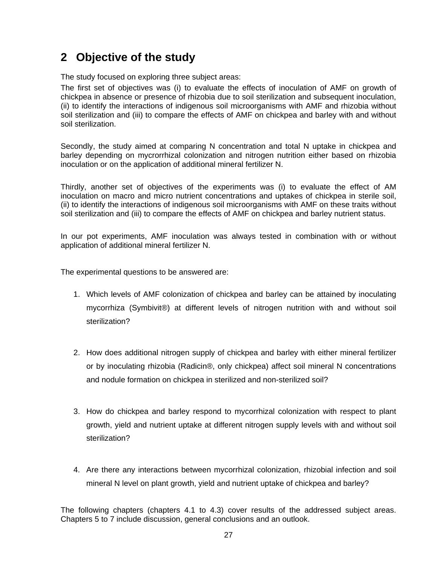# **2 Objective of the study**

The study focused on exploring three subject areas:

The first set of objectives was (i) to evaluate the effects of inoculation of AMF on growth of chickpea in absence or presence of rhizobia due to soil sterilization and subsequent inoculation, (ii) to identify the interactions of indigenous soil microorganisms with AMF and rhizobia without soil sterilization and (iii) to compare the effects of AMF on chickpea and barley with and without soil sterilization.

Secondly, the study aimed at comparing N concentration and total N uptake in chickpea and barley depending on mycrorrhizal colonization and nitrogen nutrition either based on rhizobia inoculation or on the application of additional mineral fertilizer N.

Thirdly, another set of objectives of the experiments was (i) to evaluate the effect of AM inoculation on macro and micro nutrient concentrations and uptakes of chickpea in sterile soil, (ii) to identify the interactions of indigenous soil microorganisms with AMF on these traits without soil sterilization and (iii) to compare the effects of AMF on chickpea and barley nutrient status.

In our pot experiments, AMF inoculation was always tested in combination with or without application of additional mineral fertilizer N.

The experimental questions to be answered are:

- 1. Which levels of AMF colonization of chickpea and barley can be attained by inoculating mycorrhiza (Symbivit®) at different levels of nitrogen nutrition with and without soil sterilization?
- 2. How does additional nitrogen supply of chickpea and barley with either mineral fertilizer or by inoculating rhizobia (Radicin®, only chickpea) affect soil mineral N concentrations and nodule formation on chickpea in sterilized and non-sterilized soil?
- 3. How do chickpea and barley respond to mycorrhizal colonization with respect to plant growth, yield and nutrient uptake at different nitrogen supply levels with and without soil sterilization?
- 4. Are there any interactions between mycorrhizal colonization, rhizobial infection and soil mineral N level on plant growth, yield and nutrient uptake of chickpea and barley?

The following chapters (chapters 4.1 to 4.3) cover results of the addressed subject areas. Chapters 5 to 7 include discussion, general conclusions and an outlook.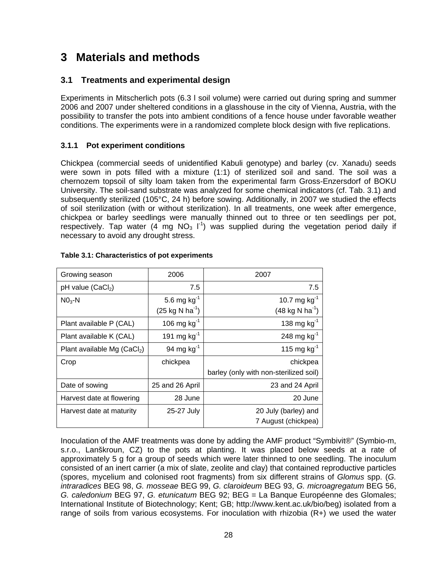# **3 Materials and methods**

# **3.1 Treatments and experimental design**

Experiments in Mitscherlich pots (6.3 l soil volume) were carried out during spring and summer 2006 and 2007 under sheltered conditions in a glasshouse in the city of Vienna, Austria, with the possibility to transfer the pots into ambient conditions of a fence house under favorable weather conditions. The experiments were in a randomized complete block design with five replications.

## **3.1.1 Pot experiment conditions**

Chickpea (commercial seeds of unidentified Kabuli genotype) and barley (cv. Xanadu) seeds were sown in pots filled with a mixture (1:1) of sterilized soil and sand. The soil was a chernozem topsoil of silty loam taken from the experimental farm Gross-Enzersdorf of BOKU University. The soil-sand substrate was analyzed for some chemical indicators (cf. Tab. 3.1) and subsequently sterilized (105°C, 24 h) before sowing. Additionally, in 2007 we studied the effects of soil sterilization (with or without sterilization). In all treatments, one week after emergence, chickpea or barley seedlings were manually thinned out to three or ten seedlings per pot, respectively. Tap water (4 mg NO<sub>3</sub> l<sup>-1</sup>) was supplied during the vegetation period daily if necessary to avoid any drought stress.

| Growing season                  | 2006                                            | 2007                                               |
|---------------------------------|-------------------------------------------------|----------------------------------------------------|
| $pH$ value (CaCl <sub>2</sub> ) | 7.5                                             | 7.5                                                |
| $NO3$ -N                        | 5.6 mg $kg^{-1}$<br>$(25 \text{ kg N ha}^{-1})$ | 10.7 mg $kg^{-1}$<br>$(48 \text{ kg N ha}^{-1})$   |
| Plant available P (CAL)         | 106 mg $kg^{-1}$                                | 138 mg $kg^{-1}$                                   |
| Plant available K (CAL)         | 191 mg $kg^{-1}$                                | 248 mg $kg^{-1}$                                   |
| Plant available Mg (CaCl2)      | 94 mg $kg^{-1}$                                 | 115 mg $kg^{-1}$                                   |
| Crop                            | chickpea                                        | chickpea<br>barley (only with non-sterilized soil) |
| Date of sowing                  | 25 and 26 April                                 | 23 and 24 April                                    |
| Harvest date at flowering       | 28 June                                         | 20 June                                            |
| Harvest date at maturity        | 25-27 July                                      | 20 July (barley) and<br>7 August (chickpea)        |

#### **Table 3.1: Characteristics of pot experiments**

Inoculation of the AMF treatments was done by adding the AMF product "Symbivit®" (Symbio-m, s.r.o., Lanškroun, CZ) to the pots at planting. It was placed below seeds at a rate of approximately 5 g for a group of seeds which were later thinned to one seedling. The inoculum consisted of an inert carrier (a mix of slate, zeolite and clay) that contained reproductive particles (spores, mycelium and colonised root fragments) from six different strains of *Glomus* spp. (*G. intraradices* BEG 98, *G. mosseae* BEG 99, *G. claroideum* BEG 93, *G. microagregatum* BEG 56, *G. caledonium* BEG 97, *G. etunicatum* BEG 92; BEG = La Banque Européenne des Glomales; International Institute of Biotechnology; Kent; GB; http://www.kent.ac.uk/bio/beg) isolated from a range of soils from various ecosystems. For inoculation with rhizobia (R+) we used the water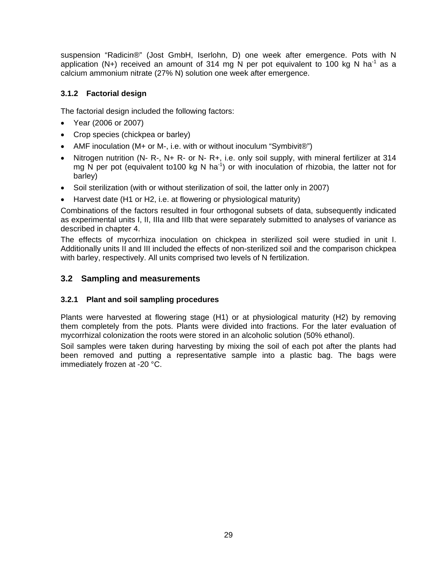suspension "Radicin®" (Jost GmbH, Iserlohn, D) one week after emergence. Pots with N application (N+) received an amount of 314 mg N per pot equivalent to 100 kg N ha<sup>-1</sup> as a calcium ammonium nitrate (27% N) solution one week after emergence.

# **3.1.2 Factorial design**

The factorial design included the following factors:

- Year (2006 or 2007)
- Crop species (chickpea or barley)
- AMF inoculation (M+ or M-, i.e. with or without inoculum "Symbivit®")
- Nitrogen nutrition (N- R-, N+ R- or N- R+, i.e. only soil supply, with mineral fertilizer at 314 mg N per pot (equivalent to100 kg N ha<sup>-1</sup>) or with inoculation of rhizobia, the latter not for barley)
- Soil sterilization (with or without sterilization of soil, the latter only in 2007)
- Harvest date (H1 or H2, i.e. at flowering or physiological maturity)

Combinations of the factors resulted in four orthogonal subsets of data, subsequently indicated as experimental units I, II, IIIa and IIIb that were separately submitted to analyses of variance as described in chapter 4.

The effects of mycorrhiza inoculation on chickpea in sterilized soil were studied in unit I. Additionally units II and III included the effects of non-sterilized soil and the comparison chickpea with barley, respectively. All units comprised two levels of N fertilization.

# **3.2 Sampling and measurements**

# **3.2.1 Plant and soil sampling procedures**

Plants were harvested at flowering stage (H1) or at physiological maturity (H2) by removing them completely from the pots. Plants were divided into fractions. For the later evaluation of mycorrhizal colonization the roots were stored in an alcoholic solution (50% ethanol).

Soil samples were taken during harvesting by mixing the soil of each pot after the plants had been removed and putting a representative sample into a plastic bag. The bags were immediately frozen at -20 °C.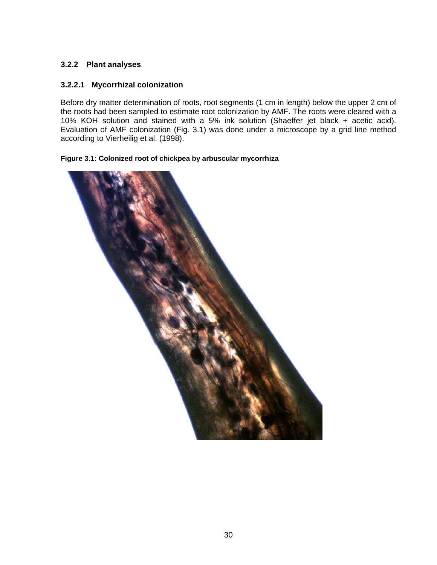#### **3.2.2 Plant analyses**

#### **3.2.2.1 Mycorrhizal colonization**

Before dry matter determination of roots, root segments (1 cm in length) below the upper 2 cm of the roots had been sampled to estimate root colonization by AMF. The roots were cleared with a 10% KOH solution and stained with a 5% ink solution (Shaeffer jet black + acetic acid). Evaluation of AMF colonization (Fig. 3.1) was done under a microscope by a grid line method according to Vierheilig et al. (1998).

#### **Figure 3.1: Colonized root of chickpea by arbuscular mycorrhiza**

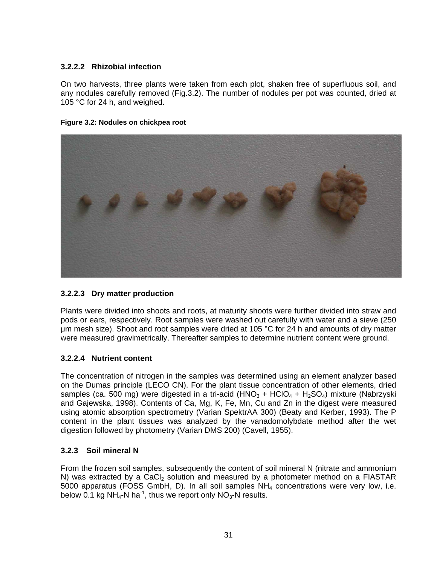# **3.2.2.2 Rhizobial infection**

On two harvests, three plants were taken from each plot, shaken free of superfluous soil, and any nodules carefully removed (Fig.3.2). The number of nodules per pot was counted, dried at 105 °C for 24 h, and weighed.

#### **Figure 3.2: Nodules on chickpea root**



# **3.2.2.3 Dry matter production**

Plants were divided into shoots and roots, at maturity shoots were further divided into straw and pods or ears, respectively. Root samples were washed out carefully with water and a sieve (250 μm mesh size). Shoot and root samples were dried at 105 °C for 24 h and amounts of dry matter were measured gravimetrically. Thereafter samples to determine nutrient content were ground.

# **3.2.2.4 Nutrient content**

The concentration of nitrogen in the samples was determined using an element analyzer based on the Dumas principle (LECO CN). For the plant tissue concentration of other elements, dried samples (ca. 500 mg) were digested in a tri-acid (HNO<sub>3</sub> + HClO<sub>4</sub> + H<sub>2</sub>SO<sub>4</sub>) mixture (Nabrzyski and Gajewska, 1998). Contents of Ca, Mg, K, Fe, Mn, Cu and Zn in the digest were measured using atomic absorption spectrometry (Varian SpektrAA 300) (Beaty and Kerber, 1993). The P content in the plant tissues was analyzed by the vanadomolybdate method after the wet digestion followed by photometry (Varian DMS 200) (Cavell, 1955).

#### **3.2.3 Soil mineral N**

From the frozen soil samples, subsequently the content of soil mineral N (nitrate and ammonium N) was extracted by a CaCl<sub>2</sub> solution and measured by a photometer method on a FIASTAR 5000 apparatus (FOSS GmbH, D). In all soil samples  $NH<sub>4</sub>$  concentrations were very low, i.e. below 0.1 kg NH<sub>4</sub>-N ha<sup>-1</sup>, thus we report only NO<sub>3</sub>-N results.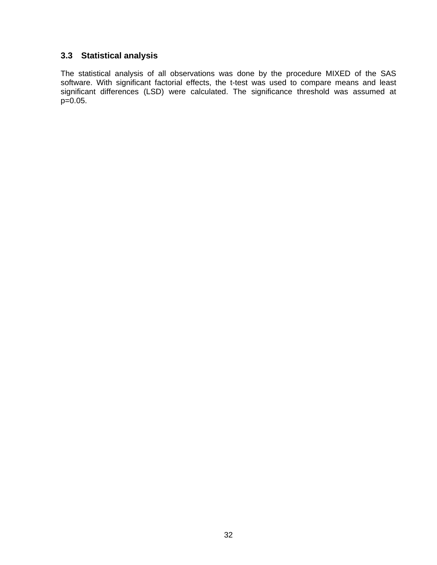# **3.3 Statistical analysis**

The statistical analysis of all observations was done by the procedure MIXED of the SAS software. With significant factorial effects, the t-test was used to compare means and least significant differences (LSD) were calculated. The significance threshold was assumed at p=0.05.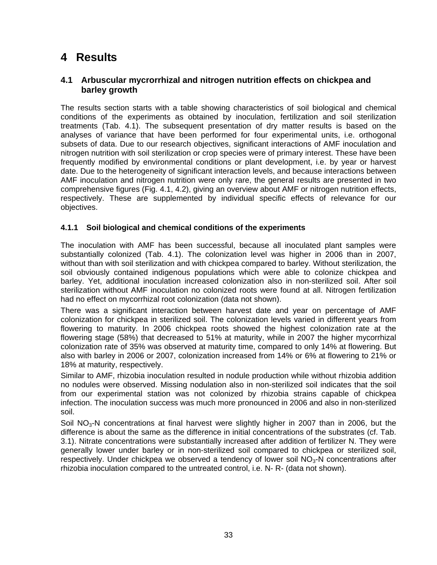# **4 Results**

# **4.1 Arbuscular mycrorrhizal and nitrogen nutrition effects on chickpea and barley growth**

The results section starts with a table showing characteristics of soil biological and chemical conditions of the experiments as obtained by inoculation, fertilization and soil sterilization treatments (Tab. 4.1). The subsequent presentation of dry matter results is based on the analyses of variance that have been performed for four experimental units, i.e. orthogonal subsets of data. Due to our research objectives, significant interactions of AMF inoculation and nitrogen nutrition with soil sterilization or crop species were of primary interest. These have been frequently modified by environmental conditions or plant development, i.e. by year or harvest date. Due to the heterogeneity of significant interaction levels, and because interactions between AMF inoculation and nitrogen nutrition were only rare, the general results are presented in two comprehensive figures (Fig. 4.1, 4.2), giving an overview about AMF or nitrogen nutrition effects, respectively. These are supplemented by individual specific effects of relevance for our objectives.

# **4.1.1 Soil biological and chemical conditions of the experiments**

The inoculation with AMF has been successful, because all inoculated plant samples were substantially colonized (Tab. 4.1). The colonization level was higher in 2006 than in 2007, without than with soil sterilization and with chickpea compared to barley. Without sterilization, the soil obviously contained indigenous populations which were able to colonize chickpea and barley. Yet, additional inoculation increased colonization also in non-sterilized soil. After soil sterilization without AMF inoculation no colonized roots were found at all. Nitrogen fertilization had no effect on mycorrhizal root colonization (data not shown).

There was a significant interaction between harvest date and year on percentage of AMF colonization for chickpea in sterilized soil. The colonization levels varied in different years from flowering to maturity. In 2006 chickpea roots showed the highest colonization rate at the flowering stage (58%) that decreased to 51% at maturity, while in 2007 the higher mycorrhizal colonization rate of 35% was observed at maturity time, compared to only 14% at flowering. But also with barley in 2006 or 2007, colonization increased from 14% or 6% at flowering to 21% or 18% at maturity, respectively.

Similar to AMF, rhizobia inoculation resulted in nodule production while without rhizobia addition no nodules were observed. Missing nodulation also in non-sterilized soil indicates that the soil from our experimental station was not colonized by rhizobia strains capable of chickpea infection. The inoculation success was much more pronounced in 2006 and also in non-sterilized soil.

Soil NO<sub>3</sub>-N concentrations at final harvest were slightly higher in 2007 than in 2006, but the difference is about the same as the difference in initial concentrations of the substrates (cf. Tab. 3.1). Nitrate concentrations were substantially increased after addition of fertilizer N. They were generally lower under barley or in non-sterilized soil compared to chickpea or sterilized soil, respectively. Under chickpea we observed a tendency of lower soil  $NO<sub>3</sub>-N$  concentrations after rhizobia inoculation compared to the untreated control, i.e. N- R- (data not shown).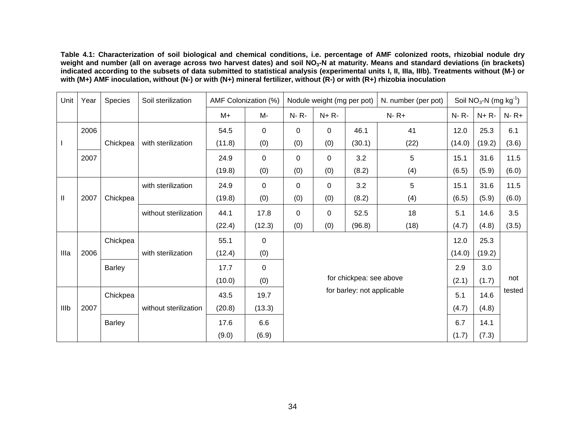**Table 4.1: Characterization of soil biological and chemical conditions, i.e. percentage of AMF colonized roots, rhizobial nodule dry**  weight and number (all on average across two harvest dates) and soil NO<sub>3</sub>-N at maturity. Means and standard deviations (in brackets) **indicated according to the subsets of data submitted to statistical analysis (experimental units I, II, IIIa, IIIb). Treatments without (M-) or**  with (M+) AMF inoculation, without (N-) or with (N+) mineral fertilizer, without (R-) or with (R+) rhizobia inoculation

| Unit | Year | Species       | Soil sterilization    |        | AMF Colonization (%) |             | Nodule weight (mg per pot) |                            | N. number (per pot) |           | Soil $NO3$ -N (mg kg <sup>-1</sup> ) |           |
|------|------|---------------|-----------------------|--------|----------------------|-------------|----------------------------|----------------------------|---------------------|-----------|--------------------------------------|-----------|
|      |      |               |                       | M+     | M-                   | $N - R -$   | $N + R$                    |                            | $N - R +$           | $N - R -$ | $N+R-$                               | $N - R +$ |
|      | 2006 |               |                       | 54.5   | 0                    | $\mathbf 0$ | $\overline{0}$             | 46.1                       | 41                  | 12.0      | 25.3                                 | 6.1       |
|      |      | Chickpea      | with sterilization    | (11.8) | (0)                  | (0)         | (0)                        | (30.1)                     | (22)                | (14.0)    | (19.2)                               | (3.6)     |
|      | 2007 |               |                       | 24.9   | 0                    | 0           | $\mathbf 0$                | 3.2                        | 5                   | 15.1      | 31.6                                 | 11.5      |
|      |      |               |                       | (19.8) | (0)                  | (0)         | (0)                        | (8.2)                      | (4)                 | (6.5)     | (5.9)                                | (6.0)     |
|      |      |               | with sterilization    | 24.9   | 0                    | 0           | 0                          | 3.2                        | 5                   | 15.1      | 31.6                                 | 11.5      |
| Ш    | 2007 | Chickpea      |                       | (19.8) | (0)                  | (0)         | (0)                        | (8.2)                      | (4)                 | (6.5)     | (5.9)                                | (6.0)     |
|      |      |               | without sterilization | 44.1   | 17.8                 | 0           | $\mathbf 0$                | 52.5                       | 18                  | 5.1       | 14.6                                 | 3.5       |
|      |      |               |                       | (22.4) | (12.3)               | (0)         | (0)                        | (96.8)                     | (18)                | (4.7)     | (4.8)                                | (3.5)     |
|      |      | Chickpea      |                       | 55.1   | $\mathbf 0$          |             |                            |                            |                     | 12.0      | 25.3                                 |           |
| Illa | 2006 |               | with sterilization    | (12.4) | (0)                  |             |                            |                            |                     | (14.0)    | (19.2)                               |           |
|      |      | Barley        |                       | 17.7   | $\mathbf 0$          |             |                            |                            |                     | 2.9       | 3.0                                  |           |
|      |      |               |                       | (10.0) | (0)                  |             |                            | for chickpea: see above    |                     | (2.1)     | (1.7)                                | not       |
|      |      | Chickpea      |                       | 43.5   | 19.7                 |             |                            | for barley: not applicable |                     | 5.1       | 14.6                                 | tested    |
| IIIb | 2007 |               | without sterilization | (20.8) | (13.3)               |             |                            |                            |                     | (4.7)     | (4.8)                                |           |
|      |      | <b>Barley</b> |                       | 17.6   | 6.6                  |             |                            |                            | 6.7                 | 14.1      |                                      |           |
|      |      |               |                       | (9.0)  | (6.9)                |             |                            |                            |                     | (1.7)     | (7.3)                                |           |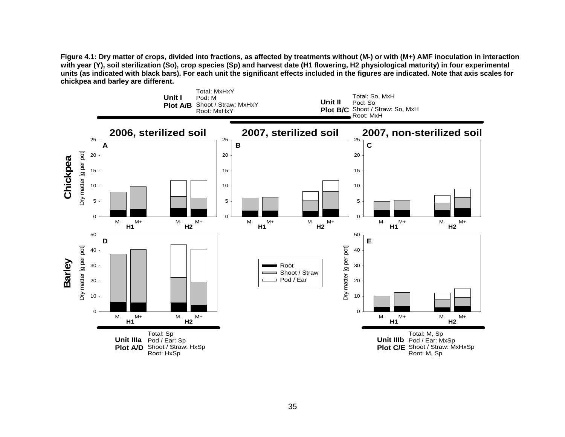**Figure 4.1: Dry matter of crops, divided into fractions, as affected by treatments without (M-) or with (M+) AMF inoculation in interaction with year (Y), soil sterilization (So), crop species (Sp) and harvest date (H1 flowering, H2 physiological maturity) in four experimental units (as indicated with black bars). For each unit the significant effects included in the figures are indicated. Note that axis scales for chickpea and barley are different.** 

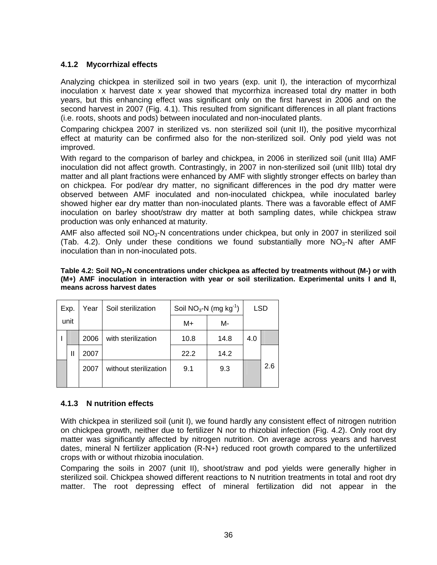# **4.1.2 Mycorrhizal effects**

Analyzing chickpea in sterilized soil in two years (exp. unit I), the interaction of mycorrhizal inoculation x harvest date x year showed that mycorrhiza increased total dry matter in both years, but this enhancing effect was significant only on the first harvest in 2006 and on the second harvest in 2007 (Fig. 4.1). This resulted from significant differences in all plant fractions (i.e. roots, shoots and pods) between inoculated and non-inoculated plants.

Comparing chickpea 2007 in sterilized vs. non sterilized soil (unit II), the positive mycorrhizal effect at maturity can be confirmed also for the non-sterilized soil. Only pod yield was not improved.

With regard to the comparison of barley and chickpea, in 2006 in sterilized soil (unit IIIa) AMF inoculation did not affect growth. Contrastingly, in 2007 in non-sterilized soil (unit IIIb) total dry matter and all plant fractions were enhanced by AMF with slightly stronger effects on barley than on chickpea. For pod/ear dry matter, no significant differences in the pod dry matter were observed between AMF inoculated and non-inoculated chickpea, while inoculated barley showed higher ear dry matter than non-inoculated plants. There was a favorable effect of AMF inoculation on barley shoot/straw dry matter at both sampling dates, while chickpea straw production was only enhanced at maturity.

AMF also affected soil  $NO<sub>3</sub>-N$  concentrations under chickpea, but only in 2007 in sterilized soil (Tab. 4.2). Only under these conditions we found substantially more  $NO<sub>3</sub>$ -N after AMF inoculation than in non-inoculated pots.

| Exp. | Year | Soil sterilization    | Soil $NO3$ -N (mg kg <sup>-1</sup> ) |      |     | <b>LSD</b> |
|------|------|-----------------------|--------------------------------------|------|-----|------------|
| unit |      |                       | M+                                   | М-   |     |            |
|      | 2006 | with sterilization    | 10.8                                 | 14.8 | 4.0 |            |
| Ш    | 2007 |                       | 22.2                                 | 14.2 |     |            |
|      | 2007 | without sterilization | 9.1                                  | 9.3  |     | 2.6        |
|      |      |                       |                                      |      |     |            |

Table 4.2: Soil NO<sub>3</sub>-N concentrations under chickpea as affected by treatments without (M-) or with **(M+) AMF inoculation in interaction with year or soil sterilization. Experimental units I and II, means across harvest dates** 

#### **4.1.3 N nutrition effects**

With chickpea in sterilized soil (unit I), we found hardly any consistent effect of nitrogen nutrition on chickpea growth, neither due to fertilizer N nor to rhizobial infection (Fig. 4.2). Only root dry matter was significantly affected by nitrogen nutrition. On average across years and harvest dates, mineral N fertilizer application (R-N+) reduced root growth compared to the unfertilized crops with or without rhizobia inoculation.

Comparing the soils in 2007 (unit II), shoot/straw and pod yields were generally higher in sterilized soil. Chickpea showed different reactions to N nutrition treatments in total and root dry matter. The root depressing effect of mineral fertilization did not appear in the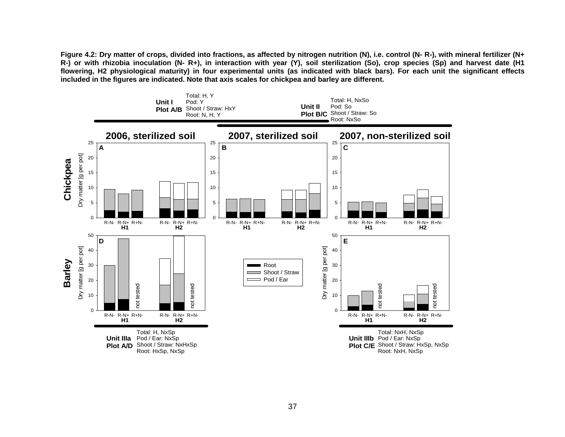**Figure 4.2: Dry matter of crops, divided into fractions, as affected by nitrogen nutrition (N), i.e. control (N- R-), with mineral fertilizer (N+ R-) or with rhizobia inoculation (N- R+), in interaction with year (Y), soil sterilization (So), crop species (Sp) and harvest date (H1 flowering, H2 physiological maturity) in four experimental units (as indicated with black bars). For each unit the significant effects included in the figures are indicated. Note that axis scales for chickpea and barley are different.**

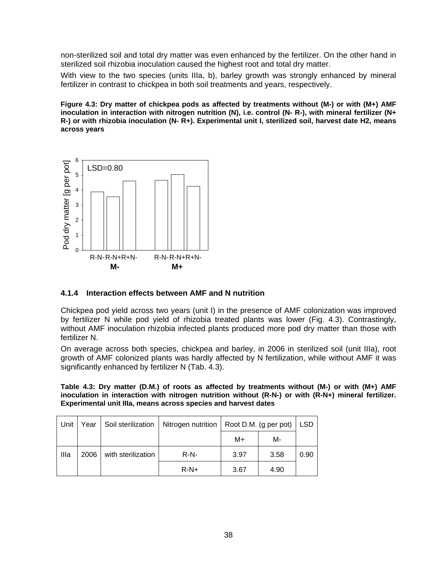non-sterilized soil and total dry matter was even enhanced by the fertilizer. On the other hand in sterilized soil rhizobia inoculation caused the highest root and total dry matter.

With view to the two species (units IIIa, b), barley growth was strongly enhanced by mineral fertilizer in contrast to chickpea in both soil treatments and years, respectively.

**Figure 4.3: Dry matter of chickpea pods as affected by treatments without (M-) or with (M+) AMF inoculation in interaction with nitrogen nutrition (N), i.e. control (N- R-), with mineral fertilizer (N+ R-) or with rhizobia inoculation (N- R+). Experimental unit I, sterilized soil, harvest date H2, means across years** 



#### **4.1.4 Interaction effects between AMF and N nutrition**

Chickpea pod yield across two years (unit I) in the presence of AMF colonization was improved by fertilizer N while pod yield of rhizobia treated plants was lower (Fig. 4.3). Contrastingly, without AMF inoculation rhizobia infected plants produced more pod dry matter than those with fertilizer N.

On average across both species, chickpea and barley, in 2006 in sterilized soil (unit IIIa), root growth of AMF colonized plants was hardly affected by N fertilization, while without AMF it was significantly enhanced by fertilizer N (Tab. 4.3).

**Table 4.3: Dry matter (D.M.) of roots as affected by treatments without (M-) or with (M+) AMF inoculation in interaction with nitrogen nutrition without (R-N-) or with (R-N+) mineral fertilizer. Experimental unit IIIa, means across species and harvest dates** 

| Unit | Year |                    | Soil sterilization   Nitrogen nutrition   Root D.M. (g per pot) |      |      | <b>LSD</b> |
|------|------|--------------------|-----------------------------------------------------------------|------|------|------------|
|      |      |                    |                                                                 | M+   | м-   |            |
| Illa | 2006 | with sterilization | $R-N-$                                                          | 3.97 | 3.58 | 0.90       |
|      |      |                    | $R-N+$                                                          | 3.67 | 4.90 |            |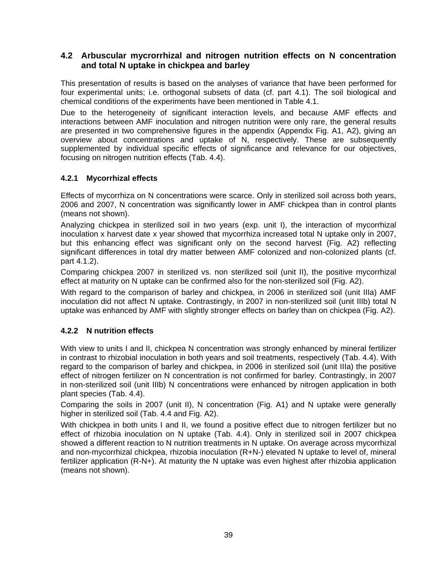# **4.2 Arbuscular mycrorrhizal and nitrogen nutrition effects on N concentration and total N uptake in chickpea and barley**

This presentation of results is based on the analyses of variance that have been performed for four experimental units; i.e. orthogonal subsets of data (cf. part 4.1). The soil biological and chemical conditions of the experiments have been mentioned in Table 4.1.

Due to the heterogeneity of significant interaction levels, and because AMF effects and interactions between AMF inoculation and nitrogen nutrition were only rare, the general results are presented in two comprehensive figures in the appendix (Appendix Fig. A1, A2), giving an overview about concentrations and uptake of N, respectively. These are subsequently supplemented by individual specific effects of significance and relevance for our objectives, focusing on nitrogen nutrition effects (Tab. 4.4).

## **4.2.1 Mycorrhizal effects**

Effects of mycorrhiza on N concentrations were scarce. Only in sterilized soil across both years, 2006 and 2007, N concentration was significantly lower in AMF chickpea than in control plants (means not shown).

Analyzing chickpea in sterilized soil in two years (exp. unit I), the interaction of mycorrhizal inoculation x harvest date x year showed that mycorrhiza increased total N uptake only in 2007, but this enhancing effect was significant only on the second harvest (Fig. A2) reflecting significant differences in total dry matter between AMF colonized and non-colonized plants (cf. part 4.1.2).

Comparing chickpea 2007 in sterilized vs. non sterilized soil (unit II), the positive mycorrhizal effect at maturity on N uptake can be confirmed also for the non-sterilized soil (Fig. A2).

With regard to the comparison of barley and chickpea, in 2006 in sterilized soil (unit IIIa) AMF inoculation did not affect N uptake. Contrastingly, in 2007 in non-sterilized soil (unit IIIb) total N uptake was enhanced by AMF with slightly stronger effects on barley than on chickpea (Fig. A2).

# **4.2.2 N nutrition effects**

With view to units I and II, chickpea N concentration was strongly enhanced by mineral fertilizer in contrast to rhizobial inoculation in both years and soil treatments, respectively (Tab. 4.4). With regard to the comparison of barley and chickpea, in 2006 in sterilized soil (unit IIIa) the positive effect of nitrogen fertilizer on N concentration is not confirmed for barley. Contrastingly, in 2007 in non-sterilized soil (unit IIIb) N concentrations were enhanced by nitrogen application in both plant species (Tab. 4.4).

Comparing the soils in 2007 (unit II), N concentration (Fig. A1) and N uptake were generally higher in sterilized soil (Tab. 4.4 and Fig. A2).

With chickpea in both units I and II, we found a positive effect due to nitrogen fertilizer but no effect of rhizobia inoculation on N uptake (Tab. 4.4). Only in sterilized soil in 2007 chickpea showed a different reaction to N nutrition treatments in N uptake. On average across mycorrhizal and non-mycorrhizal chickpea, rhizobia inoculation (R+N-) elevated N uptake to level of, mineral fertilizer application (R-N+). At maturity the N uptake was even highest after rhizobia application (means not shown).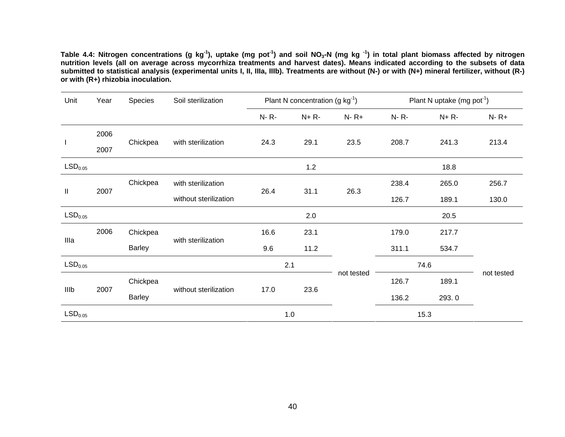Table 4.4: Nitrogen concentrations (g kg<sup>-1</sup>), uptake (mg pot<sup>-1</sup>) and soil NO<sub>3</sub>-N (mg kg <sup>-1</sup>) in total plant biomass affected by nitrogen **nutrition levels (all on average across mycorrhiza treatments and harvest dates). Means indicated according to the subsets of data submitted to statistical analysis (experimental units I, II, IIIa, IIIb). Treatments are without (N-) or with (N+) mineral fertilizer, without (R-) or with (R+) rhizobia inoculation.** 

| Unit                | Year | Species       | Soil sterilization    |           | Plant N concentration (g $kg^{-1}$ ) |            |           | Plant N uptake (mg pot <sup>-1</sup> ) |            |
|---------------------|------|---------------|-----------------------|-----------|--------------------------------------|------------|-----------|----------------------------------------|------------|
|                     |      |               |                       | $N - R -$ | $N + R$                              | $N - R +$  | $N - R -$ | $N+R-$                                 | $N - R +$  |
| 1                   | 2006 | Chickpea      | with sterilization    | 24.3      | 29.1                                 | 23.5       | 208.7     | 241.3                                  | 213.4      |
|                     | 2007 |               |                       |           |                                      |            |           |                                        |            |
| LSD <sub>0.05</sub> |      |               |                       |           | 1.2                                  |            |           | 18.8                                   |            |
|                     |      | Chickpea      | with sterilization    |           |                                      |            | 238.4     | 265.0                                  | 256.7      |
| Ш                   | 2007 |               | without sterilization | 26.4      | 31.1                                 | 26.3       | 126.7     | 189.1                                  | 130.0      |
| LSD <sub>0.05</sub> |      |               |                       |           | 2.0                                  |            |           | 20.5                                   |            |
|                     | 2006 | Chickpea      |                       | 16.6      | 23.1                                 |            | 179.0     | 217.7                                  |            |
| Illa                |      | <b>Barley</b> | with sterilization    | 9.6       | 11.2                                 |            | 311.1     | 534.7                                  |            |
| LSD <sub>0.05</sub> |      |               |                       |           | 2.1                                  |            |           | 74.6                                   |            |
|                     |      | Chickpea      |                       |           |                                      | not tested | 126.7     | 189.1                                  | not tested |
| IIIb                | 2007 | <b>Barley</b> | without sterilization | 17.0      | 23.6                                 |            | 136.2     | 293.0                                  |            |
| LSD <sub>0.05</sub> |      |               |                       |           | 1.0                                  |            |           | 15.3                                   |            |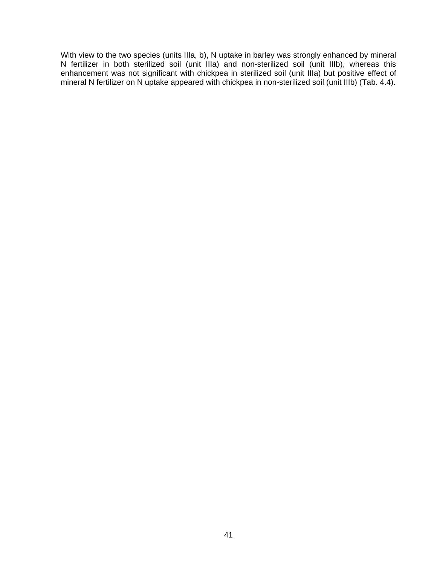With view to the two species (units IIIa, b), N uptake in barley was strongly enhanced by mineral N fertilizer in both sterilized soil (unit IIIa) and non-sterilized soil (unit IIIb), whereas this enhancement was not significant with chickpea in sterilized soil (unit IIIa) but positive effect of mineral N fertilizer on N uptake appeared with chickpea in non-sterilized soil (unit IIIb) (Tab. 4.4).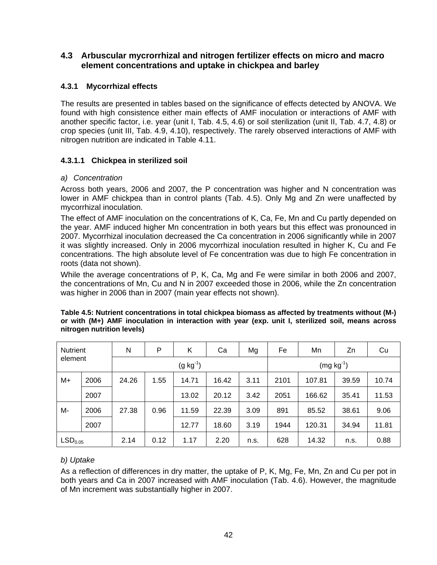# **4.3 Arbuscular mycrorrhizal and nitrogen fertilizer effects on micro and macro element concentrations and uptake in chickpea and barley**

# **4.3.1 Mycorrhizal effects**

The results are presented in tables based on the significance of effects detected by ANOVA. We found with high consistence either main effects of AMF inoculation or interactions of AMF with another specific factor, i.e. year (unit I, Tab. 4.5, 4.6) or soil sterilization (unit II, Tab. 4.7, 4.8) or crop species (unit III, Tab. 4.9, 4.10), respectively. The rarely observed interactions of AMF with nitrogen nutrition are indicated in Table 4.11.

# **4.3.1.1 Chickpea in sterilized soil**

## *a) Concentration*

Across both years, 2006 and 2007, the P concentration was higher and N concentration was lower in AMF chickpea than in control plants (Tab. 4.5). Only Mg and Zn were unaffected by mycorrhizal inoculation.

The effect of AMF inoculation on the concentrations of K, Ca, Fe, Mn and Cu partly depended on the year. AMF induced higher Mn concentration in both years but this effect was pronounced in 2007. Mycorrhizal inoculation decreased the Ca concentration in 2006 significantly while in 2007 it was slightly increased. Only in 2006 mycorrhizal inoculation resulted in higher K, Cu and Fe concentrations. The high absolute level of Fe concentration was due to high Fe concentration in roots (data not shown).

While the average concentrations of P, K, Ca, Mg and Fe were similar in both 2006 and 2007, the concentrations of Mn, Cu and N in 2007 exceeded those in 2006, while the Zn concentration was higher in 2006 than in 2007 (main year effects not shown).

| Nutrient              |      | N     | Ρ    | Κ             | Ca    | Mg             | Fe   | Mn     | Zn    | Cu    |
|-----------------------|------|-------|------|---------------|-------|----------------|------|--------|-------|-------|
| element               |      |       |      | $(g kg^{-1})$ |       | $(mg kg^{-1})$ |      |        |       |       |
| $M+$                  | 2006 | 24.26 | 1.55 | 14.71         | 16.42 | 3.11           | 2101 | 107.81 | 39.59 | 10.74 |
|                       | 2007 |       |      | 13.02         | 20.12 | 3.42           | 2051 | 166.62 | 35.41 | 11.53 |
| M-                    | 2006 | 27.38 | 0.96 | 11.59         | 22.39 | 3.09           | 891  | 85.52  | 38.61 | 9.06  |
|                       | 2007 |       |      | 12.77         | 18.60 | 3.19           | 1944 | 120.31 | 34.94 | 11.81 |
| $\mathsf{LSD}_{0.05}$ |      | 2.14  | 0.12 | 1.17          | 2.20  | n.s.           | 628  | 14.32  | n.s.  | 0.88  |

|                            |  | Table 4.5: Nutrient concentrations in total chickpea biomass as affected by treatments without (M-) |  |  |  |
|----------------------------|--|-----------------------------------------------------------------------------------------------------|--|--|--|
|                            |  | or with (M+) AMF inoculation in interaction with year (exp. unit I, sterilized soil, means across   |  |  |  |
| nitrogen nutrition levels) |  |                                                                                                     |  |  |  |

#### *b) Uptake*

As a reflection of differences in dry matter, the uptake of P, K, Mg, Fe, Mn, Zn and Cu per pot in both years and Ca in 2007 increased with AMF inoculation (Tab. 4.6). However, the magnitude of Mn increment was substantially higher in 2007.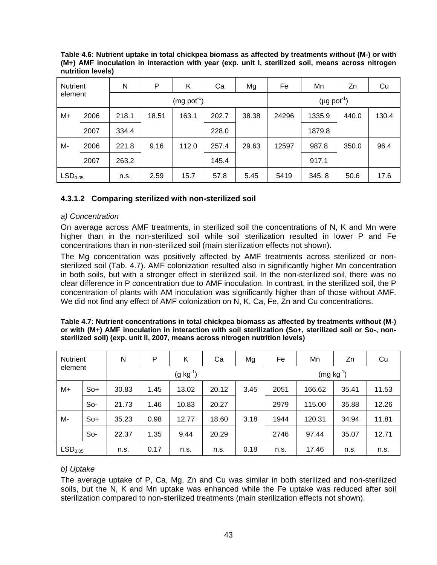| <b>Nutrient</b>     |      | N     | P                                | Κ            | Ca    | Mg                           | Fe    | Mn     | Zn    | Cu    |
|---------------------|------|-------|----------------------------------|--------------|-------|------------------------------|-------|--------|-------|-------|
| element             |      |       |                                  | $(mg~pot^1)$ |       | $(\mu g$ pot <sup>-1</sup> ) |       |        |       |       |
| M+                  | 2006 | 218.1 | 163.1<br>38.38<br>202.7<br>18.51 |              |       |                              |       | 1335.9 | 440.0 | 130.4 |
|                     | 2007 | 334.4 |                                  |              | 228.0 |                              |       | 1879.8 |       |       |
| M-                  | 2006 | 221.8 | 9.16                             | 112.0        | 257.4 | 29.63                        | 12597 | 987.8  | 350.0 | 96.4  |
| 2007                |      | 263.2 |                                  |              | 145.4 |                              |       | 917.1  |       |       |
| LSD <sub>0.05</sub> |      | n.s.  | 2.59                             | 15.7         | 57.8  | 5.45                         | 5419  | 345.8  | 50.6  | 17.6  |

**Table 4.6: Nutrient uptake in total chickpea biomass as affected by treatments without (M-) or with (M+) AMF inoculation in interaction with year (exp. unit I, sterilized soil, means across nitrogen nutrition levels)** 

#### **4.3.1.2 Comparing sterilized with non-sterilized soil**

#### *a) Concentration*

On average across AMF treatments, in sterilized soil the concentrations of N, K and Mn were higher than in the non-sterilized soil while soil sterilization resulted in lower P and Fe concentrations than in non-sterilized soil (main sterilization effects not shown).

The Mg concentration was positively affected by AMF treatments across sterilized or nonsterilized soil (Tab. 4.7). AMF colonization resulted also in significantly higher Mn concentration in both soils, but with a stronger effect in sterilized soil. In the non-sterilized soil, there was no clear difference in P concentration due to AMF inoculation. In contrast, in the sterilized soil, the P concentration of plants with AM inoculation was significantly higher than of those without AMF. We did not find any effect of AMF colonization on N, K, Ca, Fe, Zn and Cu concentrations.

| יוט זיונוו (ואדן רוואו וווטטטוטוטוו ווווערטטטוטוו איונוו סטוו סנטוווובטנוטוו (טטיד, סנטוווובטט סטוו טו טטי, ווטו<br>sterilized soil) (exp. unit II, 2007, means across nitrogen nutrition levels) |   |  |    |    |    |    |  |
|---------------------------------------------------------------------------------------------------------------------------------------------------------------------------------------------------|---|--|----|----|----|----|--|
| Nutrient                                                                                                                                                                                          | N |  | Cа | Ma | Fe | Mn |  |
| element                                                                                                                                                                                           |   |  |    |    |    |    |  |

| Table 4.7: Nutrient concentrations in total chickpea biomass as affected by treatments without (M-)    |
|--------------------------------------------------------------------------------------------------------|
| or with (M+) AMF inoculation in interaction with soil sterilization (So+, sterilized soil or So-, non- |
| sterilized soil) (exp. unit II, 2007, means across nitrogen nutrition levels)                          |

| <b>Nutrient</b>     |       | N     | P    | Κ             | Ca    | Mg             | Fe   | Mn     | Zn    | Cu    |
|---------------------|-------|-------|------|---------------|-------|----------------|------|--------|-------|-------|
| element             |       |       |      | $(g kg^{-1})$ |       | $(mg kg^{-1})$ |      |        |       |       |
| M+                  | $So+$ | 30.83 | 1.45 | 13.02         | 20.12 | 3.45           | 2051 | 166.62 | 35.41 | 11.53 |
| $So-$               |       | 21.73 | 1.46 | 10.83         | 20.27 |                | 2979 | 115.00 | 35.88 | 12.26 |
| M-                  | $So+$ | 35.23 | 0.98 | 12.77         | 18.60 | 3.18           | 1944 | 120.31 | 34.94 | 11.81 |
| $So-$               |       | 22.37 | 1.35 | 9.44          | 20.29 |                | 2746 | 97.44  | 35.07 | 12.71 |
| LSD <sub>0.05</sub> |       | n.s.  | 0.17 | n.s.          | n.s.  | 0.18           | n.s. | 17.46  | n.s.  | n.s.  |

#### *b) Uptake*

The average uptake of P, Ca, Mg, Zn and Cu was similar in both sterilized and non-sterilized soils, but the N, K and Mn uptake was enhanced while the Fe uptake was reduced after soil sterilization compared to non-sterilized treatments (main sterilization effects not shown).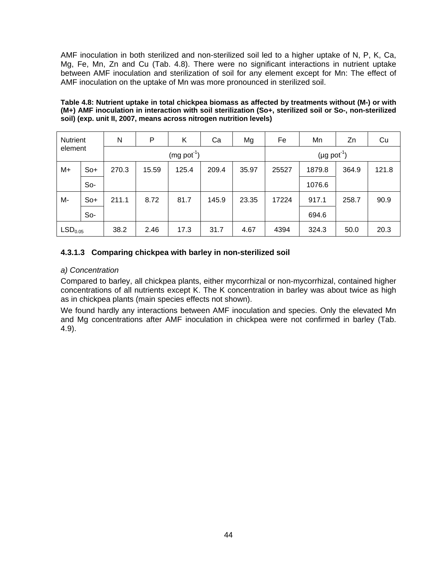AMF inoculation in both sterilized and non-sterilized soil led to a higher uptake of N, P, K, Ca, Mg, Fe, Mn, Zn and Cu (Tab. 4.8). There were no significant interactions in nutrient uptake between AMF inoculation and sterilization of soil for any element except for Mn: The effect of AMF inoculation on the uptake of Mn was more pronounced in sterilized soil.

**Table 4.8: Nutrient uptake in total chickpea biomass as affected by treatments without (M-) or with (M+) AMF inoculation in interaction with soil sterilization (So+, sterilized soil or So-, non-sterilized soil) (exp. unit II, 2007, means across nitrogen nutrition levels)** 

| <b>Nutrient</b>     |       | N     | P     | Κ            | Ca    | Mg    | Fe    | Mn     | Zn                         | Cu    |  |  |
|---------------------|-------|-------|-------|--------------|-------|-------|-------|--------|----------------------------|-------|--|--|
| element             |       |       |       | $(mg pot-1)$ |       |       |       |        | $(\mu g \text{ pot}^{-1})$ |       |  |  |
| $M+$                | $So+$ | 270.3 | 15.59 | 125.4        | 209.4 | 35.97 | 25527 | 1879.8 | 364.9                      | 121.8 |  |  |
|                     | $So-$ |       |       |              |       |       |       | 1076.6 |                            |       |  |  |
| M-                  | $So+$ | 211.1 | 8.72  | 81.7         | 145.9 | 23.35 | 17224 | 917.1  | 258.7                      | 90.9  |  |  |
|                     | $So-$ |       |       |              |       |       |       | 694.6  |                            |       |  |  |
| LSD <sub>0.05</sub> |       | 38.2  | 2.46  | 17.3         | 31.7  | 4.67  | 4394  | 324.3  | 50.0                       | 20.3  |  |  |

## **4.3.1.3 Comparing chickpea with barley in non-sterilized soil**

#### *a) Concentration*

Compared to barley, all chickpea plants, either mycorrhizal or non-mycorrhizal, contained higher concentrations of all nutrients except K. The K concentration in barley was about twice as high as in chickpea plants (main species effects not shown).

We found hardly any interactions between AMF inoculation and species. Only the elevated Mn and Mg concentrations after AMF inoculation in chickpea were not confirmed in barley (Tab. 4.9).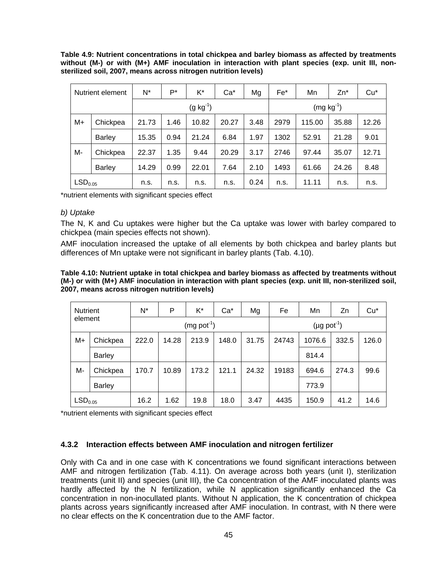**Table 4.9: Nutrient concentrations in total chickpea and barley biomass as affected by treatments without (M-) or with (M+) AMF inoculation in interaction with plant species (exp. unit III, nonsterilized soil, 2007, means across nitrogen nutrition levels)** 

| Nutrient element      |               | $N^*$ | P*   | K*            | Ca*   | Mg             | Fe*  | Mn     | Zn*   | $Cu*$ |
|-----------------------|---------------|-------|------|---------------|-------|----------------|------|--------|-------|-------|
|                       |               |       |      | $(g kg^{-1})$ |       | $(mg kg^{-1})$ |      |        |       |       |
| M+                    | Chickpea      | 21.73 | 1.46 | 10.82         | 20.27 | 3.48           | 2979 | 115.00 | 35.88 | 12.26 |
|                       | <b>Barley</b> |       | 0.94 | 21.24         | 6.84  | 1.97           | 1302 | 52.91  | 21.28 | 9.01  |
| M-                    | Chickpea      | 22.37 | 1.35 | 9.44          | 20.29 | 3.17           | 2746 | 97.44  | 35.07 | 12.71 |
| <b>Barley</b>         |               | 14.29 | 0.99 | 22.01         | 7.64  | 2.10           | 1493 | 61.66  | 24.26 | 8.48  |
| $\mathsf{LSD}_{0.05}$ |               | n.s.  | n.s. | n.s.          | n.s.  | 0.24           | n.s. | 11.11  | n.s.  | n.s.  |

\*nutrient elements with significant species effect

#### *b) Uptake*

The N, K and Cu uptakes were higher but the Ca uptake was lower with barley compared to chickpea (main species effects not shown).

AMF inoculation increased the uptake of all elements by both chickpea and barley plants but differences of Mn uptake were not significant in barley plants (Tab. 4.10).

| Table 4.10: Nutrient uptake in total chickpea and barley biomass as affected by treatments without       |
|----------------------------------------------------------------------------------------------------------|
| (M-) or with (M+) AMF inoculation in interaction with plant species (exp. unit III, non-sterilized soil, |
| 2007, means across nitrogen nutrition levels)                                                            |

| <b>Nutrient</b><br>element |               | $N^*$        | P     | $K^*$ | Ca <sup>*</sup> | Mg    | Fe                           | Mn     | Zn    | Cu <sup>*</sup> |
|----------------------------|---------------|--------------|-------|-------|-----------------|-------|------------------------------|--------|-------|-----------------|
|                            |               | $(mg pot-1)$ |       |       |                 |       | $(\mu g$ pot <sup>-1</sup> ) |        |       |                 |
| M+                         | Chickpea      | 222.0        | 14.28 | 213.9 | 148.0           | 31.75 | 24743                        | 1076.6 | 332.5 | 126.0           |
|                            | <b>Barley</b> |              |       |       |                 |       |                              | 814.4  |       |                 |
| M-                         | Chickpea      | 170.7        | 10.89 | 173.2 | 121.1           | 24.32 | 19183                        | 694.6  | 274.3 | 99.6            |
|                            | <b>Barley</b> |              |       |       |                 |       |                              | 773.9  |       |                 |
| $\mathsf{LSD}_{0.05}$      |               | 16.2         | 1.62  | 19.8  | 18.0            | 3.47  | 4435                         | 150.9  | 41.2  | 14.6            |

\*nutrient elements with significant species effect

#### **4.3.2 Interaction effects between AMF inoculation and nitrogen fertilizer**

Only with Ca and in one case with K concentrations we found significant interactions between AMF and nitrogen fertilization (Tab. 4.11). On average across both years (unit I), sterilization treatments (unit II) and species (unit III), the Ca concentration of the AMF inoculated plants was hardly affected by the N fertilization, while N application significantly enhanced the Ca concentration in non-inocullated plants. Without N application, the K concentration of chickpea plants across years significantly increased after AMF inoculation. In contrast, with N there were no clear effects on the K concentration due to the AMF factor.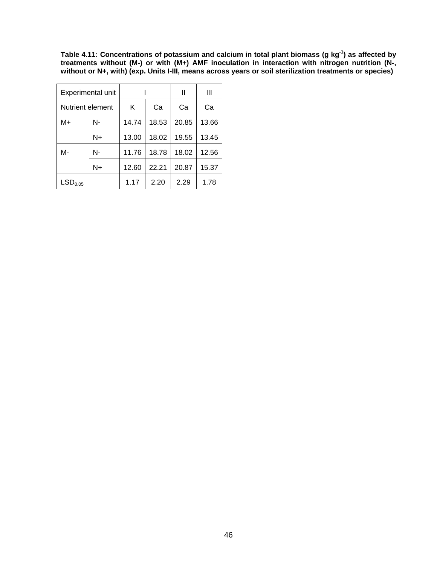Table 4.11: Concentrations of potassium and calcium in total plant biomass (g kg<sup>-1</sup>) as affected by **treatments without (M-) or with (M+) AMF inoculation in interaction with nitrogen nutrition (N-, without or N+, with) (exp. Units I-III, means across years or soil sterilization treatments or species)** 

| Experimental unit   |      |         |       | Ш     | Ш     |  |
|---------------------|------|---------|-------|-------|-------|--|
| Nutrient element    |      | Κ<br>Ca |       | Ca    | Ca    |  |
| M+                  | N-   | 14.74   | 18.53 | 20.85 | 13.66 |  |
|                     | N+   | 13.00   | 18.02 | 19.55 | 13.45 |  |
| М-                  | N-   | 11.76   | 18.78 | 18.02 | 12.56 |  |
|                     | $N+$ | 12.60   | 22.21 | 20.87 | 15.37 |  |
| LSD <sub>0.05</sub> |      | 1.17    | 2.20  | 2.29  | 1.78  |  |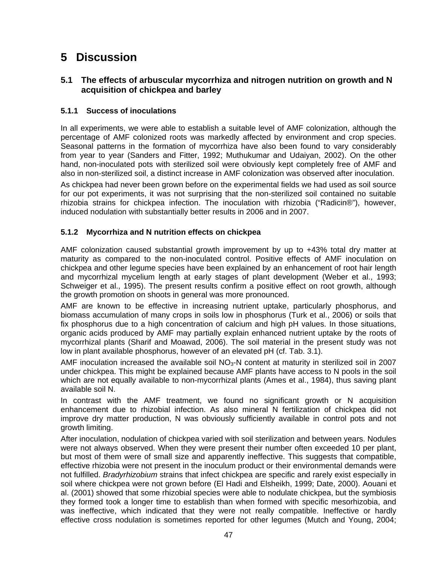# **5 Discussion**

# **5.1 The effects of arbuscular mycorrhiza and nitrogen nutrition on growth and N acquisition of chickpea and barley**

# **5.1.1 Success of inoculations**

In all experiments, we were able to establish a suitable level of AMF colonization, although the percentage of AMF colonized roots was markedly affected by environment and crop species. Seasonal patterns in the formation of mycorrhiza have also been found to vary considerably from year to year (Sanders and Fitter, 1992; Muthukumar and Udaiyan, 2002). On the other hand, non-inoculated pots with sterilized soil were obviously kept completely free of AMF and also in non-sterilized soil, a distinct increase in AMF colonization was observed after inoculation.

As chickpea had never been grown before on the experimental fields we had used as soil source for our pot experiments, it was not surprising that the non-sterilized soil contained no suitable rhizobia strains for chickpea infection. The inoculation with rhizobia ("Radicin®"), however, induced nodulation with substantially better results in 2006 and in 2007.

# **5.1.2 Mycorrhiza and N nutrition effects on chickpea**

AMF colonization caused substantial growth improvement by up to +43% total dry matter at maturity as compared to the non-inoculated control. Positive effects of AMF inoculation on chickpea and other legume species have been explained by an enhancement of root hair length and mycorrhizal mycelium length at early stages of plant development (Weber et al., 1993; Schweiger et al., 1995). The present results confirm a positive effect on root growth, although the growth promotion on shoots in general was more pronounced.

AMF are known to be effective in increasing nutrient uptake, particularly phosphorus, and biomass accumulation of many crops in soils low in phosphorus (Turk et al., 2006) or soils that fix phosphorus due to a high concentration of calcium and high pH values. In those situations, organic acids produced by AMF may partially explain enhanced nutrient uptake by the roots of mycorrhizal plants (Sharif and Moawad, 2006). The soil material in the present study was not low in plant available phosphorus, however of an elevated pH (cf. Tab. 3.1).

AMF inoculation increased the available soil  $NO<sub>3</sub>-N$  content at maturity in sterilized soil in 2007 under chickpea. This might be explained because AMF plants have access to N pools in the soil which are not equally available to non-mycorrhizal plants (Ames et al., 1984), thus saving plant available soil N.

In contrast with the AMF treatment, we found no significant growth or N acquisition enhancement due to rhizobial infection. As also mineral N fertilization of chickpea did not improve dry matter production, N was obviously sufficiently available in control pots and not growth limiting.

After inoculation, nodulation of chickpea varied with soil sterilization and between years. Nodules were not always observed. When they were present their number often exceeded 10 per plant, but most of them were of small size and apparently ineffective. This suggests that compatible, effective rhizobia were not present in the inoculum product or their environmental demands were not fulfilled. *Bradyrhizobium* strains that infect chickpea are specific and rarely exist especially in soil where chickpea were not grown before (El Hadi and Elsheikh, 1999; Date, 2000). Aouani et al. (2001) showed that some rhizobial species were able to nodulate chickpea, but the symbiosis they formed took a longer time to establish than when formed with specific mesorhizobia, and was ineffective, which indicated that they were not really compatible. Ineffective or hardly effective cross nodulation is sometimes reported for other legumes (Mutch and Young, 2004;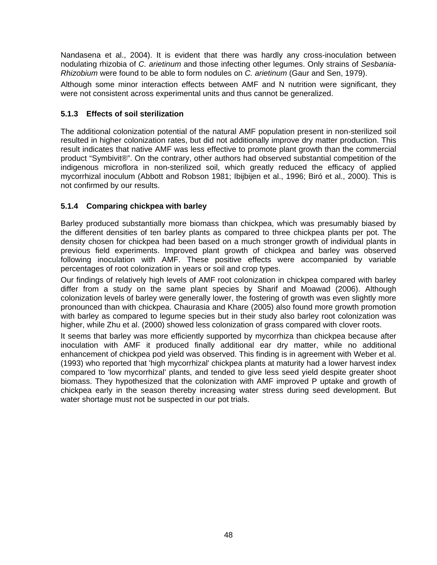Nandasena et al., 2004). It is evident that there was hardly any cross-inoculation between nodulating rhizobia of *C. arietinum* and those infecting other legumes. Only strains of *Sesbania*-*Rhizobium* were found to be able to form nodules on *C. arietinum* (Gaur and Sen, 1979).

Although some minor interaction effects between AMF and N nutrition were significant, they were not consistent across experimental units and thus cannot be generalized.

### **5.1.3 Effects of soil sterilization**

The additional colonization potential of the natural AMF population present in non-sterilized soil resulted in higher colonization rates, but did not additionally improve dry matter production. This result indicates that native AMF was less effective to promote plant growth than the commercial product "Symbivit®". On the contrary, other authors had observed substantial competition of the indigenous microflora in non-sterilized soil, which greatly reduced the efficacy of applied mycorrhizal inoculum (Abbott and Robson 1981; Ibijbijen et al., 1996; Biró et al., 2000). This is not confirmed by our results.

#### **5.1.4 Comparing chickpea with barley**

Barley produced substantially more biomass than chickpea, which was presumably biased by the different densities of ten barley plants as compared to three chickpea plants per pot. The density chosen for chickpea had been based on a much stronger growth of individual plants in previous field experiments. Improved plant growth of chickpea and barley was observed following inoculation with AMF. These positive effects were accompanied by variable percentages of root colonization in years or soil and crop types.

Our findings of relatively high levels of AMF root colonization in chickpea compared with barley differ from a study on the same plant species by Sharif and Moawad (2006). Although colonization levels of barley were generally lower, the fostering of growth was even slightly more pronounced than with chickpea. Chaurasia and Khare (2005) also found more growth promotion with barley as compared to legume species but in their study also barley root colonization was higher, while Zhu et al. (2000) showed less colonization of grass compared with clover roots.

It seems that barley was more efficiently supported by mycorrhiza than chickpea because after inoculation with AMF it produced finally additional ear dry matter, while no additional enhancement of chickpea pod yield was observed. This finding is in agreement with Weber et al. (1993) who reported that 'high mycorrhizal' chickpea plants at maturity had a lower harvest index compared to 'low mycorrhizal' plants, and tended to give less seed yield despite greater shoot biomass. They hypothesized that the colonization with AMF improved P uptake and growth of chickpea early in the season thereby increasing water stress during seed development. But water shortage must not be suspected in our pot trials.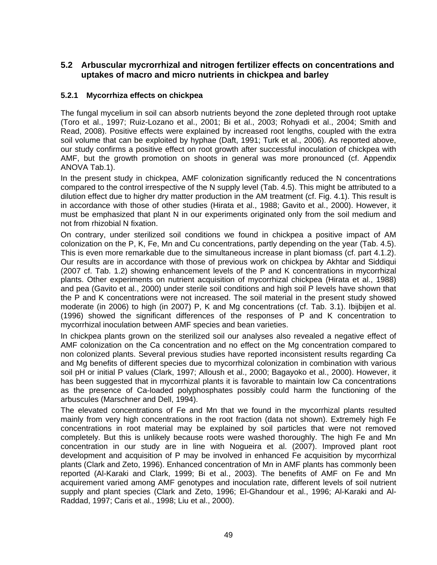# **5.2 Arbuscular mycrorrhizal and nitrogen fertilizer effects on concentrations and uptakes of macro and micro nutrients in chickpea and barley**

## **5.2.1 Mycorrhiza effects on chickpea**

The fungal mycelium in soil can absorb nutrients beyond the zone depleted through root uptake (Toro et al., 1997; Ruiz-Lozano et al., 2001; Bi et al., 2003; Rohyadi et al., 2004; Smith and Read, 2008). Positive effects were explained by increased root lengths, coupled with the extra soil volume that can be exploited by hyphae (Daft, 1991; Turk et al., 2006). As reported above, our study confirms a positive effect on root growth after successful inoculation of chickpea with AMF, but the growth promotion on shoots in general was more pronounced (cf. Appendix ANOVA Tab.1).

In the present study in chickpea, AMF colonization significantly reduced the N concentrations compared to the control irrespective of the N supply level (Tab. 4.5). This might be attributed to a dilution effect due to higher dry matter production in the AM treatment (cf. Fig. 4.1). This result is in accordance with those of other studies (Hirata et al., 1988; Gavito et al., 2000). However, it must be emphasized that plant N in our experiments originated only from the soil medium and not from rhizobial N fixation.

On contrary, under sterilized soil conditions we found in chickpea a positive impact of AM colonization on the P, K, Fe, Mn and Cu concentrations, partly depending on the year (Tab. 4.5). This is even more remarkable due to the simultaneous increase in plant biomass (cf. part 4.1.2). Our results are in accordance with those of previous work on chickpea by Akhtar and Siddiqui (2007 cf. Tab. 1.2) showing enhancement levels of the P and K concentrations in mycorrhizal plants. Other experiments on nutrient acquisition of mycorrhizal chickpea (Hirata et al., 1988) and pea (Gavito et al., 2000) under sterile soil conditions and high soil P levels have shown that the P and K concentrations were not increased. The soil material in the present study showed moderate (in 2006) to high (in 2007) P, K and Mg concentrations (cf. Tab. 3.1). Ibijbijen et al. (1996) showed the significant differences of the responses of P and K concentration to mycorrhizal inoculation between AMF species and bean varieties.

In chickpea plants grown on the sterilized soil our analyses also revealed a negative effect of AMF colonization on the Ca concentration and no effect on the Mg concentration compared to non colonized plants. Several previous studies have reported inconsistent results regarding Ca and Mg benefits of different species due to mycorrhizal colonization in combination with various soil pH or initial P values (Clark, 1997; Alloush et al., 2000; Bagayoko et al., 2000). However, it has been suggested that in mycorrhizal plants it is favorable to maintain low Ca concentrations as the presence of Ca-loaded polyphosphates possibly could harm the functioning of the arbuscules (Marschner and Dell, 1994).

The elevated concentrations of Fe and Mn that we found in the mycorrhizal plants resulted mainly from very high concentrations in the root fraction (data not shown). Extremely high Fe concentrations in root material may be explained by soil particles that were not removed completely. But this is unlikely because roots were washed thoroughly. The high Fe and Mn concentration in our study are in line with Nogueira et al. (2007). Improved plant root development and acquisition of P may be involved in enhanced Fe acquisition by mycorrhizal plants (Clark and Zeto, 1996). Enhanced concentration of Mn in AMF plants has commonly been reported (Al-Karaki and Clark, 1999; Bi et al., 2003). The benefits of AMF on Fe and Mn acquirement varied among AMF genotypes and inoculation rate, different levels of soil nutrient supply and plant species (Clark and Zeto, 1996; El-Ghandour et al., 1996; Al-Karaki and Al-Raddad, 1997; Caris et al., 1998; Liu et al., 2000).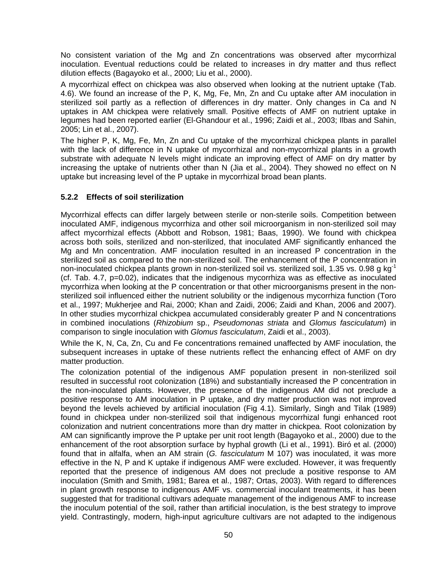No consistent variation of the Mg and Zn concentrations was observed after mycorrhizal inoculation. Eventual reductions could be related to increases in dry matter and thus reflect dilution effects (Bagayoko et al., 2000; Liu et al., 2000).

A mycorrhizal effect on chickpea was also observed when looking at the nutrient uptake (Tab. 4.6). We found an increase of the P, K, Mg, Fe, Mn, Zn and Cu uptake after AM inoculation in sterilized soil partly as a reflection of differences in dry matter. Only changes in Ca and N uptakes in AM chickpea were relatively small. Positive effects of AMF on nutrient uptake in legumes had been reported earlier (El-Ghandour et al., 1996; Zaidi et al., 2003; Ilbas and Sahin, 2005; Lin et al., 2007).

The higher P, K, Mg, Fe, Mn, Zn and Cu uptake of the mycorrhizal chickpea plants in parallel with the lack of difference in N uptake of mycorrhizal and non-mycorrhizal plants in a growth substrate with adequate N levels might indicate an improving effect of AMF on dry matter by increasing the uptake of nutrients other than N (Jia et al., 2004). They showed no effect on N uptake but increasing level of the P uptake in mycorrhizal broad bean plants.

#### **5.2.2 Effects of soil sterilization**

Mycorrhizal effects can differ largely between sterile or non-sterile soils. Competition between inoculated AMF, indigenous mycorrhiza and other soil microorganism in non-sterilized soil may affect mycorrhizal effects (Abbott and Robson, 1981; Baas, 1990). We found with chickpea across both soils, sterilized and non-sterilized, that inoculated AMF significantly enhanced the Mg and Mn concentration. AMF inoculation resulted in an increased P concentration in the sterilized soil as compared to the non-sterilized soil. The enhancement of the P concentration in non-inoculated chickpea plants grown in non-sterilized soil vs. sterilized soil, 1.35 vs. 0.98 g kg<sup>-1</sup> (cf. Tab. 4.7, p=0.02), indicates that the indigenous mycorrhiza was as effective as inoculated mycorrhiza when looking at the P concentration or that other microorganisms present in the nonsterilized soil influenced either the nutrient solubility or the indigenous mycorrhiza function (Toro et al., 1997; Mukherjee and Rai, 2000; Khan and Zaidi, 2006; Zaidi and Khan, 2006 and 2007). In other studies mycorrhizal chickpea accumulated considerably greater P and N concentrations in combined inoculations (*Rhizobium* sp., *Pseudomonas striata* and *Glomus fasciculatum*) in comparison to single inoculation with *Glomus fasciculatum*, Zaidi et al., 2003).

While the K, N, Ca, Zn, Cu and Fe concentrations remained unaffected by AMF inoculation, the subsequent increases in uptake of these nutrients reflect the enhancing effect of AMF on dry matter production.

The colonization potential of the indigenous AMF population present in non-sterilized soil resulted in successful root colonization (18%) and substantially increased the P concentration in the non-inoculated plants. However, the presence of the indigenous AM did not preclude a positive response to AM inoculation in P uptake, and dry matter production was not improved beyond the levels achieved by artificial inoculation (Fig 4.1). Similarly, Singh and Tilak (1989) found in chickpea under non-sterilized soil that indigenous mycorrhizal fungi enhanced root colonization and nutrient concentrations more than dry matter in chickpea. Root colonization by AM can significantly improve the P uptake per unit root length (Bagayoko et al., 2000) due to the enhancement of the root absorption surface by hyphal growth (Li et al., 1991). Biró et al. (2000) found that in alfalfa, when an AM strain (*G. fasciculatum* M 107) was inoculated, it was more effective in the N, P and K uptake if indigenous AMF were excluded. However, it was frequently reported that the presence of indigenous AM does not preclude a positive response to AM inoculation (Smith and Smith, 1981; Barea et al., 1987; Ortas, 2003). With regard to differences in plant growth response to indigenous AMF vs. commercial inoculant treatments, it has been suggested that for traditional cultivars adequate management of the indigenous AMF to increase the inoculum potential of the soil, rather than artificial inoculation, is the best strategy to improve yield. Contrastingly, modern, high-input agriculture cultivars are not adapted to the indigenous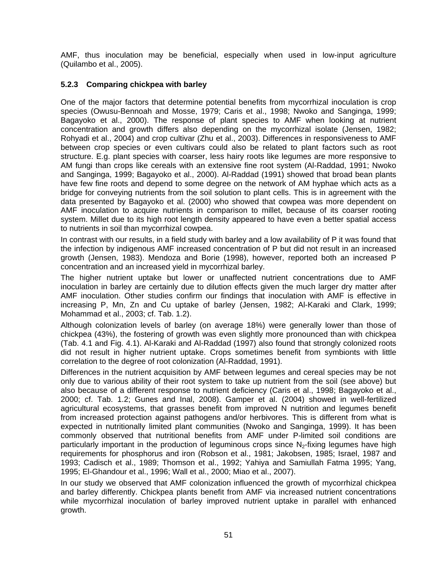AMF, thus inoculation may be beneficial, especially when used in low-input agriculture (Quilambo et al., 2005).

## **5.2.3 Comparing chickpea with barley**

One of the major factors that determine potential benefits from mycorrhizal inoculation is crop species (Owusu-Bennoah and Mosse, 1979; Caris et al., 1998; Nwoko and Sanginga, 1999; Bagayoko et al., 2000). The response of plant species to AMF when looking at nutrient concentration and growth differs also depending on the mycorrhizal isolate (Jensen, 1982; Rohyadi et al., 2004) and crop cultivar (Zhu et al., 2003). Differences in responsiveness to AMF between crop species or even cultivars could also be related to plant factors such as root structure. E.g. plant species with coarser, less hairy roots like legumes are more responsive to AM fungi than crops like cereals with an extensive fine root system (Al-Raddad, 1991; Nwoko and Sanginga, 1999; Bagayoko et al., 2000). Al-Raddad (1991) showed that broad bean plants have few fine roots and depend to some degree on the network of AM hyphae which acts as a bridge for conveying nutrients from the soil solution to plant cells. This is in agreement with the data presented by Bagayoko et al. (2000) who showed that cowpea was more dependent on AMF inoculation to acquire nutrients in comparison to millet, because of its coarser rooting system. Millet due to its high root length density appeared to have even a better spatial access to nutrients in soil than mycorrhizal cowpea.

In contrast with our results, in a field study with barley and a low availability of P it was found that the infection by indigenous AMF increased concentration of P but did not result in an increased growth (Jensen, 1983). Mendoza and Borie (1998), however, reported both an increased P concentration and an increased yield in mycorrhizal barley.

The higher nutrient uptake but lower or unaffected nutrient concentrations due to AMF inoculation in barley are certainly due to dilution effects given the much larger dry matter after AMF inoculation. Other studies confirm our findings that inoculation with AMF is effective in increasing P, Mn, Zn and Cu uptake of barley (Jensen, 1982; Al-Karaki and Clark, 1999; Mohammad et al., 2003; cf. Tab. 1.2).

Although colonization levels of barley (on average 18%) were generally lower than those of chickpea (43%), the fostering of growth was even slightly more pronounced than with chickpea (Tab. 4.1 and Fig. 4.1). Al-Karaki and Al-Raddad (1997) also found that strongly colonized roots did not result in higher nutrient uptake. Crops sometimes benefit from symbionts with little correlation to the degree of root colonization (Al-Raddad, 1991).

Differences in the nutrient acquisition by AMF between legumes and cereal species may be not only due to various ability of their root system to take up nutrient from the soil (see above) but also because of a different response to nutrient deficiency (Caris et al., 1998; Bagayoko et al., 2000; cf. Tab. 1.2; Gunes and Inal, 2008). Gamper et al. (2004) showed in well-fertilized agricultural ecosystems, that grasses benefit from improved N nutrition and legumes benefit from increased protection against pathogens and/or herbivores. This is different from what is expected in nutritionally limited plant communities (Nwoko and Sanginga, 1999). It has been commonly observed that nutritional benefits from AMF under P-limited soil conditions are particularly important in the production of leguminous crops since  $N<sub>2</sub>$ -fixing legumes have high requirements for phosphorus and iron (Robson et al., 1981; Jakobsen, 1985; Israel, 1987 and 1993; Cadisch et al., 1989; Thomson et al., 1992; Yahiya and Samiullah Fatma 1995; Yang, 1995; El-Ghandour et al., 1996; Wall et al., 2000; Miao et al., 2007).

In our study we observed that AMF colonization influenced the growth of mycorrhizal chickpea and barley differently. Chickpea plants benefit from AMF via increased nutrient concentrations while mycorrhizal inoculation of barley improved nutrient uptake in parallel with enhanced growth.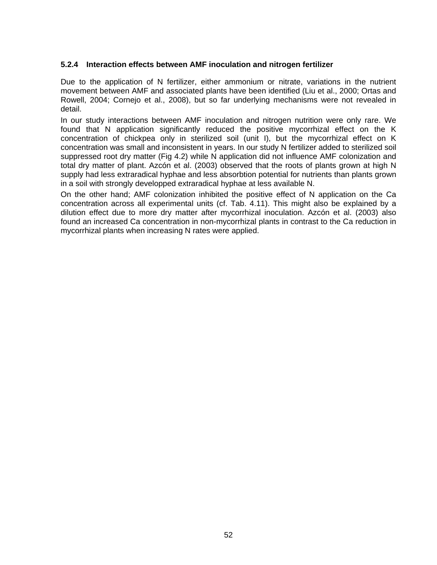#### **5.2.4 Interaction effects between AMF inoculation and nitrogen fertilizer**

Due to the application of N fertilizer, either ammonium or nitrate, variations in the nutrient movement between AMF and associated plants have been identified (Liu et al., 2000; Ortas and Rowell, 2004; Cornejo et al., 2008), but so far underlying mechanisms were not revealed in detail.

In our study interactions between AMF inoculation and nitrogen nutrition were only rare. We found that N application significantly reduced the positive mycorrhizal effect on the K concentration of chickpea only in sterilized soil (unit I), but the mycorrhizal effect on K concentration was small and inconsistent in years. In our study N fertilizer added to sterilized soil suppressed root dry matter (Fig 4.2) while N application did not influence AMF colonization and total dry matter of plant. Azcón et al. (2003) observed that the roots of plants grown at high N supply had less extraradical hyphae and less absorbtion potential for nutrients than plants grown in a soil with strongly developped extraradical hyphae at less available N.

On the other hand; AMF colonization inhibited the positive effect of N application on the Ca concentration across all experimental units (cf. Tab. 4.11). This might also be explained by a dilution effect due to more dry matter after mycorrhizal inoculation. Azcón et al. (2003) also found an increased Ca concentration in non-mycorrhizal plants in contrast to the Ca reduction in mycorrhizal plants when increasing N rates were applied.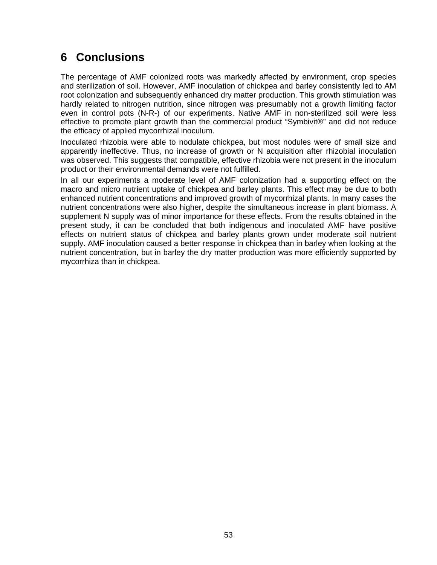# **6 Conclusions**

The percentage of AMF colonized roots was markedly affected by environment, crop species and sterilization of soil. However, AMF inoculation of chickpea and barley consistently led to AM root colonization and subsequently enhanced dry matter production. This growth stimulation was hardly related to nitrogen nutrition, since nitrogen was presumably not a growth limiting factor even in control pots (N-R-) of our experiments. Native AMF in non-sterilized soil were less effective to promote plant growth than the commercial product "Symbivit®" and did not reduce the efficacy of applied mycorrhizal inoculum.

Inoculated rhizobia were able to nodulate chickpea, but most nodules were of small size and apparently ineffective. Thus, no increase of growth or N acquisition after rhizobial inoculation was observed. This suggests that compatible, effective rhizobia were not present in the inoculum product or their environmental demands were not fulfilled.

In all our experiments a moderate level of AMF colonization had a supporting effect on the macro and micro nutrient uptake of chickpea and barley plants. This effect may be due to both enhanced nutrient concentrations and improved growth of mycorrhizal plants. In many cases the nutrient concentrations were also higher, despite the simultaneous increase in plant biomass. A supplement N supply was of minor importance for these effects. From the results obtained in the present study, it can be concluded that both indigenous and inoculated AMF have positive effects on nutrient status of chickpea and barley plants grown under moderate soil nutrient supply. AMF inoculation caused a better response in chickpea than in barley when looking at the nutrient concentration, but in barley the dry matter production was more efficiently supported by mycorrhiza than in chickpea.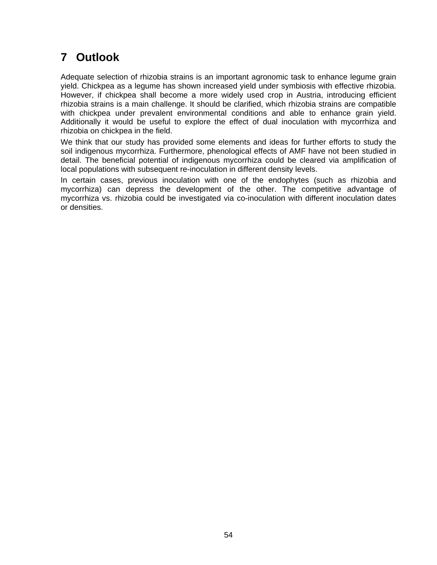# **7 Outlook**

Adequate selection of rhizobia strains is an important agronomic task to enhance legume grain yield. Chickpea as a legume has shown increased yield under symbiosis with effective rhizobia. However, if chickpea shall become a more widely used crop in Austria, introducing efficient rhizobia strains is a main challenge. It should be clarified, which rhizobia strains are compatible with chickpea under prevalent environmental conditions and able to enhance grain yield. Additionally it would be useful to explore the effect of dual inoculation with mycorrhiza and rhizobia on chickpea in the field.

We think that our study has provided some elements and ideas for further efforts to study the soil indigenous mycorrhiza. Furthermore, phenological effects of AMF have not been studied in detail. The beneficial potential of indigenous mycorrhiza could be cleared via amplification of local populations with subsequent re-inoculation in different density levels.

In certain cases, previous inoculation with one of the endophytes (such as rhizobia and mycorrhiza) can depress the development of the other. The competitive advantage of mycorrhiza vs. rhizobia could be investigated via co-inoculation with different inoculation dates or densities.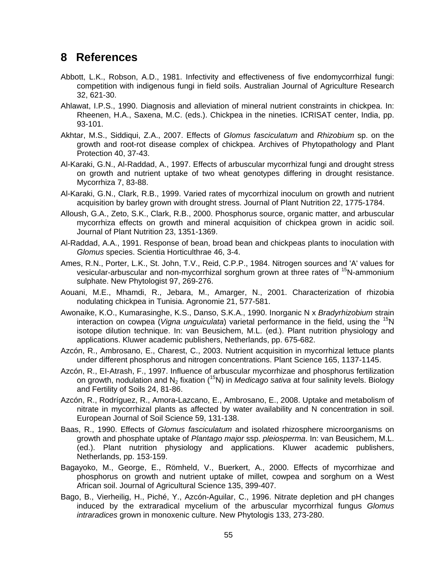# **8 References**

- Abbott, L.K., Robson, A.D., 1981. Infectivity and effectiveness of five endomycorrhizal fungi: competition with indigenous fungi in field soils. Australian Journal of Agriculture Research 32, 621-30.
- Ahlawat, I.P.S., 1990. Diagnosis and alleviation of mineral nutrient constraints in chickpea. In: Rheenen, H.A., Saxena, M.C. (eds.). Chickpea in the nineties. ICRISAT center, India, pp. 93-101.
- Akhtar, M.S., Siddiqui, Z.A., 2007. Effects of *Glomus fasciculatum* and *Rhizobium* sp. on the growth and root-rot disease complex of chickpea. Archives of Phytopathology and Plant Protection 40, 37-43.
- Al-Karaki, G.N., Al-Raddad, A., 1997. Effects of arbuscular mycorrhizal fungi and drought stress on growth and nutrient uptake of two wheat genotypes differing in drought resistance. Mycorrhiza 7, 83-88.
- Al-Karaki, G.N., Clark, R.B., 1999. Varied rates of mycorrhizal inoculum on growth and nutrient acquisition by barley grown with drought stress. Journal of Plant Nutrition 22, 1775-1784.
- Alloush, G.A., Zeto, S.K., Clark, R.B., 2000. Phosphorus source, organic matter, and arbuscular mycorrhiza effects on growth and mineral acquisition of chickpea grown in acidic soil. Journal of Plant Nutrition 23, 1351-1369.
- Al-Raddad, A.A., 1991. Response of bean, broad bean and chickpeas plants to inoculation with *Glomus* species. Scientia Horticulthrae 46, 3-4.
- Ames, R.N., Porter, L.K., St. John, T.V., Reid, C.P.P., 1984. Nitrogen sources and 'A' values for vesicular-arbuscular and non-mycorrhizal sorghum grown at three rates of <sup>15</sup>N-ammonium sulphate. New Phytologist 97, 269-276.
- Aouani, M.E., Mhamdi, R., Jebara, M., Amarger, N., 2001. Characterization of rhizobia nodulating chickpea in Tunisia. Agronomie 21, 577-581.
- Awonaike, K.O., Kumarasinghe, K.S., Danso, S.K.A., 1990. Inorganic N x *Bradyrhizobium* strain interaction on cowpea (*Vigna unguiculata*) varietal performance in the field, using the <sup>15</sup>N isotope dilution technique. In: van Beusichem, M.L. (ed.). Plant nutrition physiology and applications. Kluwer academic publishers, Netherlands, pp. 675-682.
- Azcón, R., Ambrosano, E., Charest, C., 2003. Nutrient acquisition in mycorrhizal lettuce plants under different phosphorus and nitrogen concentrations. Plant Science 165, 1137-1145.
- Azcón, R., EI-Atrash, F., 1997. Influence of arbuscular mycorrhizae and phosphorus fertilization on growth, nodulation and N<sub>2</sub> fixation (<sup>15</sup>N) in *Medicago sativa* at four salinity levels. Biology and Fertility of Soils 24, 81-86.
- Azcón, R., Rodríguez, R., Amora-Lazcano, E., Ambrosano, E., 2008. Uptake and metabolism of nitrate in mycorrhizal plants as affected by water availability and N concentration in soil. European Journal of Soil Science 59, 131-138.
- Baas, R., 1990. Effects of *Glomus fasciculatum* and isolated rhizosphere microorganisms on growth and phosphate uptake of *Plantago major* ssp. *pleiosperma*. In: van Beusichem, M.L. (ed.). Plant nutrition physiology and applications. Kluwer academic publishers, Netherlands, pp. 153-159.
- Bagayoko, M., George, E., Römheld, V., Buerkert, A., 2000. Effects of mycorrhizae and phosphorus on growth and nutrient uptake of millet, cowpea and sorghum on a West African soil. Journal of Agricultural Science 135, 399-407.
- Bago, B., Vierheilig, H., Piché, Y., Azcón-Aguilar, C., 1996. Nitrate depletion and pH changes induced by the extraradical mycelium of the arbuscular mycorrhizal fungus *Glomus intraradices* grown in monoxenic culture. New Phytologis 133, 273-280.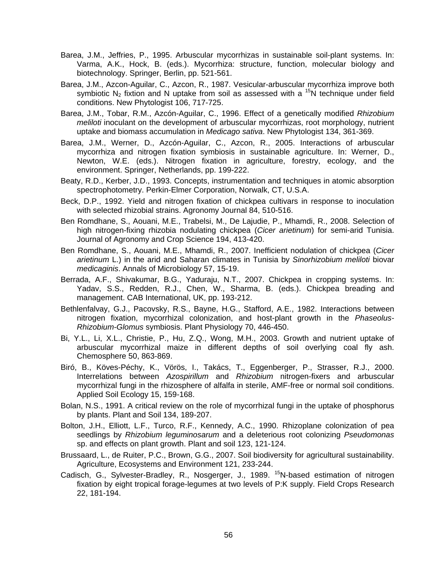- Barea, J.M., Jeffries, P., 1995. Arbuscular mycorrhizas in sustainable soil-plant systems. In: Varma, A.K., Hock, B. (eds.). Mycorrhiza: structure, function, molecular biology and biotechnology. Springer, Berlin, pp. 521-561.
- Barea, J.M., Azcon-Aguilar, C., Azcon, R., 1987. Vesicular-arbuscular mycorrhiza improve both symbiotic  $N_2$  fixtion and N uptake from soil as assessed with a <sup>15</sup>N technique under field conditions. New Phytologist 106, 717-725.
- Barea, J.M., Tobar, R.M., Azcón-Aguilar, C., 1996. Effect of a genetically modified *Rhizobium meliloti* inoculant on the development of arbuscular mycorrhizas, root morphology, nutrient uptake and biomass accumulation in *Medicago sativa*. New Phytologist 134, 361-369.
- Barea, J.M., Werner, D., Azcón-Aguilar, C., Azcon, R., 2005. Interactions of arbuscular mycorrhiza and nitrogen fixation symbiosis in sustainable agriculture. In: Werner, D., Newton, W.E. (eds.). Nitrogen fixation in agriculture, forestry, ecology, and the environment. Springer, Netherlands, pp. 199-222.
- Beaty, R.D., Kerber, J.D., 1993. Concepts, instrumentation and techniques in atomic absorption spectrophotometry. Perkin-Elmer Corporation, Norwalk, CT, U.S.A.
- Beck, D.P., 1992. Yield and nitrogen fixation of chickpea cultivars in response to inoculation with selected rhizobial strains. Agronomy Journal 84, 510-516.
- Ben Romdhane, S., Aouani, M.E., Trabelsi, M., De Lajudie, P., Mhamdi, R., 2008. Selection of high nitrogen-fixing rhizobia nodulating chickpea (*Cicer arietinum*) for semi-arid Tunisia. Journal of Agronomy and Crop Science 194, 413-420.
- Ben Romdhane, S., Aouani, M.E., Mhamdi, R., 2007. Inefficient nodulation of chickpea (*Cicer arietinum* L.) in the arid and Saharan climates in Tunisia by *Sinorhizobium meliloti* biovar *medicaginis*. Annals of Microbiology 57, 15-19.
- Berrada, A.F., Shivakumar, B.G., Yaduraju, N.T., 2007. Chickpea in cropping systems. In: Yadav, S.S., Redden, R.J., Chen, W., Sharma, B. (eds.). Chickpea breading and management. CAB International, UK, pp. 193-212.
- Bethlenfalvay, G.J., Pacovsky, R.S., Bayne, H.G., Stafford, A.E., 1982. Interactions between nitrogen fixation, mycorrhizal colonization, and host-plant growth in the *Phaseolus-Rhizobium-Glomus* symbiosis. Plant Physiology 70, 446-450.
- Bi, Y.L., Li, X.L., Christie, P., Hu, Z.Q., Wong, M.H., 2003. Growth and nutrient uptake of arbuscular mycorrhizal maize in different depths of soil overlying coal fly ash. Chemosphere 50, 863-869.
- Biró, B., Köves-Péchy, K., Vörös, I., Takács, T., Eggenberger, P., Strasser, R.J., 2000. Interrelations between *Azospirillum* and *Rhizobium* nitrogen-fixers and arbuscular mycorrhizal fungi in the rhizosphere of alfalfa in sterile, AMF-free or normal soil conditions. Applied Soil Ecology 15, 159-168.
- Bolan, N.S., 1991. A critical review on the role of mycorrhizal fungi in the uptake of phosphorus by plants. Plant and Soil 134, 189-207.
- Bolton, J.H., Elliott, L.F., Turco, R.F., Kennedy, A.C., 1990. Rhizoplane colonization of pea seedlings by *Rhizobium leguminosarum* and a deleterious root colonizing *Pseudomonas* sp. and effects on plant growth. Plant and soil 123, 121-124.
- Brussaard, L., de Ruiter, P.C., Brown, G.G., 2007. Soil biodiversity for agricultural sustainability. Agriculture, Ecosystems and Environment 121, 233-244.
- Cadisch, G., Sylvester-Bradley, R., Nosgerger, J., 1989. <sup>15</sup>N-based estimation of nitrogen fixation by eight tropical forage-legumes at two levels of P:K supply. Field Crops Research 22, 181-194.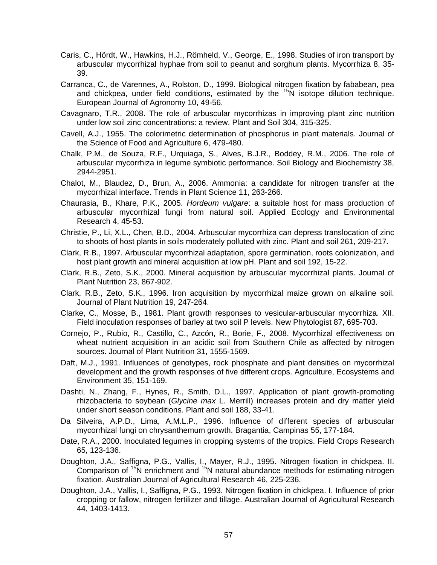- Caris, C., Hördt, W., Hawkins, H.J., Römheld, V., George, E., 1998. Studies of iron transport by arbuscular mycorrhizal hyphae from soil to peanut and sorghum plants. Mycorrhiza 8, 35- 39.
- Carranca, C., de Varennes, A., Rolston, D., 1999. Biological nitrogen fixation by fababean, pea and chickpea, under field conditions, estimated by the  $15N$  isotope dilution technique. European Journal of Agronomy 10, 49-56.
- Cavagnaro, T.R., 2008. The role of arbuscular mycorrhizas in improving plant zinc nutrition under low soil zinc concentrations: a review. Plant and Soil 304, 315-325.
- Cavell, A.J., 1955. The colorimetric determination of phosphorus in plant materials. Journal of the Science of Food and Agriculture 6, 479-480.
- Chalk, P.M., de Souza, R.F., Urquiaga, S., Alves, B.J.R., Boddey, R.M., 2006. The role of arbuscular mycorrhiza in legume symbiotic performance. Soil Biology and Biochemistry 38, 2944-2951.
- Chalot, M., Blaudez, D., Brun, A., 2006. Ammonia: a candidate for nitrogen transfer at the mycorrhizal interface. Trends in Plant Science 11, 263-266.
- Chaurasia, B., Khare, P.K., 2005. *Hordeum vulgare*: a suitable host for mass production of arbuscular mycorrhizal fungi from natural soil. Applied Ecology and Environmental Research 4, 45-53.
- Christie, P., Li, X.L., Chen, B.D., 2004. Arbuscular mycorrhiza can depress translocation of zinc to shoots of host plants in soils moderately polluted with zinc. Plant and soil 261, 209-217.
- Clark, R.B., 1997. Arbuscular mycorrhizal adaptation, spore germination, roots colonization, and host plant growth and mineral acquisition at low pH. Plant and soil 192, 15-22.
- Clark, R.B., Zeto, S.K., 2000. Mineral acquisition by arbuscular mycorrhizal plants. Journal of Plant Nutrition 23, 867-902.
- Clark, R.B., Zeto, S.K., 1996. Iron acquisition by mycorrhizal maize grown on alkaline soil. Journal of Plant Nutrition 19, 247-264.
- Clarke, C., Mosse, B., 1981. Plant growth responses to vesicular-arbuscular mycorrhiza. XII. Field inoculation responses of barley at two soil P levels. New Phytologist 87, 695-703.
- Cornejo, P., Rubio, R., Castillo, C., Azcón, R., Borie, F., 2008. Mycorrhizal effectiveness on wheat nutrient acquisition in an acidic soil from Southern Chile as affected by nitrogen sources. Journal of Plant Nutrition 31, 1555-1569.
- Daft, M.J., 1991. Influences of genotypes, rock phosphate and plant densities on mycorrhizal development and the growth responses of five different crops. Agriculture, Ecosystems and Environment 35, 151-169.
- Dashti, N., Zhang, F., Hynes, R., Smith, D.L., 1997. Application of plant growth-promoting rhizobacteria to soybean (*Glycine max* L. Merrill) increases protein and dry matter yield under short season conditions. Plant and soil 188, 33-41.
- Da Silveira, A.P.D., Lima, A.M.L.P., 1996. Influence of different species of arbuscular mycorrhizal fungi on chrysanthemum growth. Bragantia, Campinas 55, 177-184.
- Date, R.A., 2000. Inoculated legumes in cropping systems of the tropics. Field Crops Research 65, 123-136.
- Doughton, J.A., Saffigna, P.G., Vallis, I., Mayer, R.J., 1995. Nitrogen fixation in chickpea. II. Comparison of  $15N$  enrichment and  $15N$  natural abundance methods for estimating nitrogen fixation. Australian Journal of Agricultural Research 46, 225-236.
- Doughton, J.A., Vallis, I., Saffigna, P.G., 1993. Nitrogen fixation in chickpea. I. Influence of prior cropping or fallow, nitrogen fertilizer and tillage. Australian Journal of Agricultural Research 44, 1403-1413.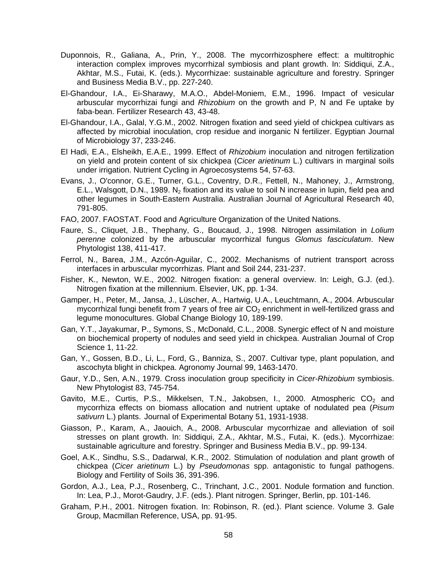- Duponnois, R., Galiana, A., Prin, Y., 2008. The mycorrhizosphere effect: a multitrophic interaction complex improves mycorrhizal symbiosis and plant growth. In: Siddiqui, Z.A., Akhtar, M.S., Futai, K. (eds.). Mycorrhizae: sustainable agriculture and forestry. Springer and Business Media B.V., pp. 227-240.
- El-Ghandour, I.A., Ei-Sharawy, M.A.O., Abdel-Moniem, E.M., 1996. Impact of vesicular arbuscular mycorrhizai fungi and *Rhizobium* on the growth and P, N and Fe uptake by faba-bean. Fertilizer Research 43, 43-48.
- El-Ghandour, I.A., Galal, Y.G.M., 2002. Nitrogen fixation and seed yield of chickpea cultivars as affected by microbial inoculation, crop residue and inorganic N fertilizer. Egyptian Journal of Microbiology 37, 233-246.
- El Hadi, E.A., Elsheikh, E.A.E., 1999. Effect of *Rhizobium* inoculation and nitrogen fertilization on yield and protein content of six chickpea (*Cicer arietinum* L.) cultivars in marginal soils under irrigation. Nutrient Cycling in Agroecosystems 54, 57-63.
- Evans, J., O'connor, G.E., Turner, G.L., Coventry, D.R., Fettell, N., Mahoney, J., Armstrong, E.L., Walsgott, D.N., 1989. N<sub>2</sub> fixation and its value to soil N increase in lupin, field pea and other legumes in South-Eastern Australia. Australian Journal of Agricultural Research 40, 791-805.
- FAO, 2007. FAOSTAT. Food and Agriculture Organization of the United Nations.
- Faure, S., Cliquet, J.B., Thephany, G., Boucaud, J., 1998. Nitrogen assimilation in *Lolium perenne* colonized by the arbuscular mycorrhizal fungus *Glomus fasciculatum*. New Phytologist 138, 411-417.
- Ferrol, N., Barea, J.M., Azcón-Aguilar, C., 2002. Mechanisms of nutrient transport across interfaces in arbuscular mycorrhizas. Plant and Soil 244, 231-237.
- Fisher, K., Newton, W.E., 2002. Nitrogen fixation: a general overview. In: Leigh, G.J. (ed.). Nitrogen fixation at the millennium. Elsevier, UK, pp. 1-34.
- Gamper, H., Peter, M., Jansa, J., Lüscher, A., Hartwig, U.A., Leuchtmann, A., 2004. Arbuscular mycorrhizal fungi benefit from 7 years of free air  $CO<sub>2</sub>$  enrichment in well-fertilized grass and legume monocultures. Global Change Biology 10, 189-199.
- Gan, Y.T., Jayakumar, P., Symons, S., McDonald, C.L., 2008. Synergic effect of N and moisture on biochemical property of nodules and seed yield in chickpea. Australian Journal of Crop Science 1, 11-22.
- Gan, Y., Gossen, B.D., Li, L., Ford, G., Banniza, S., 2007. Cultivar type, plant population, and ascochyta blight in chickpea. Agronomy Journal 99, 1463-1470.
- Gaur, Y.D., Sen, A.N., 1979. Cross inoculation group specificity in *Cicer-Rhizobium* symbiosis. New Phytologist 83, 745-754.
- Gavito, M.E., Curtis, P.S., Mikkelsen, T.N., Jakobsen, I., 2000. Atmospheric CO<sub>2</sub> and mycorrhiza effects on biomass allocation and nutrient uptake of nodulated pea (*Pisum sativurn* L.) plants. Journal of Experimental Botany 51, 1931-1938.
- Giasson, P., Karam, A., Jaouich, A., 2008. Arbuscular mycorrhizae and alleviation of soil stresses on plant growth. In: Siddiqui, Z.A., Akhtar, M.S., Futai, K. (eds.). Mycorrhizae: sustainable agriculture and forestry. Springer and Business Media B.V., pp. 99-134.
- Goel, A.K., Sindhu, S.S., Dadarwal, K.R., 2002. Stimulation of nodulation and plant growth of chickpea (*Cicer arietinum* L.) by *Pseudomonas* spp. antagonistic to fungal pathogens. Biology and Fertility of Soils 36, 391-396.
- Gordon, A.J., Lea, P.J., Rosenberg, C., Trinchant, J.C., 2001. Nodule formation and function. In: Lea, P.J., Morot-Gaudry, J.F. (eds.). Plant nitrogen. Springer, Berlin, pp. 101-146.
- Graham, P.H., 2001. Nitrogen fixation. In: Robinson, R. (ed.). Plant science. Volume 3. Gale Group, Macmillan Reference, USA, pp. 91-95.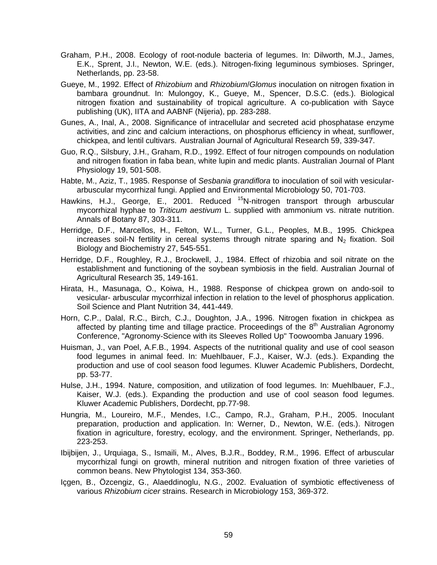- Graham, P.H., 2008. Ecology of root-nodule bacteria of legumes. In: Dilworth, M.J., James, E.K., Sprent, J.I., Newton, W.E. (eds.). Nitrogen-fixing leguminous symbioses. Springer, Netherlands, pp. 23-58.
- Gueye, M., 1992. Effect of *Rhizobium* and *Rhizobium*/*Glomus* inoculation on nitrogen fixation in bambara groundnut. In: Mulongoy, K., Gueye, M., Spencer, D.S.C. (eds.). Biological nitrogen fixation and sustainability of tropical agriculture. A co-publication with Sayce publishing (UK), IITA and AABNF (Nijeria), pp. 283-288.
- Gunes, A., Inal, A., 2008. Significance of intracellular and secreted acid phosphatase enzyme activities, and zinc and calcium interactions, on phosphorus efficiency in wheat, sunflower, chickpea, and lentil cultivars. Australian Journal of Agricultural Research 59, 339-347.
- Guo, R.Q., Silsbury, J.H., Graham, R.D., 1992. Effect of four nitrogen compounds on nodulation and nitrogen fixation in faba bean, white lupin and medic plants. Australian Journal of Plant Physiology 19, 501-508.
- Habte, M., Aziz, T., 1985. Response of *Sesbania grandiflora* to inoculation of soil with vesiculararbuscular mycorrhizal fungi. Applied and Environmental Microbiology 50, 701-703.
- Hawkins, H.J., George, E., 2001. Reduced <sup>15</sup>N-nitrogen transport through arbuscular mycorrhizal hyphae to *Triticum aestivum* L. supplied with ammonium vs. nitrate nutrition. Annals of Botany 87, 303-311.
- Herridge, D.F., Marcellos, H., Felton, W.L., Turner, G.L., Peoples, M.B., 1995. Chickpea increases soil-N fertility in cereal systems through nitrate sparing and  $N<sub>2</sub>$  fixation. Soil Biology and Biochemistry 27, 545-551.
- Herridge, D.F., Roughley, R.J., Brockwell, J., 1984. Effect of rhizobia and soil nitrate on the establishment and functioning of the soybean symbiosis in the field. Australian Journal of Agricultural Research 35, 149-161.
- Hirata, H., Masunaga, O., Koiwa, H., 1988. Response of chickpea grown on ando-soil to vesicular- arbuscular mycorrhizal infection in relation to the level of phosphorus application. Soil Science and Plant Nutrition 34, 441-449.
- Horn, C.P., Dalal, R.C., Birch, C.J., Doughton, J.A., 1996. Nitrogen fixation in chickpea as affected by planting time and tillage practice. Proceedings of the  $8<sup>th</sup>$  Australian Agronomy Conference, "Agronomy-Science with its Sleeves Rolled Up" Toowoomba January 1996.
- Huisman, J., van Poel, A.F.B., 1994. Aspects of the nutritional quality and use of cool season food legumes in animal feed. In: Muehlbauer, F.J., Kaiser, W.J. (eds.). Expanding the production and use of cool season food legumes. Kluwer Academic Publishers, Dordecht, pp. 53-77.
- Hulse, J.H., 1994. Nature, composition, and utilization of food legumes. In: Muehlbauer, F.J., Kaiser, W.J. (eds.). Expanding the production and use of cool season food legumes. Kluwer Academic Publishers, Dordecht, pp.77-98.
- Hungria, M., Loureiro, M.F., Mendes, I.C., Campo, R.J., Graham, P.H., 2005. Inoculant preparation, production and application. In: Werner, D., Newton, W.E. (eds.). Nitrogen fixation in agriculture, forestry, ecology, and the environment. Springer, Netherlands, pp. 223-253.
- Ibijbijen, J., Urquiaga, S., Ismaili, M., Alves, B.J.R., Boddey, R.M., 1996. Effect of arbuscular mycorrhizal fungi on growth, mineral nutrition and nitrogen fixation of three varieties of common beans. New Phytologist 134, 353-360.
- Içgen, B., Özcengiz, G., Alaeddinoglu, N.G., 2002. Evaluation of symbiotic effectiveness of various *Rhizobium cicer* strains. Research in Microbiology 153, 369-372.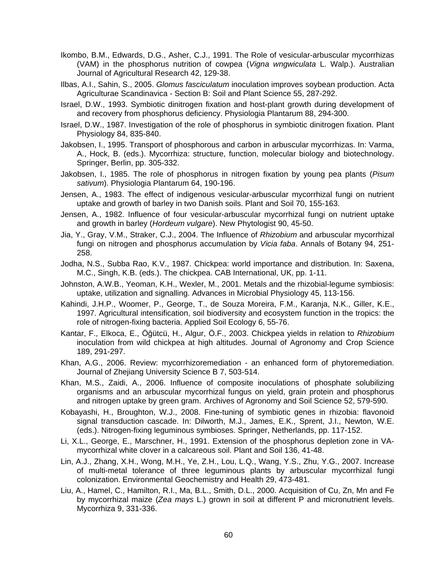- Ikombo, B.M., Edwards, D.G., Asher, C.J., 1991. The Role of vesicular-arbuscular mycorrhizas (VAM) in the phosphorus nutrition of cowpea (*Vigna wngwiculata* L. Walp.). Australian Journal of Agricultural Research 42, 129-38.
- Ilbas, A.I., Sahin, S., 2005. *Glomus fasciculatum* inoculation improves soybean production. Acta Agriculturae Scandinavica - Section B: Soil and Plant Science 55, 287-292.
- Israel, D.W., 1993. Symbiotic dinitrogen fixation and host-plant growth during development of and recovery from phosphorus deficiency. Physiologia Plantarum 88, 294-300.
- Israel, D.W., 1987. Investigation of the role of phosphorus in symbiotic dinitrogen fixation. Plant Physiology 84, 835-840.
- Jakobsen, I., 1995. Transport of phosphorous and carbon in arbuscular mycorrhizas. In: Varma, A., Hock, B. (eds.). Mycorrhiza: structure, function, molecular biology and biotechnology. Springer, Berlin, pp. 305-332.
- Jakobsen, I., 1985. The role of phosphorus in nitrogen fixation by young pea plants (*Pisum sativum*). Physiologia Plantarum 64, 190-196.
- Jensen, A., 1983. The effect of indigenous vesicular-arbuscular mycorrhizal fungi on nutrient uptake and growth of barley in two Danish soils. Plant and Soil 70, 155-163.
- Jensen, A., 1982. Influence of four vesicular-arbuscular mycorrhizal fungi on nutrient uptake and growth in barley (*Hordeum vulgare*). New Phytologist 90, 45-50.
- Jia, Y., Gray, V.M., Straker, C.J., 2004. The Influence of *Rhizobium* and arbuscular mycorrhizal fungi on nitrogen and phosphorus accumulation by *Vicia faba*. Annals of Botany 94, 251- 258.
- Jodha, N.S., Subba Rao, K.V., 1987. Chickpea: world importance and distribution. In: Saxena, M.C., Singh, K.B. (eds.). The chickpea. CAB International, UK, pp. 1-11.
- Johnston, A.W.B., Yeoman, K.H., Wexler, M., 2001. Metals and the rhizobial-legume symbiosis: uptake, utilization and signalling. Advances in Microbial Physiology 45, 113-156.
- Kahindi, J.H.P., Woomer, P., George, T., de Souza Moreira, F.M., Karanja, N.K., Giller, K.E., 1997. Agricultural intensification, soil biodiversity and ecosystem function in the tropics: the role of nitrogen-fixing bacteria. Applied Soil Ecology 6, 55-76.
- Kantar, F., Elkoca, E., Öğütcü, H., Algur, Ö.F., 2003. Chickpea yields in relation to *Rhizobium* inoculation from wild chickpea at high altitudes. Journal of Agronomy and Crop Science 189, 291-297.
- Khan, A.G., 2006. Review: mycorrhizoremediation an enhanced form of phytoremediation. Journal of Zhejiang University Science B 7, 503-514.
- Khan, M.S., Zaidi, A., 2006. Influence of composite inoculations of phosphate solubilizing organisms and an arbuscular mycorrhizal fungus on yield, grain protein and phosphorus and nitrogen uptake by green gram. Archives of Agronomy and Soil Science 52, 579-590.
- Kobayashi, H., Broughton, W.J., 2008. Fine-tuning of symbiotic genes in rhizobia: flavonoid signal transduction cascade. In: Dilworth, M.J., James, E.K., Sprent, J.I., Newton, W.E. (eds.). Nitrogen-fixing leguminous symbioses. Springer, Netherlands, pp. 117-152.
- Li, X.L., George, E., Marschner, H., 1991. Extension of the phosphorus depletion zone in VAmycorrhizal white clover in a calcareous soil. Plant and Soil 136, 41-48.
- Lin, A.J., Zhang, X.H., Wong, M.H., Ye, Z.H., Lou, L.Q., Wang, Y.S., Zhu, Y.G., 2007. Increase of multi-metal tolerance of three leguminous plants by arbuscular mycorrhizal fungi colonization. Environmental Geochemistry and Health 29, 473-481.
- Liu, A., Hamel, C., Hamilton, R.I., Ma, B.L., Smith, D.L., 2000. Acquisition of Cu, Zn, Mn and Fe by mycorrhizal maize (*Zea mays* L.) grown in soil at different P and micronutrient levels. Mycorrhiza 9, 331-336.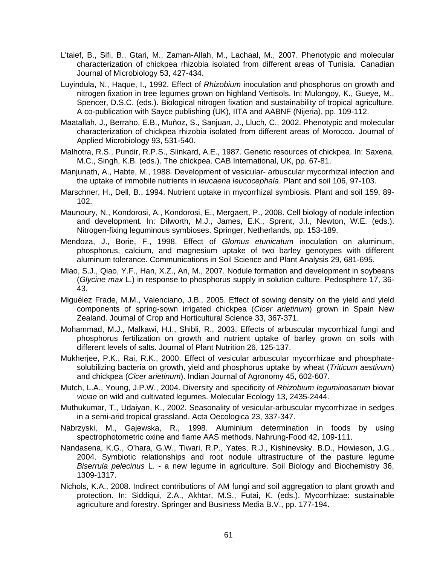- L'taief, B., Sifi, B., Gtari, M., Zaman-Allah, M., Lachaal, M., 2007. Phenotypic and molecular characterization of chickpea rhizobia isolated from different areas of Tunisia. Canadian Journal of Microbiology 53, 427-434.
- Luyindula, N., Haque, I., 1992. Effect of *Rhizobium* inoculation and phosphorus on growth and nitrogen fixation in tree legumes grown on highland Vertisols. In: Mulongoy, K., Gueye, M., Spencer, D.S.C. (eds.). Biological nitrogen fixation and sustainability of tropical agriculture. A co-publication with Sayce publishing (UK), IITA and AABNF (Nijeria), pp. 109-112.
- Maatallah, J., Berraho, E.B., Muñoz, S., Sanjuan, J., Lluch, C., 2002. Phenotypic and molecular characterization of chickpea rhizobia isolated from different areas of Morocco. Journal of Applied Microbiology 93, 531-540.
- Malhotra, R.S., Pundir, R.P.S., Slinkard, A.E., 1987. Genetic resources of chickpea. In: Saxena, M.C., Singh, K.B. (eds.). The chickpea. CAB International, UK, pp. 67-81.
- Manjunath, A., Habte, M., 1988. Development of vesicular- arbuscular mycorrhizal infection and the uptake of immobile nutrients in *leucaena leucocephala*. Plant and soil 106, 97-103.
- Marschner, H., Dell, B., 1994. Nutrient uptake in mycorrhizal symbiosis. Plant and soil 159, 89- 102.
- Maunoury, N., Kondorosi, A., Kondorosi, E., Mergaert, P., 2008. Cell biology of nodule infection and development. In: Dilworth, M.J., James, E.K., Sprent, J.I., Newton, W.E. (eds.). Nitrogen-fixing leguminous symbioses. Springer, Netherlands, pp. 153-189.
- Mendoza, J., Borie, F., 1998. Effect of *Glomus etunicatum* inoculation on aluminum, phosphorus, calcium, and magnesium uptake of two barley genotypes with different aluminum tolerance. Communications in Soil Science and Plant Analysis 29, 681-695.
- Miao, S.J., Qiao, Y.F., Han, X.Z., An, M., 2007. Nodule formation and development in soybeans (*Glycine max* L.) in response to phosphorus supply in solution culture. Pedosphere 17, 36- 43.
- Miguélez Frade, M.M., Valenciano, J.B., 2005. Effect of sowing density on the yield and yield components of spring-sown irrigated chickpea (*Cicer arietinum*) grown in Spain New Zealand. Journal of Crop and Horticultural Science 33, 367-371.
- Mohammad, M.J., Malkawi, H.I., Shibli, R., 2003. Effects of arbuscular mycorrhizal fungi and phosphorus fertilization on growth and nutrient uptake of barley grown on soils with different levels of salts. Journal of Plant Nutrition 26, 125-137.
- Mukherjee, P.K., Rai, R.K., 2000. Effect of vesicular arbuscular mycorrhizae and phosphatesolubilizing bacteria on growth, yield and phosphorus uptake by wheat (*Triticum aestivum*) and chickpea (*Cicer arietinum*). Indian Journal of Agronomy 45, 602-607.
- Mutch, L.A., Young, J.P.W., 2004. Diversity and specificity of *Rhizobium leguminosarum* biovar *viciae* on wild and cultivated legumes. Molecular Ecology 13, 2435-2444.
- Muthukumar, T., Udaiyan, K., 2002. Seasonality of vesicular-arbuscular mycorrhizae in sedges in a semi-arid tropical grassland. Acta Oecologica 23, 337-347.
- Nabrzyski, M., Gajewska, R., 1998. Aluminium determination in foods by using spectrophotometric oxine and flame AAS methods. Nahrung-Food 42, 109-111.
- Nandasena, K.G., O'hara, G.W., Tiwari, R.P., Yates, R.J., Kishinevsky, B.D., Howieson, J.G., 2004. Symbiotic relationships and root nodule ultrastructure of the pasture legume *Biserrula pelecinus* L. - a new legume in agriculture. Soil Biology and Biochemistry 36, 1309-1317.
- Nichols, K.A., 2008. Indirect contributions of AM fungi and soil aggregation to plant growth and protection. In: Siddiqui, Z.A., Akhtar, M.S., Futai, K. (eds.). Mycorrhizae: sustainable agriculture and forestry. Springer and Business Media B.V., pp. 177-194.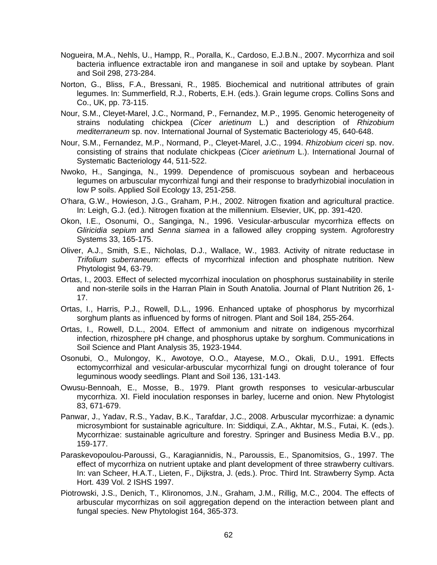- Nogueira, M.A., Nehls, U., Hampp, R., Poralla, K., Cardoso, E.J.B.N., 2007. Mycorrhiza and soil bacteria influence extractable iron and manganese in soil and uptake by soybean. Plant and Soil 298, 273-284.
- Norton, G., Bliss, F.A., Bressani, R., 1985. Biochemical and nutritional attributes of grain legumes. In: Summerfield, R.J., Roberts, E.H. (eds.). Grain legume crops. Collins Sons and Co., UK, pp. 73-115.
- Nour, S.M., Cleyet-Marel, J.C., Normand, P., Fernandez, M.P., 1995. Genomic heterogeneity of strains nodulating chickpea (*Cicer arietinum* L.) and description of *Rhizobium mediterraneum* sp. nov. International Journal of Systematic Bacteriology 45, 640-648.
- Nour, S.M., Fernandez, M.P., Normand, P., Cleyet-Marel, J.C., 1994. *Rhizobium ciceri* sp. nov. consisting of strains that nodulate chickpeas (*Cicer arietinum* L.). International Journal of Systematic Bacteriology 44, 511-522.
- Nwoko, H., Sanginga, N., 1999. Dependence of promiscuous soybean and herbaceous legumes on arbuscular mycorrhizal fungi and their response to bradyrhizobial inoculation in low P soils. Applied Soil Ecology 13, 251-258.
- O'hara, G.W., Howieson, J.G., Graham, P.H., 2002. Nitrogen fixation and agricultural practice. In: Leigh, G.J. (ed.). Nitrogen fixation at the millennium. Elsevier, UK, pp. 391-420.
- Okon, I.E., Osonumi, O., Sanginga, N., 1996. Vesicular-arbuscular mycorrhiza effects on *Gliricidia sepium* and *Senna siamea* in a fallowed alley cropping system. Agroforestry Systems 33, 165-175.
- Oliver, A.J., Smith, S.E., Nicholas, D.J., Wallace, W., 1983. Activity of nitrate reductase in *Trifolium suberraneum*: effects of mycorrhizal infection and phosphate nutrition. New Phytologist 94, 63-79.
- Ortas, I., 2003. Effect of selected mycorrhizal inoculation on phosphorus sustainability in sterile and non-sterile soils in the Harran Plain in South Anatolia. Journal of Plant Nutrition 26, 1- 17.
- Ortas, I., Harris, P.J., Rowell, D.L., 1996. Enhanced uptake of phosphorus by mycorrhizal sorghum plants as influenced by forms of nitrogen. Plant and Soil 184, 255-264.
- Ortas, I., Rowell, D.L., 2004. Effect of ammonium and nitrate on indigenous mycorrhizal infection, rhizosphere pH change, and phosphorus uptake by sorghum. Communications in Soil Science and Plant Analysis 35, 1923-1944.
- Osonubi, O., Mulongoy, K., Awotoye, O.O., Atayese, M.O., Okali, D.U., 1991. Effects ectomycorrhizal and vesicular-arbuscular mycorrhizal fungi on drought tolerance of four leguminous woody seedlings. Plant and Soil 136, 131-143.
- Owusu-Bennoah, E., Mosse, B., 1979. Plant growth responses to vesicular-arbuscular mycorrhiza. XI. Field inoculation responses in barley, lucerne and onion. New Phytologist 83, 671-679.
- Panwar, J., Yadav, R.S., Yadav, B.K., Tarafdar, J.C., 2008. Arbuscular mycorrhizae: a dynamic microsymbiont for sustainable agriculture. In: Siddiqui, Z.A., Akhtar, M.S., Futai, K. (eds.). Mycorrhizae: sustainable agriculture and forestry. Springer and Business Media B.V., pp. 159-177.
- Paraskevopoulou-Paroussi, G., Karagiannidis, N., Paroussis, E., Spanomitsios, G., 1997. The effect of mycorrhiza on nutrient uptake and plant development of three strawberry cultivars. In: van Scheer, H.A.T., Lieten, F., Dijkstra, J. (eds.). Proc. Third Int. Strawberry Symp. Acta Hort. 439 Vol. 2 ISHS 1997.
- Piotrowski, J.S., Denich, T., Klironomos, J.N., Graham, J.M., Rillig, M.C., 2004. The effects of arbuscular mycorrhizas on soil aggregation depend on the interaction between plant and fungal species. New Phytologist 164, 365-373.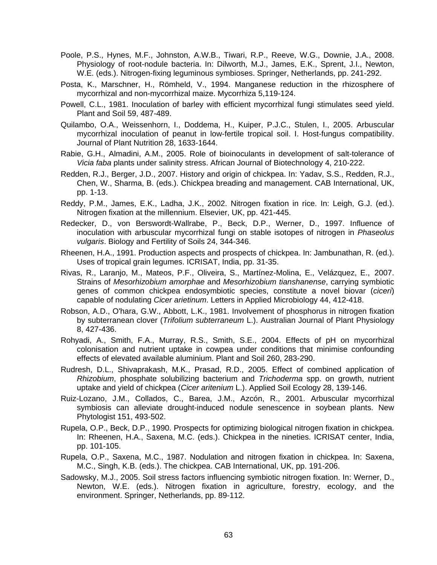- Poole, P.S., Hynes, M.F., Johnston, A.W.B., Tiwari, R.P., Reeve, W.G., Downie, J.A., 2008. Physiology of root-nodule bacteria. In: Dilworth, M.J., James, E.K., Sprent, J.I., Newton, W.E. (eds.). Nitrogen-fixing leguminous symbioses. Springer, Netherlands, pp. 241-292.
- Posta, K., Marschner, H., Römheld, V., 1994. Manganese reduction in the rhizosphere of mycorrhizal and non-mycorrhizal maize. Mycorrhiza 5,119-124.
- Powell, C.L., 1981. Inoculation of barley with efficient mycorrhizal fungi stimulates seed yield. Plant and Soil 59, 487-489.
- Quilambo, O.A., Weissenhorn, I., Doddema, H., Kuiper, P.J.C., Stulen, I., 2005. Arbuscular mycorrhizal inoculation of peanut in low-fertile tropical soil. I. Host-fungus compatibility. Journal of Plant Nutrition 28, 1633-1644.
- Rabie, G.H., Almadini, A.M., 2005. Role of bioinoculants in development of salt-tolerance of *Vicia faba* plants under salinity stress. African Journal of Biotechnology 4, 210-222.
- Redden, R.J., Berger, J.D., 2007. History and origin of chickpea. In: Yadav, S.S., Redden, R.J., Chen, W., Sharma, B. (eds.). Chickpea breading and management. CAB International, UK, pp. 1-13.
- Reddy, P.M., James, E.K., Ladha, J.K., 2002. Nitrogen fixation in rice. In: Leigh, G.J. (ed.). Nitrogen fixation at the millennium. Elsevier, UK, pp. 421-445.
- Redecker, D., von Berswordt-Wallrabe, P., Beck, D.P., Werner, D., 1997. Influence of inoculation with arbuscular mycorrhizal fungi on stable isotopes of nitrogen in *Phaseolus vulgaris*. Biology and Fertility of Soils 24, 344-346.
- Rheenen, H.A., 1991. Production aspects and prospects of chickpea. In: Jambunathan, R. (ed.). Uses of tropical grain legumes. ICRISAT, India, pp. 31-35.
- Rivas, R., Laranjo, M., Mateos, P.F., Oliveira, S., Martínez-Molina, E., Velázquez, E., 2007. Strains of *Mesorhizobium amorphae* and *Mesorhizobium tianshanense*, carrying symbiotic genes of common chickpea endosymbiotic species, constitute a novel biovar (*ciceri*) capable of nodulating *Cicer arietinum*. Letters in Applied Microbiology 44, 412-418.
- Robson, A.D., O'hara, G.W., Abbott, L.K., 1981. Involvement of phosphorus in nitrogen fixation by subterranean clover (*Trifolium subterraneum* L.). Australian Journal of Plant Physiology 8, 427-436.
- Rohyadi, A., Smith, F.A., Murray, R.S., Smith, S.E., 2004. Effects of pH on mycorrhizal colonisation and nutrient uptake in cowpea under conditions that minimise confounding effects of elevated available aluminium. Plant and Soil 260, 283-290.
- Rudresh, D.L., Shivaprakash, M.K., Prasad, R.D., 2005. Effect of combined application of *Rhizobium*, phosphate solubilizing bacterium and *Trichoderma* spp. on growth, nutrient uptake and yield of chickpea (*Cicer aritenium* L.). Applied Soil Ecology 28, 139-146.
- Ruiz-Lozano, J.M., Collados, C., Barea, J.M., Azcón, R., 2001. Arbuscular mycorrhizal symbiosis can alleviate drought-induced nodule senescence in soybean plants. New Phytologist 151, 493-502.
- Rupela, O.P., Beck, D.P., 1990. Prospects for optimizing biological nitrogen fixation in chickpea. In: Rheenen, H.A., Saxena, M.C. (eds.). Chickpea in the nineties. ICRISAT center, India, pp. 101-105.
- Rupela, O.P., Saxena, M.C., 1987. Nodulation and nitrogen fixation in chickpea. In: Saxena, M.C., Singh, K.B. (eds.). The chickpea. CAB International, UK, pp. 191-206.
- Sadowsky, M.J., 2005. Soil stress factors influencing symbiotic nitrogen fixation. In: Werner, D., Newton, W.E. (eds.). Nitrogen fixation in agriculture, forestry, ecology, and the environment. Springer, Netherlands, pp. 89-112.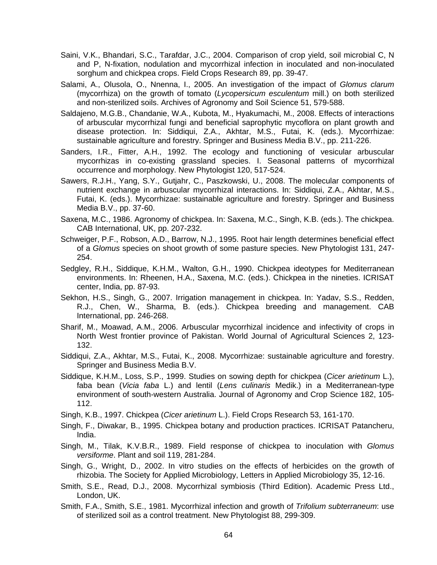- Saini, V.K., Bhandari, S.C., Tarafdar, J.C., 2004. Comparison of crop yield, soil microbial C, N and P, N-fixation, nodulation and mycorrhizal infection in inoculated and non-inoculated sorghum and chickpea crops. Field Crops Research 89, pp. 39-47.
- Salami, A., Olusola, O., Nnenna, I., 2005. An investigation of the impact of *Glomus clarum* (mycorrhiza) on the growth of tomato (*Lycopersicum esculentum* mill.) on both sterilized and non-sterilized soils. Archives of Agronomy and Soil Science 51, 579-588.
- Saldajeno, M.G.B., Chandanie, W.A., Kubota, M., Hyakumachi, M., 2008. Effects of interactions of arbuscular mycorrhizal fungi and beneficial saprophytic mycoflora on plant growth and disease protection. In: Siddiqui, Z.A., Akhtar, M.S., Futai, K. (eds.). Mycorrhizae: sustainable agriculture and forestry. Springer and Business Media B.V., pp. 211-226.
- Sanders, I.R., Fitter, A.H., 1992. The ecology and functioning of vesicular arbuscular mycorrhizas in co-existing grassland species. I. Seasonal patterns of mycorrhizal occurrence and morphology. New Phytologist 120, 517-524.
- Sawers, R.J.H., Yang, S.Y., Gutjahr, C., Paszkowski, U., 2008. The molecular components of nutrient exchange in arbuscular mycorrhizal interactions. In: Siddiqui, Z.A., Akhtar, M.S., Futai, K. (eds.). Mycorrhizae: sustainable agriculture and forestry. Springer and Business Media B.V., pp. 37-60.
- Saxena, M.C., 1986. Agronomy of chickpea. In: Saxena, M.C., Singh, K.B. (eds.). The chickpea. CAB International, UK, pp. 207-232.
- Schweiger, P.F., Robson, A.D., Barrow, N.J., 1995. Root hair length determines beneficial effect of a *Glomus* species on shoot growth of some pasture species. New Phytologist 131, 247- 254.
- Sedgley, R.H., Siddique, K.H.M., Walton, G.H., 1990. Chickpea ideotypes for Mediterranean environments. In: Rheenen, H.A., Saxena, M.C. (eds.). Chickpea in the nineties. ICRISAT center, India, pp. 87-93.
- Sekhon, H.S., Singh, G., 2007. Irrigation management in chickpea. In: Yadav, S.S., Redden, R.J., Chen, W., Sharma, B. (eds.). Chickpea breeding and management. CAB International, pp. 246-268.
- Sharif, M., Moawad, A.M., 2006. Arbuscular mycorrhizal incidence and infectivity of crops in North West frontier province of Pakistan. World Journal of Agricultural Sciences 2, 123- 132.
- Siddiqui, Z.A., Akhtar, M.S., Futai, K., 2008. Mycorrhizae: sustainable agriculture and forestry. Springer and Business Media B.V.
- Siddique, K.H.M., Loss, S.P., 1999. Studies on sowing depth for chickpea (*Cicer arietinum* L.), faba bean (*Vicia faba* L.) and lentil (*Lens culinaris* Medik.) in a Mediterranean-type environment of south-western Australia. Journal of Agronomy and Crop Science 182, 105- 112.
- Singh, K.B., 1997. Chickpea (*Cicer arietinum* L.). Field Crops Research 53, 161-170.
- Singh, F., Diwakar, B., 1995. Chickpea botany and production practices. ICRISAT Patancheru, India.
- Singh, M., Tilak, K.V.B.R., 1989. Field response of chickpea to inoculation with *Glomus versiforme*. Plant and soil 119, 281-284.
- Singh, G., Wright, D., 2002. In vitro studies on the effects of herbicides on the growth of rhizobia. The Society for Applied Microbiology, Letters in Applied Microbiology 35, 12-16.
- Smith, S.E., Read, D.J., 2008. Mycorrhizal symbiosis (Third Edition). Academic Press Ltd., London, UK.
- Smith, F.A., Smith, S.E., 1981. Mycorrhizal infection and growth of *Trifolium subterraneum*: use of sterilized soil as a control treatment. New Phytologist 88, 299-309.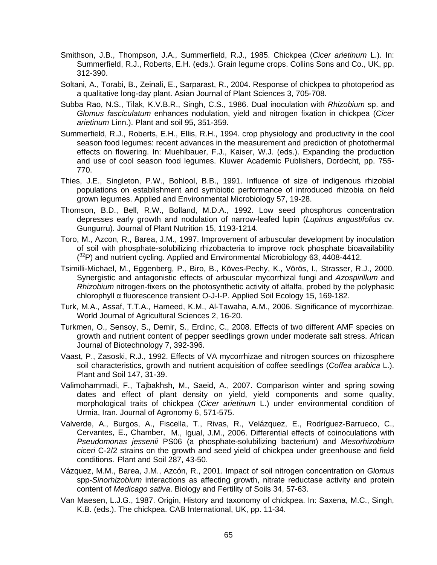- Smithson, J.B., Thompson, J.A., Summerfield, R.J., 1985. Chickpea (*Cicer arietinum* L.). In: Summerfield, R.J., Roberts, E.H. (eds.). Grain legume crops. Collins Sons and Co., UK, pp. 312-390.
- Soltani, A., Torabi, B., Zeinali, E., Sarparast, R., 2004. Response of chickpea to photoperiod as a qualitative long-day plant. Asian Journal of Plant Sciences 3, 705-708.
- Subba Rao, N.S., Tilak, K.V.B.R., Singh, C.S., 1986. Dual inoculation with *Rhizobium* sp. and *Glomus fasciculatum* enhances nodulation, yield and nitrogen fixation in chickpea (*Cicer arietinum* Linn.). Plant and soil 95, 351-359.
- Summerfield, R.J., Roberts, E.H., Ellis, R.H., 1994. crop physiology and productivity in the cool season food legumes: recent advances in the measurement and prediction of photothermal effects on flowering. In: Muehlbauer, F.J., Kaiser, W.J. (eds.). Expanding the production and use of cool season food legumes. Kluwer Academic Publishers, Dordecht, pp. 755- 770.
- Thies, J.E., Singleton, P.W., Bohlool, B.B., 1991. Influence of size of indigenous rhizobial populations on establishment and symbiotic performance of introduced rhizobia on field grown legumes. Applied and Environmental Microbiology 57, 19-28.
- Thomson, B.D., Bell, R.W., Bolland, M.D.A., 1992. Low seed phosphorus concentration depresses early growth and nodulation of narrow-leafed lupin (*Lupinus angustifolius* cv. Gungurru). Journal of Plant Nutrition 15, 1193-1214.
- Toro, M., Azcon, R., Barea, J.M., 1997. Improvement of arbuscular development by inoculation of soil with phosphate-solubilizing rhizobacteria to improve rock phosphate bioavailability  $(3^{2}P)$  and nutrient cycling. Applied and Environmental Microbiology 63, 4408-4412.
- Tsimilli-Michael, M., Eggenberg, P., Biro, B., Köves-Pechy, K., Vörös, I., Strasser, R.J., 2000. Synergistic and antagonistic effects of arbuscular mycorrhizal fungi and *Azospirillum* and *Rhizobium* nitrogen-fixers on the photosynthetic activity of alfalfa, probed by the polyphasic chlorophyll α fluorescence transient O-J-I-P. Applied Soil Ecology 15, 169-182.
- Turk, M.A., Assaf, T.T.A., Hameed, K.M., Al-Tawaha, A.M., 2006. Significance of mycorrhizae. World Journal of Agricultural Sciences 2, 16-20.
- Turkmen, O., Sensoy, S., Demir, S., Erdinc, C., 2008. Effects of two different AMF species on growth and nutrient content of pepper seedlings grown under moderate salt stress. African Journal of Biotechnology 7, 392-396.
- Vaast, P., Zasoski, R.J., 1992. Effects of VA mycorrhizae and nitrogen sources on rhizosphere soil characteristics, growth and nutrient acquisition of coffee seedlings (*Coffea arabica* L.). Plant and Soil 147, 31-39.
- Valimohammadi, F., Tajbakhsh, M., Saeid, A., 2007. Comparison winter and spring sowing dates and effect of plant density on yield, yield components and some quality, morphological traits of chickpea (*Cicer arietinum* L.) under environmental condition of Urmia, Iran. Journal of Agronomy 6, 571-575.
- Valverde, A., Burgos, A., Fiscella, T., Rivas, R., Velázquez, E., Rodríguez-Barrueco, C., Cervantes, E., Chamber, M., Igual, J.M., 2006. Differential effects of coinoculations with *Pseudomonas jessenii* PS06 (a phosphate-solubilizing bacterium) and *Mesorhizobium ciceri* C-2/2 strains on the growth and seed yield of chickpea under greenhouse and field conditions. Plant and Soil 287, 43-50.
- Vázquez, M.M., Barea, J.M., Azcón, R., 2001. Impact of soil nitrogen concentration on *Glomus* spp-*Sinorhizobium* interactions as affecting growth, nitrate reductase activity and protein content of *Medicago sativa*. Biology and Fertility of Soils 34, 57-63.
- Van Maesen, L.J.G., 1987. Origin, History and taxonomy of chickpea. In: Saxena, M.C., Singh, K.B. (eds.). The chickpea. CAB International, UK, pp. 11-34.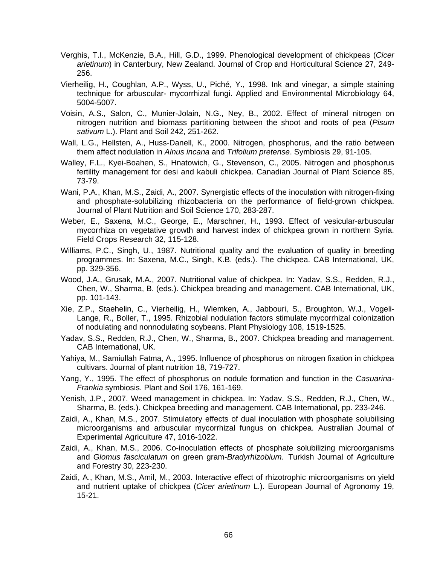- Verghis, T.I., McKenzie, B.A., Hill, G.D., 1999. Phenological development of chickpeas (*Cicer arietinum*) in Canterbury, New Zealand. Journal of Crop and Horticultural Science 27, 249- 256.
- Vierheilig, H., Coughlan, A.P., Wyss, U., Piché, Y., 1998. Ink and vinegar, a simple staining technique for arbuscular- mycorrhizal fungi. Applied and Environmental Microbiology 64, 5004-5007.
- Voisin, A.S., Salon, C., Munier-Jolain, N.G., Ney, B., 2002. Effect of mineral nitrogen on nitrogen nutrition and biomass partitioning between the shoot and roots of pea (*Pisum sativum* L.). Plant and Soil 242, 251-262.
- Wall, L.G., Hellsten, A., Huss-Danell, K., 2000. Nitrogen, phosphorus, and the ratio between them affect nodulation in *Alnus incana* and *Trifolium pretense*. Symbiosis 29, 91-105.
- Walley, F.L., Kyei-Boahen, S., Hnatowich, G., Stevenson, C., 2005. Nitrogen and phosphorus fertility management for desi and kabuli chickpea. Canadian Journal of Plant Science 85, 73-79.
- Wani, P.A., Khan, M.S., Zaidi, A., 2007. Synergistic effects of the inoculation with nitrogen-fixing and phosphate-solubilizing rhizobacteria on the performance of field-grown chickpea. Journal of Plant Nutrition and Soil Science 170, 283-287.
- Weber, E., Saxena, M.C., George, E., Marschner, H., 1993. Effect of vesicular-arbuscular mycorrhiza on vegetative growth and harvest index of chickpea grown in northern Syria. Field Crops Research 32, 115-128.
- Williams, P.C., Singh, U., 1987. Nutritional quality and the evaluation of quality in breeding programmes. In: Saxena, M.C., Singh, K.B. (eds.). The chickpea. CAB International, UK, pp. 329-356.
- Wood, J.A., Grusak, M.A., 2007. Nutritional value of chickpea. In: Yadav, S.S., Redden, R.J., Chen, W., Sharma, B. (eds.). Chickpea breading and management. CAB International, UK, pp. 101-143.
- Xie, Z.P., Staehelin, C., Vierheilig, H., Wiemken, A., Jabbouri, S., Broughton, W.J., Vogeli-Lange, R., Boller, T., 1995. Rhizobial nodulation factors stimulate mycorrhizal colonization of nodulating and nonnodulating soybeans. Plant Physiology 108, 1519-1525.
- Yadav, S.S., Redden, R.J., Chen, W., Sharma, B., 2007. Chickpea breading and management. CAB International, UK.
- Yahiya, M., Samiullah Fatma, A., 1995. Influence of phosphorus on nitrogen fixation in chickpea cultivars. Journal of plant nutrition 18, 719-727.
- Yang, Y., 1995. The effect of phosphorus on nodule formation and function in the *Casuarina-Frankia* symbiosis. Plant and Soil 176, 161-169.
- Yenish, J.P., 2007. Weed management in chickpea. In: Yadav, S.S., Redden, R.J., Chen, W., Sharma, B. (eds.). Chickpea breeding and management. CAB International, pp. 233-246.
- Zaidi, A., Khan, M.S., 2007. Stimulatory effects of dual inoculation with phosphate solubilising microorganisms and arbuscular mycorrhizal fungus on chickpea. Australian Journal of Experimental Agriculture 47, 1016-1022.
- Zaidi, A., Khan, M.S., 2006. Co-inoculation effects of phosphate solubilizing microorganisms and *Glomus fasciculatum* on green gram-*Bradyrhizobium*. Turkish Journal of Agriculture and Forestry 30, 223-230.
- Zaidi, A., Khan, M.S., Amil, M., 2003. Interactive effect of rhizotrophic microorganisms on yield and nutrient uptake of chickpea (*Cicer arietinum* L.). European Journal of Agronomy 19, 15-21.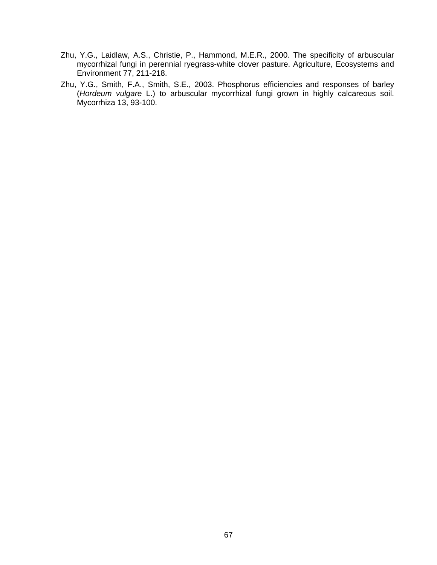- Zhu, Y.G., Laidlaw, A.S., Christie, P., Hammond, M.E.R., 2000. The specificity of arbuscular mycorrhizal fungi in perennial ryegrass-white clover pasture. Agriculture, Ecosystems and Environment 77, 211-218.
- Zhu, Y.G., Smith, F.A., Smith, S.E., 2003. Phosphorus efficiencies and responses of barley (*Hordeum vulgare* L.) to arbuscular mycorrhizal fungi grown in highly calcareous soil. Mycorrhiza 13, 93-100.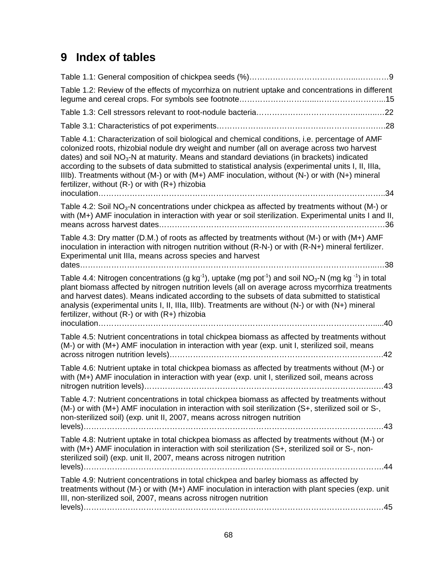# **9 Index of tables**

| Table 1.2: Review of the effects of mycorrhiza on nutrient uptake and concentrations in different                                                                                                                                                                                                                                                                                                                                                                                                                                                                               |
|---------------------------------------------------------------------------------------------------------------------------------------------------------------------------------------------------------------------------------------------------------------------------------------------------------------------------------------------------------------------------------------------------------------------------------------------------------------------------------------------------------------------------------------------------------------------------------|
|                                                                                                                                                                                                                                                                                                                                                                                                                                                                                                                                                                                 |
|                                                                                                                                                                                                                                                                                                                                                                                                                                                                                                                                                                                 |
| Table 4.1: Characterization of soil biological and chemical conditions, i.e. percentage of AMF<br>colonized roots, rhizobial nodule dry weight and number (all on average across two harvest<br>dates) and soil $NO3$ -N at maturity. Means and standard deviations (in brackets) indicated<br>according to the subsets of data submitted to statistical analysis (experimental units I, II, IIIa,<br>IIIb). Treatments without (M-) or with (M+) AMF inoculation, without (N-) or with (N+) mineral<br>fertilizer, without $(R-)$ or with $(R+)$ rhizobia<br>inoculation<br>34 |
| Table 4.2: Soil $NO3$ -N concentrations under chickpea as affected by treatments without (M-) or<br>with (M+) AMF inoculation in interaction with year or soil sterilization. Experimental units I and II,<br>.36                                                                                                                                                                                                                                                                                                                                                               |
| Table 4.3: Dry matter (D.M.) of roots as affected by treatments without (M-) or with (M+) AMF<br>inoculation in interaction with nitrogen nutrition without (R-N-) or with (R-N+) mineral fertilizer.<br>Experimental unit IIIa, means across species and harvest<br>.38                                                                                                                                                                                                                                                                                                        |
| Table 4.4: Nitrogen concentrations (g kg <sup>-1</sup> ), uptake (mg pot <sup>-1</sup> ) and soil NO <sub>3</sub> -N (mg kg <sup>-1</sup> ) in total<br>plant biomass affected by nitrogen nutrition levels (all on average across mycorrhiza treatments<br>and harvest dates). Means indicated according to the subsets of data submitted to statistical<br>analysis (experimental units I, II, IIIa, IIIb). Treatments are without $(N-)$ or with $(N+)$ mineral<br>fertilizer, without $(R-)$ or with $(R+)$ rhizobia<br>inoculation<br>40                                   |
| Table 4.5: Nutrient concentrations in total chickpea biomass as affected by treatments without<br>(M-) or with (M+) AMF inoculation in interaction with year (exp. unit I, sterilized soil, means<br>. 42                                                                                                                                                                                                                                                                                                                                                                       |
| Table 4.6: Nutrient uptake in total chickpea biomass as affected by treatments without (M-) or<br>with (M+) AMF inoculation in interaction with year (exp. unit I, sterilized soil, means across                                                                                                                                                                                                                                                                                                                                                                                |
| Table 4.7: Nutrient concentrations in total chickpea biomass as affected by treatments without<br>(M-) or with (M+) AMF inoculation in interaction with soil sterilization (S+, sterilized soil or S-,<br>non-sterilized soil) (exp. unit II, 2007, means across nitrogen nutrition                                                                                                                                                                                                                                                                                             |
| Table 4.8: Nutrient uptake in total chickpea biomass as affected by treatments without (M-) or<br>with (M+) AMF inoculation in interaction with soil sterilization (S+, sterilized soil or S-, non-<br>sterilized soil) (exp. unit II, 2007, means across nitrogen nutrition                                                                                                                                                                                                                                                                                                    |
| Table 4.9: Nutrient concentrations in total chickpea and barley biomass as affected by<br>treatments without (M-) or with (M+) AMF inoculation in interaction with plant species (exp. unit<br>III, non-sterilized soil, 2007, means across nitrogen nutrition                                                                                                                                                                                                                                                                                                                  |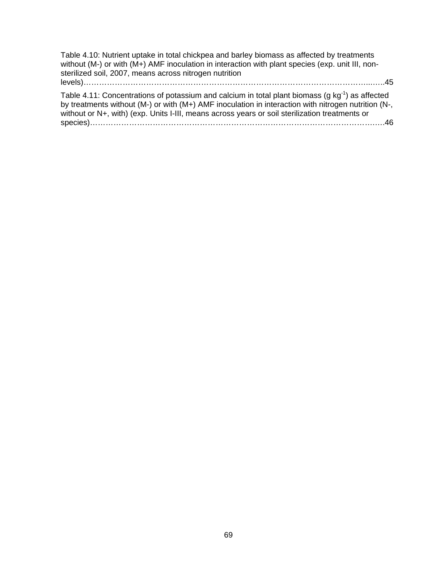| Table 4.10: Nutrient uptake in total chickpea and barley biomass as affected by treatments<br>without (M-) or with (M+) AMF inoculation in interaction with plant species (exp. unit III, non-<br>sterilized soil, 2007, means across nitrogen nutrition                                                              |  |
|-----------------------------------------------------------------------------------------------------------------------------------------------------------------------------------------------------------------------------------------------------------------------------------------------------------------------|--|
| Table 4.11: Concentrations of potassium and calcium in total plant biomass (g kg <sup>-1</sup> ) as affected<br>by treatments without (M-) or with (M+) AMF inoculation in interaction with nitrogen nutrition (N-,<br>without or N+, with) (exp. Units I-III, means across years or soil sterilization treatments or |  |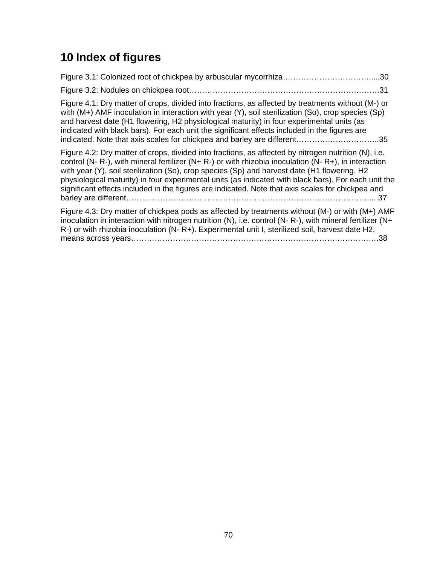# **10 Index of figures**

|--|--|

Figure 3.2: Nodules on chickpea root……………………………………………………………….31

Figure 4.1: Dry matter of crops, divided into fractions, as affected by treatments without (M-) or with (M+) AMF inoculation in interaction with year (Y), soil sterilization (So), crop species (Sp) and harvest date (H1 flowering, H2 physiological maturity) in four experimental units (as indicated with black bars). For each unit the significant effects included in the figures are indicated. Note that axis scales for chickpea and barley are different…………………………..35

Figure 4.2: Dry matter of crops, divided into fractions, as affected by nitrogen nutrition (N), i.e. control (N- R-), with mineral fertilizer (N+ R-) or with rhizobia inoculation (N- R+), in interaction with year (Y), soil sterilization (So), crop species (Sp) and harvest date (H1 flowering, H2 physiological maturity) in four experimental units (as indicated with black bars). For each unit the significant effects included in the figures are indicated. Note that axis scales for chickpea and barley are different…………………………………………………………………………………....37

Figure 4.3: Dry matter of chickpea pods as affected by treatments without (M-) or with (M+) AMF inoculation in interaction with nitrogen nutrition (N), i.e. control (N- R-), with mineral fertilizer (N+ R-) or with rhizobia inoculation (N- R+). Experimental unit I, sterilized soil, harvest date H2, means across years…………………………………………………………………….…………….38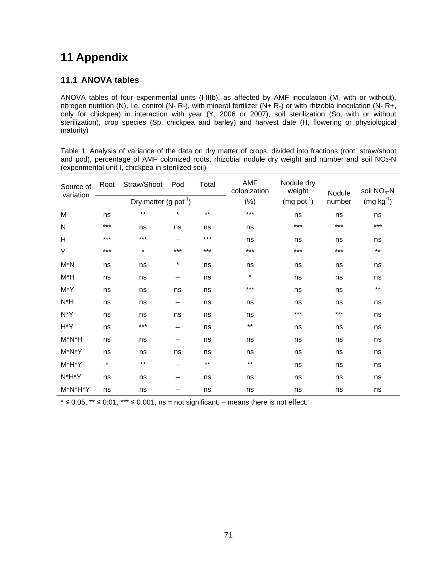# **11 Appendix**

# **11.1 ANOVA tables**

ANOVA tables of four experimental units (I-IIIb), as affected by AMF inoculation (M, with or without), nitrogen nutrition (N), i.e. control (N- R-), with mineral fertilizer (N+ R-) or with rhizobia inoculation (N- R+, only for chickpea) in interaction with year (Y, 2006 or 2007), soil sterilization (So, with or without sterilization), crop species (Sp, chickpea and barley) and harvest date (H, flowering or physiological maturity)

Table 1: Analysis of variance of the data on dry matter of crops, divided into fractions (root, straw/shoot and pod), percentage of AMF colonized roots, rhizobial nodule dry weight and number and soil NO3-N (experimental unit I, chickpea in sterilized soil)

| Source of<br>variation | Root    | Straw/Shoot                       | Pod     | Total | AMF<br>colonization | Nodule dry<br>weight | Nodule | soil $NO3$ -N   |  |
|------------------------|---------|-----------------------------------|---------|-------|---------------------|----------------------|--------|-----------------|--|
|                        |         | Dry matter (g pot <sup>-1</sup> ) |         |       | $(\%)$              | $(mg pot-1)$         | number | $(mg kg-1)$     |  |
| M                      | ns      | $***$                             | $\star$ | $***$ | $***$               | ns                   | ns     | ns              |  |
| $\mathsf{N}$           | $***$   | ns                                | ns      | ns    | ns                  | $***$                | $***$  | $***$           |  |
| H                      | $***$   | $***$                             |         | $***$ | ns                  | ns                   | ns     | ns              |  |
| Y                      | ***     | $\star$                           | ***     | ***   | ***                 | $***$                | $***$  | $^{\star\star}$ |  |
| $M^*N$                 | ns      | ns                                | *       | ns    | ns                  | ns                   | ns     | ns              |  |
| M*H                    | ns      | ns                                |         | ns    | $\star$             | ns                   | ns     | ns              |  |
| M*Y                    | ns      | ns                                | ns      | ns    | ***                 | ns                   | ns     | $^{\star\star}$ |  |
| $N^*H$                 | ns      | ns                                |         | ns    | ns                  | ns                   | ns     | ns              |  |
| N*Y                    | ns      | ns                                | ns      | ns    | ns                  | ***                  | $***$  | ns              |  |
| H*Y                    | ns      | $***$                             |         | ns    | $***$               | ns                   | ns     | ns              |  |
| M*N*H                  | ns      | ns                                |         | ns    | ns                  | ns                   | ns     | ns              |  |
| M*N*Y                  | ns      | ns                                | ns      | ns    | ns                  | ns                   | ns     | ns              |  |
| M*H*Y                  | $\star$ | $***$                             |         | $***$ | $^{\star\star}$     | ns                   | ns     | ns              |  |
| N*H*Y                  | ns      | ns                                |         | ns    | ns                  | ns                   | ns     | ns              |  |
| M*N*H*Y                | ns      | ns                                |         | ns    | ns                  | ns                   | ns     | ns              |  |

 $*$  ≤ 0.05,  $**$  ≤ 0.01,  $***$  ≤ 0.001, ns = not significant, – means there is not effect.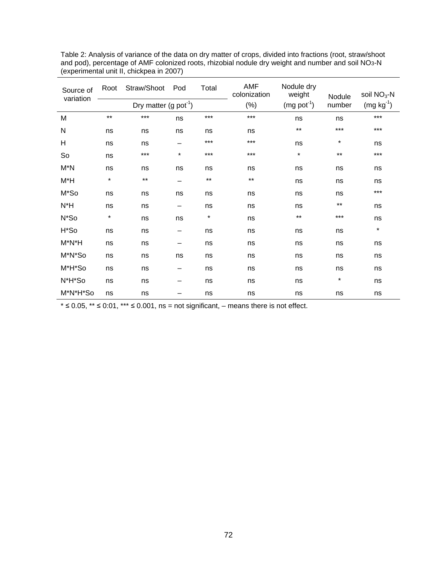| Source of<br>variation | Root     | Straw/Shoot Pod | Total                   |          | AMF<br>colonization | Nodule dry<br>weight | Nodule   | soil NO <sub>3</sub> -N |
|------------------------|----------|-----------------|-------------------------|----------|---------------------|----------------------|----------|-------------------------|
|                        |          |                 | Dry matter (g $pot-1$ ) |          |                     | $(mg pot-1)$         | number   | $(mg kg-1)$             |
| M                      | $***$    | $***$           | ns                      | $***$    | $***$               | ns                   | ns       | $***$                   |
| $\mathsf{N}$           | ns       | ns              | ns                      | ns       | ns                  | $***$                | $***$    | $***$                   |
| H                      | ns       | ns              |                         | $***$    | $***$               | ns                   | $^\star$ | ns                      |
| So                     | ns       | ***             | $\star$                 | $***$    | $***$               | $\star$              | $***$    | $***$                   |
| $M^*N$                 | ns       | ns              | ns                      | ns       | ns                  | ns                   | ns       | ns                      |
| M*H                    | $\star$  | $***$           |                         | $***$    | $***$               | ns                   | ns       | ns                      |
| M*So                   | ns       | ns              | ns                      | ns       | ns                  | ns                   | ns       | $***$                   |
| N*H                    | ns       | ns              | $\qquad \qquad$         | ns       | ns                  | ns                   | $***$    | ns                      |
| N*So                   | $^\star$ | ns              | ns                      | $^\star$ | ns                  | $***$                | ***      | ns                      |
| H*So                   | ns       | ns              | $\qquad \qquad$         | ns       | ns                  | ns                   | ns       | $\star$                 |
| $M^*N^*H$              | ns       | ns              |                         | ns       | ns                  | ns                   | ns       | ns                      |
| M*N*So                 | ns       | ns              | ns                      | ns       | ns                  | ns                   | ns       | ns                      |
| M*H*So                 | ns       | ns              |                         | ns       | ns                  | ns                   | ns       | ns                      |
| N*H*So                 | ns       | ns              |                         | ns       | ns                  | ns                   | $\star$  | ns                      |
| M*N*H*So               | ns       | ns              |                         | ns       | ns                  | ns                   | ns       | ns                      |

Table 2: Analysis of variance of the data on dry matter of crops, divided into fractions (root, straw/shoot and pod), percentage of AMF colonized roots, rhizobial nodule dry weight and number and soil NO3-N (experimental unit II, chickpea in 2007)

 $*$  ≤ 0.05,  $**$  ≤ 0.01,  $***$  ≤ 0.001, ns = not significant, – means there is not effect.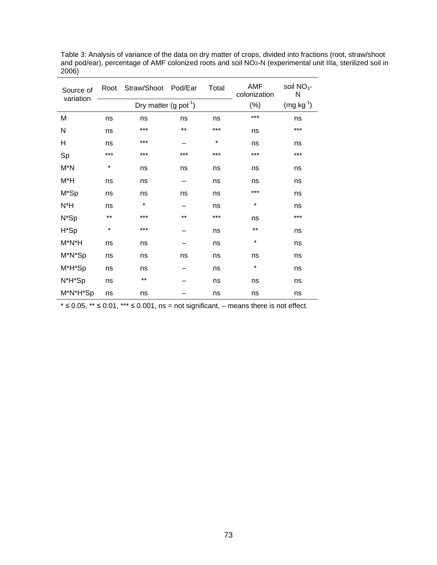| Source of<br>variation |         | Root Straw/Shoot Pod/Ear            |       | Total | AMF<br>colonization | soil NO <sub>3</sub> -<br>N |
|------------------------|---------|-------------------------------------|-------|-------|---------------------|-----------------------------|
|                        |         | Dry matter $(g$ pot <sup>-1</sup> ) |       |       | $(\%)$              | $(mg kg-1)$                 |
| M                      | ns      | ns                                  | ns    | ns    | ***                 | ns                          |
| N                      | ns      | ***                                 | $***$ | ***   | ns                  | ***                         |
| Н                      | ns      | ***                                 |       | *     | ns                  | ns                          |
| Sp                     | ***     | ***                                 | ***   | ***   | ***                 | ***                         |
| $M^*N$                 | $\star$ | ns                                  | ns    | ns    | ns                  | ns                          |
| M*H                    | ns      | ns                                  |       | ns    | ns                  | ns                          |
| M*Sp                   | ns      | ns                                  | ns    | ns    | ***                 | ns                          |
| N*H                    | ns      | $\star$                             |       | ns    | $\star$             | ns                          |
| N*Sp                   | **      | ***                                 | $***$ | ***   | ns                  | ***                         |
| H*Sp                   | $\star$ | ***                                 |       | ns    | $***$               | ns                          |
| M*N*H                  | ns      | ns                                  |       | ns    | $\star$             | ns                          |
| M*N*Sp                 | ns      | ns                                  | ns    | ns    | ns                  | ns                          |
| M*H*Sp                 | ns      | ns                                  |       | ns    | $\star$             | ns                          |
| N*H*Sp                 | ns      | $***$                               |       | ns    | ns                  | ns                          |
| M*N*H*Sp               | ns      | ns                                  |       | ns    | ns                  | ns                          |

Table 3: Analysis of variance of the data on dry matter of crops, divided into fractions (root, straw/shoot and pod/ear), percentage of AMF colonized roots and soil NO3-N (experimental unit IIIa, sterilized soil in 2006)

 $*$  ≤ 0.05,  $**$  ≤ 0.01,  $***$  ≤ 0.001, ns = not significant, – means there is not effect.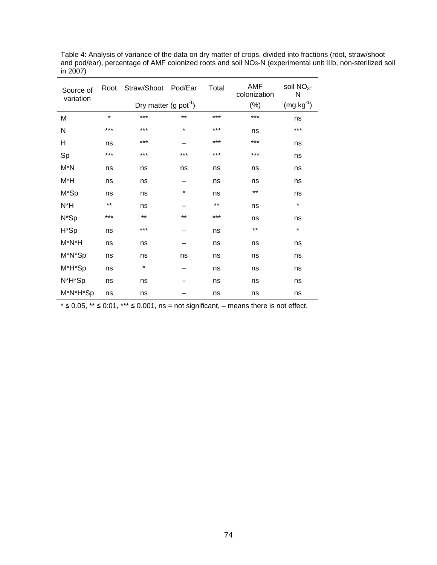| Source of<br>variation |         | Root Straw/Shoot Pod/Ear            |         | Total | AMF<br>colonization | soil $NO3$ -<br>N |
|------------------------|---------|-------------------------------------|---------|-------|---------------------|-------------------|
|                        |         | Dry matter $(g$ pot <sup>-1</sup> ) |         |       | $(\%)$              | $(mg kg^{-1})$    |
| M                      | $\star$ | $***$                               | $***$   | $***$ | $***$               | ns                |
| N                      | ***     | ***                                 | $\star$ | ***   | ns                  | ***               |
| H                      | ns      | ***                                 |         | ***   | ***                 | ns                |
| Sp                     | ***     | ***                                 | ***     | ***   | ***                 | ns                |
| $M^*N$                 | ns      | ns                                  | ns      | ns    | ns                  | ns                |
| M*H                    | ns      | ns                                  |         | ns    | ns                  | ns                |
| M*Sp                   | ns      | ns                                  | $\star$ | ns    | $***$               | ns                |
| $N^*H$                 | **      | ns                                  |         | $***$ | ns                  | $\star$           |
| N*Sp                   | ***     | $***$                               | $***$   | ***   | ns                  | ns                |
| H*Sp                   | ns      | ***                                 |         | ns    | $***$               | $\star$           |
| M*N*H                  | ns      | ns                                  |         | ns    | ns                  | ns                |
| M*N*Sp                 | ns      | ns                                  | ns      | ns    | ns                  | ns                |
| M*H*Sp                 | ns      | $\star$                             |         | ns    | ns                  | ns                |
| N*H*Sp                 | ns      | ns                                  |         | ns    | ns                  | ns                |
| M*N*H*Sp               | ns      | ns                                  |         | ns    | ns                  | ns                |

Table 4: Analysis of variance of the data on dry matter of crops, divided into fractions (root, straw/shoot and pod/ear), percentage of AMF colonized roots and soil NO3-N (experimental unit IIIb, non-sterilized soil  $in 2007$ )

 $*$  ≤ 0.05,  $**$  ≤ 0.01,  $***$  ≤ 0.001, ns = not significant, – means there is not effect.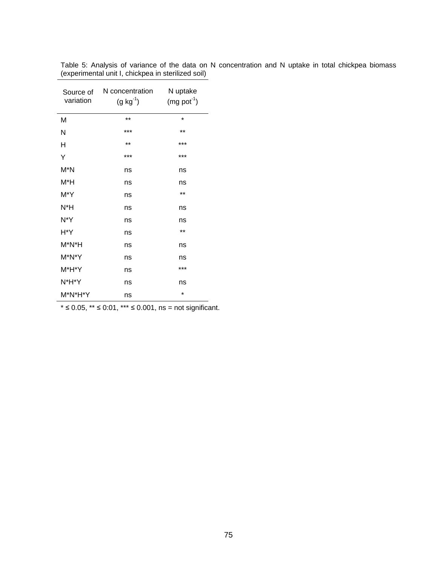| Source of<br>variation | N concentration<br>$(g kg^{-1})$ | N uptake<br>$(mg pot-1)$ |
|------------------------|----------------------------------|--------------------------|
| M                      | $***$                            | $\star$                  |
| N                      | ***                              | $***$                    |
| н                      | $***$                            | ***                      |
| Υ                      | ***                              | ***                      |
| M*N                    | ns                               | ns                       |
| M*H                    | ns                               | ns                       |
| M*Y                    | ns                               | $***$                    |
| N*H                    | ns                               | ns                       |
| N*Y                    | ns                               | ns                       |
| H*Y                    | ns                               | $***$                    |
| $M^*N^*H$              | ns                               | ns                       |
| M*N*Y                  | ns                               | ns                       |
| M*H*Y                  | ns                               | ***                      |
| N*H*Y                  | ns                               | ns                       |
| M*N*H*Y                | ns                               | $\star$                  |

Table 5: Analysis of variance of the data on N concentration and N uptake in total chickpea biomass (experimental unit I, chickpea in sterilized soil)

 $*$  ≤ 0.05,  $**$  ≤ 0:01,  $***$  ≤ 0.001, ns = not significant.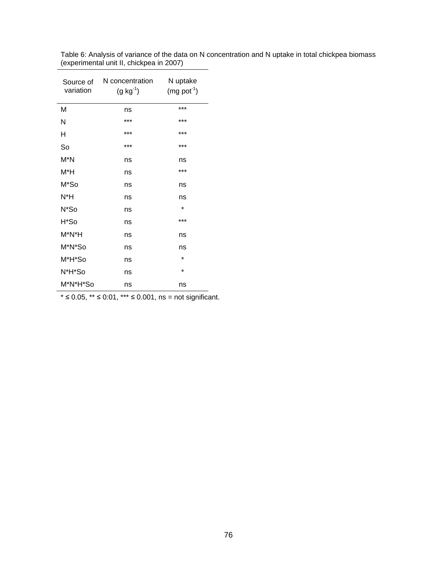| Source of<br>variation | N concentration<br>$(g kg^{-1})$ | N uptake<br>$(mg pot-1)$ |
|------------------------|----------------------------------|--------------------------|
| M                      | ns                               | ***                      |
| N                      | ***                              | ***                      |
| н                      | ***                              | ***                      |
| So                     | ***                              | ***                      |
| M*N                    | ns                               | ns                       |
| M*H                    | ns                               | ***                      |
| M*So                   | ns                               | ns                       |
| N*H                    | ns                               | ns                       |
| N*So                   | ns                               | $\star$                  |
| H*So                   | ns                               | ***                      |
| M*N*H                  | ns                               | ns                       |
| M*N*So                 | ns                               | ns                       |
| M*H*So                 | ns                               | $\star$                  |
| N*H*So                 | ns                               | $\star$                  |
| M*N*H*So               | ns                               | ns                       |

Table 6: Analysis of variance of the data on N concentration and N uptake in total chickpea biomass (experimental unit II, chickpea in 2007)

 $\star$  ≤ 0.05,  $\star$  ≤ 0.01,  $\star$   $\star$  ≤ 0.001, ns = not significant.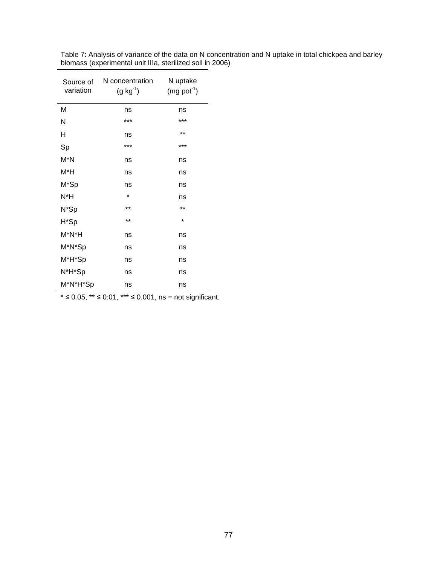| Source of<br>variation | N concentration<br>$(g kg^{-1})$ | N uptake<br>$(mg pot-1)$ |  |
|------------------------|----------------------------------|--------------------------|--|
| M                      | ns                               | ns                       |  |
| N                      | ***                              | ***                      |  |
| н                      | ns                               | $***$                    |  |
| Sp                     | ***                              | ***                      |  |
| $M^*N$                 | ns                               | ns                       |  |
| M*H                    | ns                               | ns                       |  |
| M*Sp                   | ns                               | ns                       |  |
| N*H                    | $\star$                          | ns                       |  |
| N*Sp                   | $***$                            | **                       |  |
| H*Sp                   | $***$                            | $\star$                  |  |
| $M^*N^*H$              | ns                               | ns                       |  |
| M*N*Sp                 | ns                               | ns                       |  |
| M*H*Sp                 | ns                               | ns                       |  |
| N*H*Sp                 | ns                               | ns                       |  |
| M*N*H*Sp               | ns                               | ns                       |  |

Table 7: Analysis of variance of the data on N concentration and N uptake in total chickpea and barley biomass (experimental unit IIIa, sterilized soil in 2006)

 $*$  ≤ 0.05,  $**$  ≤ 0:01,  $***$  ≤ 0.001, ns = not significant.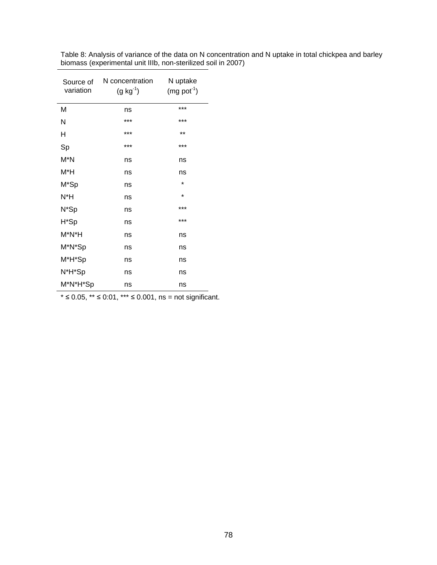| Source of<br>variation | N concentration<br>$(g kg^{-1})$ | N uptake<br>$(mg pot-1)$ |  |
|------------------------|----------------------------------|--------------------------|--|
| M                      | ns                               | ***                      |  |
| Ν                      | ***                              | ***                      |  |
| н                      | ***                              | $***$                    |  |
| Sp                     | ***                              | ***                      |  |
| $M^*N$                 | ns                               | ns                       |  |
| M*H                    | ns                               | ns                       |  |
| M*Sp                   | ns                               | $\star$                  |  |
| N*H                    | ns                               | $\star$                  |  |
| N*Sp                   | ns                               | ***                      |  |
| H*Sp                   | ns                               | ***                      |  |
| M*N*H                  | ns                               | ns                       |  |
| M*N*Sp                 | ns                               | ns                       |  |
| M*H*Sp                 | ns                               | ns                       |  |
| N*H*Sp                 | ns                               | ns                       |  |
| M*N*H*Sp               | ns                               | ns                       |  |

Table 8: Analysis of variance of the data on N concentration and N uptake in total chickpea and barley biomass (experimental unit IIIb, non-sterilized soil in 2007)

 $*$  ≤ 0.05,  $**$  ≤ 0:01,  $***$  ≤ 0.001, ns = not significant.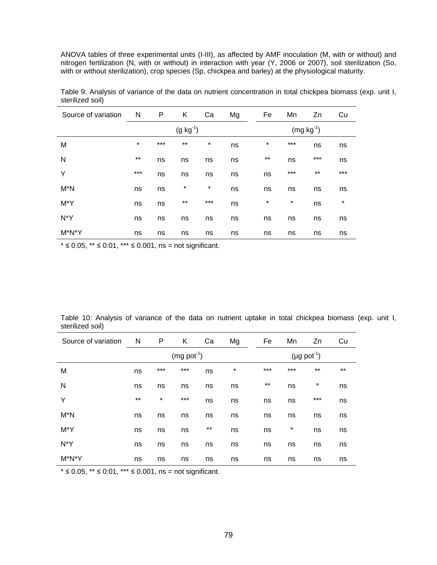ANOVA tables of three experimental units (I-III), as affected by AMF inoculation (M, with or without) and nitrogen fertilization (N, with or without) in interaction with year (Y, 2006 or 2007), soil sterilization (So, with or without sterilization), crop species (Sp, chickpea and barley) at the physiological maturity.

| Source of variation | N          | P     | Κ             | Ca      | Mg          | Fe      | Mn       | Zn    | Cu      |
|---------------------|------------|-------|---------------|---------|-------------|---------|----------|-------|---------|
|                     |            |       | $(g kg^{-1})$ |         | $(mg kg-1)$ |         |          |       |         |
| M                   | $^{\star}$ | $***$ | $***$         | $\star$ | ns          | $\star$ | $***$    | ns    | ns      |
| N                   | $***$      | ns    | ns            | ns      | ns          | $***$   | ns       | $***$ | ns      |
| Y                   | $***$      | ns    | ns            | ns      | ns          | ns      | $***$    | $***$ | $***$   |
| M*N                 | ns         | ns    | $^\star$      | $\star$ | ns          | ns      | ns       | ns    | ns      |
| M*Y                 | ns         | ns    | $***$         | $***$   | ns          | $\star$ | $^\star$ | ns    | $\star$ |
| N*Y                 | ns         | ns    | ns            | ns      | ns          | ns      | ns       | ns    | ns      |
| M*N*Y               | ns         | ns    | ns            | ns      | ns          | ns      | ns       | ns    | ns      |

Table 9: Analysis of variance of the data on nutrient concentration in total chickpea biomass (exp. unit I, sterilized soil)

\* ≤ 0.05, \*\* ≤ 0:01, \*\*\* ≤ 0.001, ns = not significant.

|                  |  | Table 10: Analysis of variance of the data on nutrient uptake in total chickpea biomass (exp. unit I, |  |  |  |  |  |  |  |
|------------------|--|-------------------------------------------------------------------------------------------------------|--|--|--|--|--|--|--|
| sterilized soil) |  |                                                                                                       |  |  |  |  |  |  |  |

| Source of variation | - N   | P     | K            | Ca    | Mg                         | Fe    | Mn       | Zn       | Cu    |
|---------------------|-------|-------|--------------|-------|----------------------------|-------|----------|----------|-------|
|                     |       |       | $(mg pot-1)$ |       | $(\mu g \text{ pot}^{-1})$ |       |          |          |       |
| M                   | ns    | $***$ | $***$        | ns    | $\star$                    | ***   | $***$    | $***$    | $***$ |
| N                   | ns    | ns    | ns           | ns    | ns                         | $***$ | ns       | $^\star$ | ns    |
| Y                   | $***$ | *     | $***$        | ns    | ns                         | ns    | ns       | $***$    | ns    |
| $M^*N$              | ns    | ns    | ns           | ns    | ns                         | ns    | ns       | ns       | ns    |
| M*Y                 | ns    | ns    | ns           | $***$ | ns                         | ns    | $^\star$ | ns       | ns    |
| N*Y                 | ns    | ns    | ns           | ns    | ns                         | ns    | ns       | ns       | ns    |
| M*N*Y               | ns    | ns    | ns           | ns    | ns                         | ns    | ns       | ns       | ns    |

 $*$  ≤ 0.05,  $*$  ≤ 0:01,  $*$  ≤ 0.001, ns = not significant.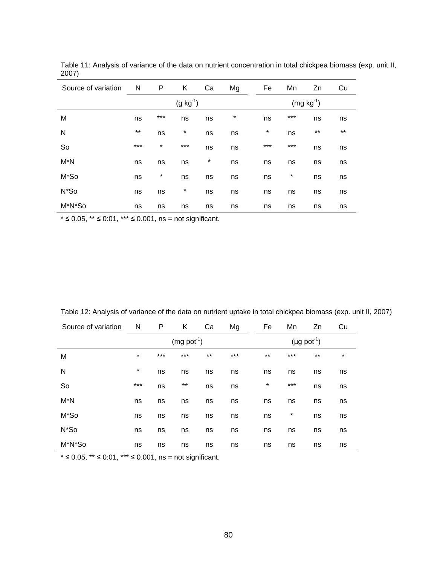| Source of variation | N     | P       | Κ             | Ca     | Mg       | Fe          | Mn       | Zn    | Cu    |  |
|---------------------|-------|---------|---------------|--------|----------|-------------|----------|-------|-------|--|
|                     |       |         | $(g kg^{-1})$ |        |          | $(mg kg-1)$ |          |       |       |  |
| M                   | ns    | $***$   | ns            | ns     | $^\star$ | ns          | $***$    | ns    | ns    |  |
| N                   | $***$ | ns      | *             | ns     | ns       | $\star$     | ns       | $***$ | $***$ |  |
| So                  | $***$ | $\star$ | $***$         | ns     | ns       | $***$       | $***$    | ns    | ns    |  |
| $M^*N$              | ns    | ns      | ns            | $\ast$ | ns       | ns          | ns       | ns    | ns    |  |
| M*So                | ns    | $\ast$  | ns            | ns     | ns       | ns          | $^\star$ | ns    | ns    |  |
| N*So                | ns    | ns      | *             | ns     | ns       | ns          | ns       | ns    | ns    |  |
| M*N*So              | ns    | ns      | ns            | ns     | ns       | ns          | ns       | ns    | ns    |  |

Table 11: Analysis of variance of the data on nutrient concentration in total chickpea biomass (exp. unit II, 2007)

 $*$  ≤ 0.05, \*\* ≤ 0.01, \*\*\* ≤ 0.001, ns = not significant.

Table 12: Analysis of variance of the data on nutrient uptake in total chickpea biomass (exp. unit II, 2007)

| Source of variation | N       | P     | K            | Ca    | Mg                           | Fe      | Mn     | Zn    | Cu      |
|---------------------|---------|-------|--------------|-------|------------------------------|---------|--------|-------|---------|
|                     |         |       | $(mg pot-1)$ |       | $(\mu g$ pot <sup>-1</sup> ) |         |        |       |         |
| M                   | $\star$ | $***$ | $***$        | $***$ | $***$                        | $***$   | ***    | $***$ | $\star$ |
| N                   | $\star$ | ns    | ns           | ns    | ns                           | ns      | ns     | ns    | ns      |
| So                  | $***$   | ns    | $***$        | ns    | ns                           | $\star$ | $***$  | ns    | ns      |
| $M^*N$              | ns      | ns    | ns           | ns    | ns                           | ns      | ns     | ns    | ns      |
| M*So                | ns      | ns    | ns           | ns    | ns                           | ns      | $\ast$ | ns    | ns      |
| N*So                | ns      | ns    | ns           | ns    | ns                           | ns      | ns     | ns    | ns      |
| M*N*So              | ns      | ns    | ns           | ns    | ns                           | ns      | ns     | ns    | ns      |

 $*$  ≤ 0.05,  $**$  ≤ 0.01,  $***$  ≤ 0.001, ns = not significant.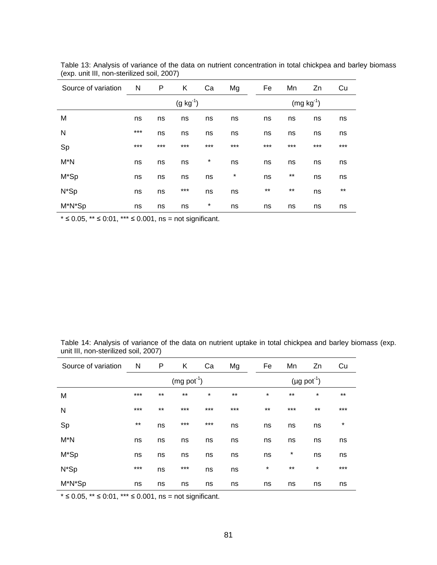| Source of variation | N             | P     | Κ     | Ca       | Mg       | Fe    | Mn    | Zn          | Cu    |
|---------------------|---------------|-------|-------|----------|----------|-------|-------|-------------|-------|
|                     | $(g kg^{-1})$ |       |       |          |          |       |       | $(mg kg-1)$ |       |
| M                   | ns            | ns    | ns    | ns       | ns       | ns    | ns    | ns          | ns    |
| N                   | $***$         | ns    | ns    | ns       | ns       | ns    | ns    | ns          | ns    |
| Sp                  | $***$         | $***$ | $***$ | $***$    | $***$    | $***$ | $***$ | $***$       | $***$ |
| $M^*N$              | ns            | ns    | ns    | $\ast$   | ns       | ns    | ns    | ns          | ns    |
| M*Sp                | ns            | ns    | ns    | ns       | $^\star$ | ns    | $***$ | ns          | ns    |
| $N*Sp$              | ns            | ns    | $***$ | ns       | ns       | $***$ | $***$ | ns          | $***$ |
| M*N*Sp              | ns            | ns    | ns    | $^\star$ | ns       | ns    | ns    | ns          | ns    |

Table 13: Analysis of variance of the data on nutrient concentration in total chickpea and barley biomass (exp. unit III, non-sterilized soil, 2007)

\* ≤ 0.05, \*\* ≤ 0:01, \*\*\* ≤ 0.001, ns = not significant.

Table 14: Analysis of variance of the data on nutrient uptake in total chickpea and barley biomass (exp. unit III, non-sterilized soil, 2007)

| Source of variation | N     | P     | K            | Ca      | Mg    | Fe      | Mn     | Zn                           | Cu      |
|---------------------|-------|-------|--------------|---------|-------|---------|--------|------------------------------|---------|
|                     |       |       | $(mg pot-1)$ |         |       |         |        | $(\mu g$ pot <sup>-1</sup> ) |         |
| M                   | $***$ | $***$ | $***$        | $\star$ | $***$ | $\star$ | $***$  | $^\star$                     | $***$   |
| N                   | $***$ | $***$ | $***$        | ***     | $***$ | $***$   | $***$  | $***$                        | $***$   |
| Sp                  | $***$ | ns    | $***$        | ***     | ns    | ns      | ns     | ns                           | $\star$ |
| $M^*N$              | ns    | ns    | ns           | ns      | ns    | ns      | ns     | ns                           | ns      |
| M*Sp                | ns    | ns    | ns           | ns      | ns    | ns      | $\ast$ | ns                           | ns      |
| N*Sp                | $***$ | ns    | $***$        | ns      | ns    | $\star$ | $***$  | $\star$                      | $***$   |
| M*N*Sp              | ns    | ns    | ns           | ns      | ns    | ns      | ns     | ns                           | ns      |

 $*$  ≤ 0.05, \*\* ≤ 0.01, \*\*\* ≤ 0.001, ns = not significant.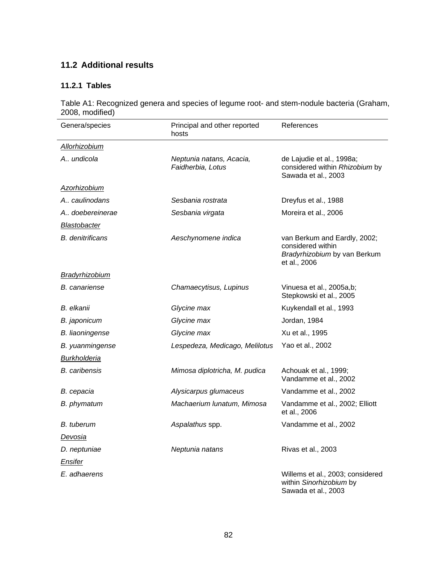## **11.2 Additional results**

#### **11.2.1 Tables**

Table A1: Recognized genera and species of legume root- and stem-nodule bacteria (Graham, 2008, modified)  $\overline{\phantom{0}}$ 

| zuuo, muumeu)           |                                               |                                                                                                   |
|-------------------------|-----------------------------------------------|---------------------------------------------------------------------------------------------------|
| Genera/species          | Principal and other reported<br>hosts         | References                                                                                        |
| <b>Allorhizobium</b>    |                                               |                                                                                                   |
| A undicola              | Neptunia natans, Acacia,<br>Faidherbia, Lotus | de Lajudie et al., 1998a;<br>considered within Rhizobium by<br>Sawada et al., 2003                |
| Azorhizobium            |                                               |                                                                                                   |
| A., caulinodans         | Sesbania rostrata                             | Dreyfus et al., 1988                                                                              |
| A doebereinerae         | Sesbania virgata                              | Moreira et al., 2006                                                                              |
| <b>Blastobacter</b>     |                                               |                                                                                                   |
| <b>B.</b> denitrificans | Aeschynomene indica                           | van Berkum and Eardly, 2002;<br>considered within<br>Bradyrhizobium by van Berkum<br>et al., 2006 |
| <b>Bradyrhizobium</b>   |                                               |                                                                                                   |
| <b>B.</b> canariense    | Chamaecytisus, Lupinus                        | Vinuesa et al., 2005a,b;<br>Stepkowski et al., 2005                                               |
| B. elkanii              | Glycine max                                   | Kuykendall et al., 1993                                                                           |
| B. japonicum            | Glycine max                                   | Jordan, 1984                                                                                      |
| <b>B.</b> liaoningense  | Glycine max                                   | Xu et al., 1995                                                                                   |
| B. yuanmingense         | Lespedeza, Medicago, Melilotus                | Yao et al., 2002                                                                                  |
| <b>Burkholderia</b>     |                                               |                                                                                                   |
| <b>B.</b> caribensis    | Mimosa diplotricha, M. pudica                 | Achouak et al., 1999;<br>Vandamme et al., 2002                                                    |
| B. cepacia              | Alysicarpus glumaceus                         | Vandamme et al., 2002                                                                             |
| B. phymatum             | Machaerium lunatum, Mimosa                    | Vandamme et al., 2002; Elliott<br>et al., 2006                                                    |
| <b>B.</b> tuberum       | Aspalathus spp.                               | Vandamme et al., 2002                                                                             |
| <u>Devosia</u>          |                                               |                                                                                                   |
| D. neptuniae            | Neptunia natans                               | Rivas et al., 2003                                                                                |
| Ensifer                 |                                               |                                                                                                   |
| E. adhaerens            |                                               | Willems et al., 2003; considered<br>within Sinorhizobium by<br>Sawada et al., 2003                |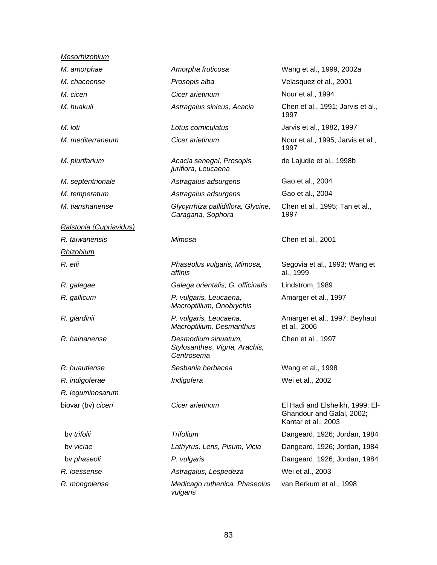| Mesorhizobium           |                                                                    |                                                                                     |
|-------------------------|--------------------------------------------------------------------|-------------------------------------------------------------------------------------|
| M. amorphae             | Amorpha fruticosa                                                  | Wang et al., 1999, 2002a                                                            |
| M. chacoense            | Prosopis alba                                                      | Velasquez et al., 2001                                                              |
| M. ciceri               | Cicer arietinum                                                    | Nour et al., 1994                                                                   |
| M. huakuii              | Astragalus sinicus, Acacia                                         | Chen et al., 1991; Jarvis et al.,<br>1997                                           |
| M. loti                 | Lotus corniculatus                                                 | Jarvis et al., 1982, 1997                                                           |
| M. mediterraneum        | Cicer arietinum                                                    | Nour et al., 1995; Jarvis et al.,<br>1997                                           |
| M. plurifarium          | Acacia senegal, Prosopis<br>juriflora, Leucaena                    | de Lajudie et al., 1998b                                                            |
| M. septentrionale       | Astragalus adsurgens                                               | Gao et al., 2004                                                                    |
| M. temperatum           | Astragalus adsurgens                                               | Gao et al., 2004                                                                    |
| M. tianshanense         | Glycyrrhiza pallidiflora, Glycine,<br>Caragana, Sophora            | Chen et al., 1995; Tan et al.,<br>1997                                              |
| Ralstonia (Cupriavidus) |                                                                    |                                                                                     |
| R. taiwanensis          | Mimosa                                                             | Chen et al., 2001                                                                   |
| <b>Rhizobium</b>        |                                                                    |                                                                                     |
| R. etli                 | Phaseolus vulgaris, Mimosa,<br>affinis                             | Segovia et al., 1993; Wang et<br>al., 1999                                          |
| R. galegae              | Galega orientalis, G. officinalis                                  | Lindstrom, 1989                                                                     |
| R. gallicum             | P. vulgaris, Leucaena,<br>Macroptilium, Onobrychis                 | Amarger et al., 1997                                                                |
| R. giardinii            | P. vulgaris, Leucaena,<br>Macroptilium, Desmanthus                 | Amarger et al., 1997; Beyhaut<br>et al., 2006                                       |
| R. hainanense           | Desmodium sinuatum,<br>Stylosanthes, Vigna, Arachis,<br>Centrosema | Chen et al., 1997                                                                   |
| R. huautlense           | Sesbania herbacea                                                  | Wang et al., 1998                                                                   |
| R. indigoferae          | Indigofera                                                         | Wei et al., 2002                                                                    |
| R. leguminosarum        |                                                                    |                                                                                     |
| biovar (bv) ciceri      | Cicer arietinum                                                    | El Hadi and Elsheikh, 1999; El-<br>Ghandour and Galal, 2002;<br>Kantar et al., 2003 |
| by trifolii             | <b>Trifolium</b>                                                   | Dangeard, 1926; Jordan, 1984                                                        |
| bv viciae               | Lathyrus, Lens, Pisum, Vicia                                       | Dangeard, 1926; Jordan, 1984                                                        |
| bv phaseoli             | P. vulgaris                                                        | Dangeard, 1926; Jordan, 1984                                                        |
| R. loessense            | Astragalus, Lespedeza                                              | Wei et al., 2003                                                                    |
| R. mongolense           | Medicago ruthenica, Phaseolus<br>vulgaris                          | van Berkum et al., 1998                                                             |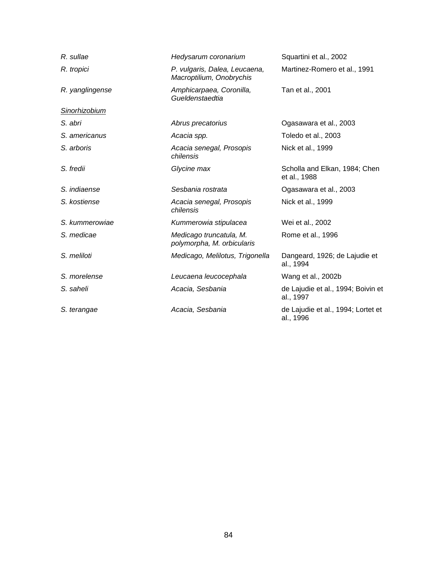| R. sullae       | Hedysarum coronarium                                      | Squartini et al., 2002                          |  |
|-----------------|-----------------------------------------------------------|-------------------------------------------------|--|
| R. tropici      | P. vulgaris, Dalea, Leucaena,<br>Macroptilium, Onobrychis | Martinez-Romero et al., 1991                    |  |
| R. yanglingense | Amphicarpaea, Coronilla,<br>Gueldenstaedtia               | Tan et al., 2001                                |  |
| Sinorhizobium   |                                                           |                                                 |  |
| S. abri         | Abrus precatorius                                         | Ogasawara et al., 2003                          |  |
| S. americanus   | Acacia spp.                                               | Toledo et al., 2003                             |  |
| S. arboris      | Acacia senegal, Prosopis<br>chilensis                     | Nick et al., 1999                               |  |
| S. fredii       | Glycine max                                               | Scholla and Elkan, 1984; Chen<br>et al., 1988   |  |
| S. indiaense    | Sesbania rostrata                                         | Ogasawara et al., 2003                          |  |
| S. kostiense    | Acacia senegal, Prosopis<br>chilensis                     | Nick et al., 1999                               |  |
| S. kummerowiae  | Kummerowia stipulacea                                     | Wei et al., 2002                                |  |
| S. medicae      | Medicago truncatula, M.<br>polymorpha, M. orbicularis     | Rome et al., 1996                               |  |
| S. meliloti     | Medicago, Melilotus, Trigonella                           | Dangeard, 1926; de Lajudie et<br>al., 1994      |  |
| S. morelense    | Leucaena leucocephala                                     | Wang et al., 2002b                              |  |
| S. saheli       | Acacia, Sesbania                                          | de Lajudie et al., 1994; Boivin et<br>al., 1997 |  |
| S. terangae     | Acacia, Sesbania                                          | de Lajudie et al., 1994; Lortet et<br>al., 1996 |  |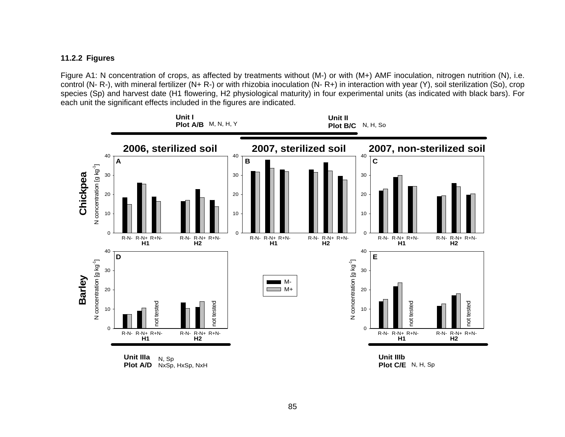#### **11.2.2 Figures**

Figure A1: N concentration of crops, as affected by treatments without (M-) or with (M+) AMF inoculation, nitrogen nutrition (N), i.e. control (N- R-), with mineral fertilizer (N+ R-) or with rhizobia inoculation (N- R+) in interaction with year (Y), soil sterilization (So), crop species (Sp) and harvest date (H1 flowering, H2 physiological maturity) in four experimental units (as indicated with black bars). For each unit the significant effects included in the figures are indicated.

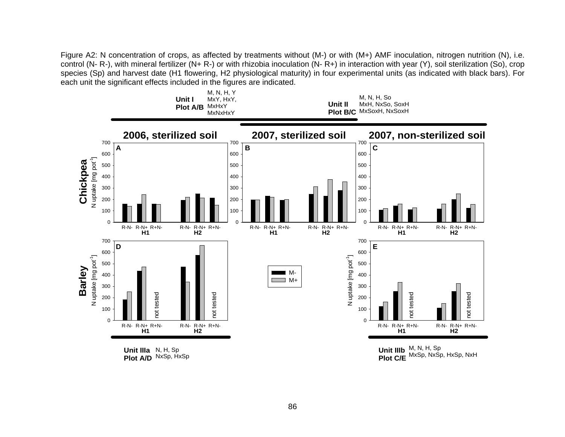Figure A2: N concentration of crops, as affected by treatments without (M-) or with (M+) AMF inoculation, nitrogen nutrition (N), i.e. control (N- R-), with mineral fertilizer (N+ R-) or with rhizobia inoculation (N- R+) in interaction with year (Y), soil sterilization (So), crop species (Sp) and harvest date (H1 flowering, H2 physiological maturity) in four experimental units (as indicated with black bars). For each unit the significant effects included in the figures are indicated.

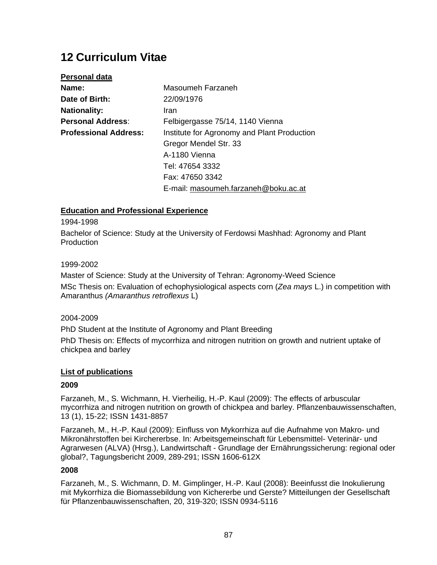# **12 Curriculum Vitae**

| Personal data            |                                             |
|--------------------------|---------------------------------------------|
| Name:                    | Masoumeh Farzaneh                           |
| Date of Birth:           | 22/09/1976                                  |
| <b>Nationality:</b>      | Iran                                        |
| <b>Personal Address:</b> | Felbigergasse 75/14, 1140 Vienna            |
| Professional Address:    | Institute for Agronomy and Plant Production |
|                          | Gregor Mendel Str. 33                       |
|                          | A-1180 Vienna                               |
|                          | Tel: 47654 3332                             |
|                          | Fax: 47650 3342                             |
|                          | E-mail: masoumeh.farzaneh@boku.ac.at        |

#### **Education and Professional Experience**

#### 1994-1998

Bachelor of Science: Study at the University of Ferdowsi Mashhad: Agronomy and Plant **Production** 

#### 1999-2002

Master of Science: Study at the University of Tehran: Agronomy-Weed Science MSc Thesis on: Evaluation of echophysiological aspects corn (*Zea mays* L.) in competition with Amaranthus *(Amaranthus retroflexus* L)

#### 2004-2009

PhD Student at the Institute of Agronomy and Plant Breeding PhD Thesis on: Effects of mycorrhiza and nitrogen nutrition on growth and nutrient uptake of

### **List of publications**

chickpea and barley

#### **2009**

Farzaneh, M., S. Wichmann, H. Vierheilig, H.-P. Kaul (2009): The effects of arbuscular mycorrhiza and nitrogen nutrition on growth of chickpea and barley. Pflanzenbauwissenschaften, 13 (1), 15-22; ISSN 1431-8857

Farzaneh, M., H.-P. Kaul (2009): Einfluss von Mykorrhiza auf die Aufnahme von Makro- und Mikronährstoffen bei Kirchererbse. In: Arbeitsgemeinschaft für Lebensmittel- Veterinär- und Agrarwesen (ALVA) (Hrsg.), Landwirtschaft - Grundlage der Ernährungssicherung: regional oder global?, Tagungsbericht 2009, 289-291; ISSN 1606-612X

#### **2008**

Farzaneh, M., S. Wichmann, D. M. Gimplinger, H.-P. Kaul (2008): Beeinfusst die Inokulierung mit Mykorrhiza die Biomassebildung von Kichererbe und Gerste? Mitteilungen der Gesellschaft für Pflanzenbauwissenschaften, 20, 319-320; ISSN 0934-5116